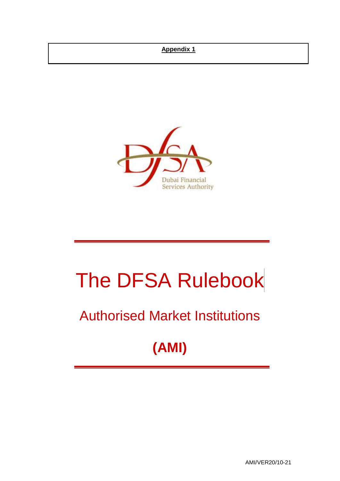# **Appendix 1**



# The DFSA Rulebook

# Authorised Market Institutions

# **(AMI)**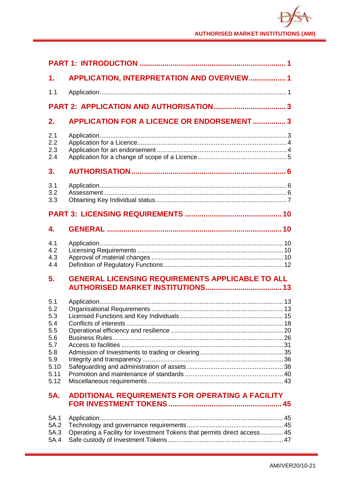| 1.                                                                                  | APPLICATION, INTERPRETATION AND OVERVIEW 1                               |  |
|-------------------------------------------------------------------------------------|--------------------------------------------------------------------------|--|
| 1.1                                                                                 |                                                                          |  |
|                                                                                     |                                                                          |  |
| 2.                                                                                  | <b>APPLICATION FOR A LICENCE OR ENDORSEMENT  3</b>                       |  |
| 2.1<br>2.2<br>2.3<br>2.4                                                            |                                                                          |  |
| 3.                                                                                  |                                                                          |  |
| 3.1<br>3.2<br>3.3                                                                   |                                                                          |  |
|                                                                                     |                                                                          |  |
| 4.                                                                                  |                                                                          |  |
| 4.1<br>4.2<br>4.3<br>4.4                                                            |                                                                          |  |
| 5.                                                                                  | <b>GENERAL LICENSING REQUIREMENTS APPLICABLE TO ALL</b>                  |  |
| 5.1<br>5.2<br>5.3<br>5.4<br>5.5<br>5.6<br>5.7<br>5.8<br>5.9<br>5.10<br>5.11<br>5.12 |                                                                          |  |
| 5A.                                                                                 | ADDITIONAL REQUIREMENTS FOR OPERATING A FACILITY                         |  |
| 5A.1<br>5A.2<br>5A.3<br>5A.4                                                        | Operating a Facility for Investment Tokens that permits direct access 45 |  |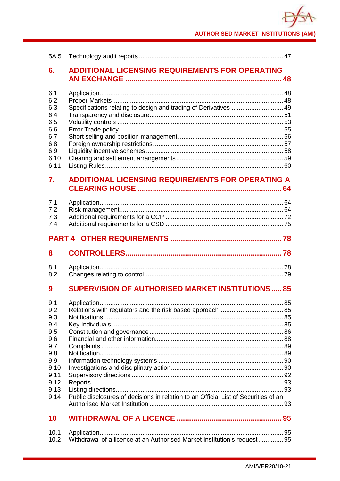# **AUTHORISED MARKET INSTITUTIONS (AMI)**

| 5A.5                                                                                                |                                                                                     |  |  |  |  |  |
|-----------------------------------------------------------------------------------------------------|-------------------------------------------------------------------------------------|--|--|--|--|--|
| 6.                                                                                                  | <b>ADDITIONAL LICENSING REQUIREMENTS FOR OPERATING</b>                              |  |  |  |  |  |
| 6.1<br>6.2<br>6.3<br>6.4<br>6.5<br>6.6<br>6.7<br>6.8<br>6.9<br>6.10<br>6.11                         | Specifications relating to design and trading of Derivatives  49                    |  |  |  |  |  |
| 7.                                                                                                  | <b>ADDITIONAL LICENSING REQUIREMENTS FOR OPERATING A</b>                            |  |  |  |  |  |
| 7.1<br>7.2<br>7.3<br>7.4                                                                            |                                                                                     |  |  |  |  |  |
|                                                                                                     |                                                                                     |  |  |  |  |  |
|                                                                                                     |                                                                                     |  |  |  |  |  |
| 8                                                                                                   |                                                                                     |  |  |  |  |  |
| 8.1<br>8.2                                                                                          |                                                                                     |  |  |  |  |  |
| 9                                                                                                   | <b>SUPERVISION OF AUTHORISED MARKET INSTITUTIONS85</b>                              |  |  |  |  |  |
| 9.1<br>9.2<br>9.3<br>9.4<br>9.5<br>9.6<br>9.7<br>9.8<br>9.9<br>9.10<br>9.11<br>9.12<br>9.13<br>9.14 | Public disclosures of decisions in relation to an Official List of Securities of an |  |  |  |  |  |
| 10                                                                                                  |                                                                                     |  |  |  |  |  |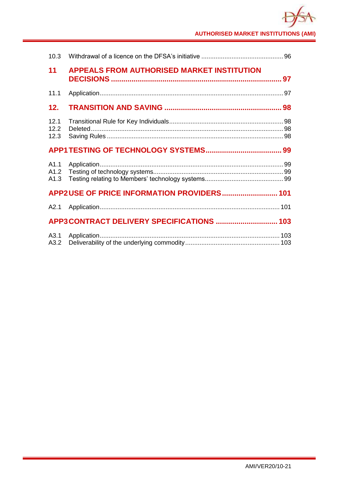# **AUTHORISED MARKET INSTITUTIONS (AMI)**

| 10.3                 |                                                   |  |
|----------------------|---------------------------------------------------|--|
| 11                   | <b>APPEALS FROM AUTHORISED MARKET INSTITUTION</b> |  |
| 11.1                 |                                                   |  |
| 12.                  |                                                   |  |
| 12.1<br>12.2<br>12.3 |                                                   |  |
|                      |                                                   |  |
| A1.1<br>A1.2<br>A1.3 |                                                   |  |
|                      |                                                   |  |
| A2.1                 |                                                   |  |
|                      |                                                   |  |
| A3.1<br>A3.2         |                                                   |  |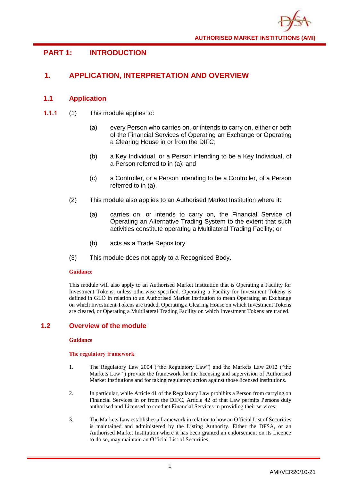# <span id="page-4-0"></span>**PART 1: INTRODUCTION**

# <span id="page-4-1"></span>**1. APPLICATION, INTERPRETATION AND OVERVIEW**

# <span id="page-4-2"></span>**1.1 Application**

- **1.1.1** (1) This module applies to:
	- (a) every Person who carries on, or intends to carry on, either or both of the Financial Services of Operating an Exchange or Operating a Clearing House in or from the DIFC;
	- (b) a Key Individual, or a Person intending to be a Key Individual, of a Person referred to in (a); and
	- (c) a Controller, or a Person intending to be a Controller, of a Person referred to in (a).
	- (2) This module also applies to an Authorised Market Institution where it:
		- (a) carries on, or intends to carry on, the Financial Service of Operating an Alternative Trading System to the extent that such activities constitute operating a Multilateral Trading Facility; or
		- (b) acts as a Trade Repository.
	- (3) This module does not apply to a Recognised Body.

### **Guidance**

This module will also apply to an Authorised Market Institution that is Operating a Facility for Investment Tokens, unless otherwise specified. Operating a Facility for Investment Tokens is defined in GLO in relation to an Authorised Market Institution to mean Operating an Exchange on which Investment Tokens are traded, Operating a Clearing House on which Investment Tokens are cleared, or Operating a Multilateral Trading Facility on which Investment Tokens are traded.

# **1.2 Overview of the module**

#### **Guidance**

#### **The regulatory framework**

- 1. The Regulatory Law 2004 ("the Regulatory Law") and the Markets Law 2012 ("the Markets Law ") provide the framework for the licensing and supervision of Authorised Market Institutions and for taking regulatory action against those licensed institutions.
- 2. In particular, while Article 41 of the Regulatory Law prohibits a Person from carrying on Financial Services in or from the DIFC, Article 42 of that Law permits Persons duly authorised and Licensed to conduct Financial Services in providing their services.
- 3. The Markets Law establishes a framework in relation to how an Official List of Securities is maintained and administered by the Listing Authority. Either the DFSA, or an Authorised Market Institution where it has been granted an endorsement on its Licence to do so, may maintain an Official List of Securities.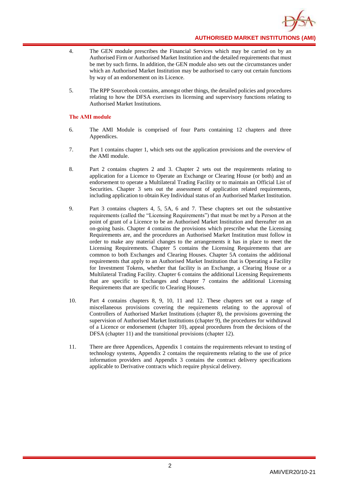

- 4. The GEN module prescribes the Financial Services which may be carried on by an Authorised Firm or Authorised Market Institution and the detailed requirements that must be met by such firms. In addition, the GEN module also sets out the circumstances under which an Authorised Market Institution may be authorised to carry out certain functions by way of an endorsement on its Licence.
- 5. The RPP Sourcebook contains, amongst other things, the detailed policies and procedures relating to how the DFSA exercises its licensing and supervisory functions relating to Authorised Market Institutions.

#### **The AMI module**

- 6. The AMI Module is comprised of four Parts containing 12 chapters and three Appendices.
- 7. Part 1 contains chapter 1, which sets out the application provisions and the overview of the AMI module.
- 8. Part 2 contains chapters 2 and 3. Chapter 2 sets out the requirements relating to application for a Licence to Operate an Exchange or Clearing House (or both) and an endorsement to operate a Multilateral Trading Facility or to maintain an Official List of Securities. Chapter 3 sets out the assessment of application related requirements, including application to obtain Key Individual status of an Authorised Market Institution.
- 9. Part 3 contains chapters 4, 5, 5A, 6 and 7. These chapters set out the substantive requirements (called the "Licensing Requirements") that must be met by a Person at the point of grant of a Licence to be an Authorised Market Institution and thereafter on an on-going basis. Chapter 4 contains the provisions which prescribe what the Licensing Requirements are, and the procedures an Authorised Market Institution must follow in order to make any material changes to the arrangements it has in place to meet the Licensing Requirements. Chapter 5 contains the Licensing Requirements that are common to both Exchanges and Clearing Houses. Chapter 5A contains the additional requirements that apply to an Authorised Market Institution that is Operating a Facility for Investment Tokens, whether that facility is an Exchange, a Clearing House or a Multilateral Trading Facility. Chapter 6 contains the additional Licensing Requirements that are specific to Exchanges and chapter 7 contains the additional Licensing Requirements that are specific to Clearing Houses.
- 10. Part 4 contains chapters 8, 9, 10, 11 and 12. These chapters set out a range of miscellaneous provisions covering the requirements relating to the approval of Controllers of Authorised Market Institutions (chapter 8), the provisions governing the supervision of Authorised Market Institutions (chapter 9), the procedures for withdrawal of a Licence or endorsement (chapter 10), appeal procedures from the decisions of the DFSA (chapter 11) and the transitional provisions (chapter 12).
- 11. There are three Appendices, Appendix 1 contains the requirements relevant to testing of technology systems, Appendix 2 contains the requirements relating to the use of price information providers and Appendix 3 contains the contract delivery specifications applicable to Derivative contracts which require physical delivery.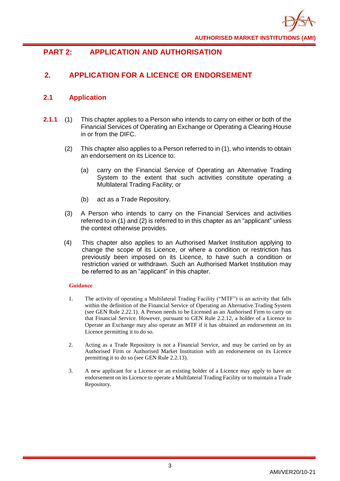

# <span id="page-6-0"></span>**PART 2: APPLICATION AND AUTHORISATION**

# <span id="page-6-1"></span>**2. APPLICATION FOR A LICENCE OR ENDORSEMENT**

# <span id="page-6-2"></span>**2.1 Application**

- **2.1.1** (1) This chapter applies to a Person who intends to carry on either or both of the Financial Services of Operating an Exchange or Operating a Clearing House in or from the DIFC.
	- (2) This chapter also applies to a Person referred to in (1), who intends to obtain an endorsement on its Licence to:
		- (a) carry on the Financial Service of Operating an Alternative Trading System to the extent that such activities constitute operating a Multilateral Trading Facility; or
		- (b) act as a Trade Repository.
	- (3) A Person who intends to carry on the Financial Services and activities referred to in (1) and (2) is referred to in this chapter as an "applicant" unless the context otherwise provides.
	- (4) This chapter also applies to an Authorised Market Institution applying to change the scope of its Licence, or where a condition or restriction has previously been imposed on its Licence, to have such a condition or restriction varied or withdrawn. Such an Authorised Market Institution may be referred to as an "applicant" in this chapter.

- 1. The activity of operating a Multilateral Trading Facility ("MTF") is an activity that falls within the definition of the Financial Service of Operating an Alternative Trading System (see GEN Rule 2.22.1). A Person needs to be Licensed as an Authorised Firm to carry on that Financial Service. However, pursuant to GEN Rule 2.2.12, a holder of a Licence to Operate an Exchange may also operate an MTF if it has obtained an endorsement on its Licence permitting it to do so.
- 2. Acting as a Trade Repository is not a Financial Service, and may be carried on by an Authorised Firm or Authorised Market Institution with an endorsement on its Licence permitting it to do so (see GEN Rule 2.2.13).
- 3. A new applicant for a Licence or an existing holder of a Licence may apply to have an endorsement on its Licence to operate a Multilateral Trading Facility or to maintain a Trade Repository.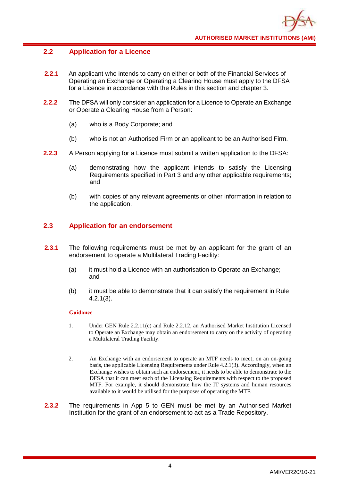# <span id="page-7-0"></span>**2.2 Application for a Licence**

- **2.2.1** An applicant who intends to carry on either or both of the Financial Services of Operating an Exchange or Operating a Clearing House must apply to the DFSA for a Licence in accordance with the Rules in this section and chapter 3.
- **2.2.2** The DFSA will only consider an application for a Licence to Operate an Exchange or Operate a Clearing House from a Person:
	- (a) who is a Body Corporate; and
	- (b) who is not an Authorised Firm or an applicant to be an Authorised Firm.
- **2.2.3** A Person applying for a Licence must submit a written application to the DFSA:
	- (a) demonstrating how the applicant intends to satisfy the Licensing Requirements specified in Part 3 and any other applicable requirements; and
	- (b) with copies of any relevant agreements or other information in relation to the application.

# <span id="page-7-1"></span>**2.3 Application for an endorsement**

- **2.3.1** The following requirements must be met by an applicant for the grant of an endorsement to operate a Multilateral Trading Facility:
	- (a) it must hold a Licence with an authorisation to Operate an Exchange; and
	- (b) it must be able to demonstrate that it can satisfy the requirement in Rule 4.2.1(3).

- 1. Under GEN Rule 2.2.11(c) and Rule 2.2.12, an Authorised Market Institution Licensed to Operate an Exchange may obtain an endorsement to carry on the activity of operating a Multilateral Trading Facility.
- 2. An Exchange with an endorsement to operate an MTF needs to meet, on an on-going basis, the applicable Licensing Requirements under Rule 4.2.1(3). Accordingly, when an Exchange wishes to obtain such an endorsement, it needs to be able to demonstrate to the DFSA that it can meet each of the Licensing Requirements with respect to the proposed MTF. For example, it should demonstrate how the IT systems and human resources available to it would be utilised for the purposes of operating the MTF.
- **2.3.2** The requirements in App 5 to GEN must be met by an Authorised Market Institution for the grant of an endorsement to act as a Trade Repository.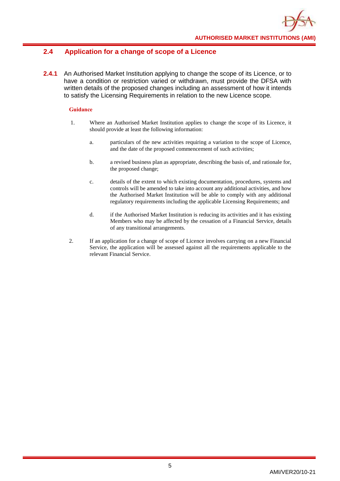# <span id="page-8-0"></span>**2.4 Application for a change of scope of a Licence**

**2.4.1** An Authorised Market Institution applying to change the scope of its Licence, or to have a condition or restriction varied or withdrawn, must provide the DFSA with written details of the proposed changes including an assessment of how it intends to satisfy the Licensing Requirements in relation to the new Licence scope.

- 1. Where an Authorised Market Institution applies to change the scope of its Licence, it should provide at least the following information:
	- a. particulars of the new activities requiring a variation to the scope of Licence, and the date of the proposed commencement of such activities;
	- b. a revised business plan as appropriate, describing the basis of, and rationale for, the proposed change;
	- c. details of the extent to which existing documentation, procedures, systems and controls will be amended to take into account any additional activities, and how the Authorised Market Institution will be able to comply with any additional regulatory requirements including the applicable Licensing Requirements; and
	- d. if the Authorised Market Institution is reducing its activities and it has existing Members who may be affected by the cessation of a Financial Service, details of any transitional arrangements.
- 2. If an application for a change of scope of Licence involves carrying on a new Financial Service, the application will be assessed against all the requirements applicable to the relevant Financial Service.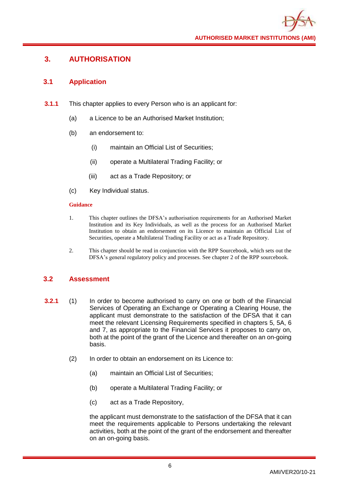# <span id="page-9-0"></span>**3. AUTHORISATION**

# <span id="page-9-1"></span>**3.1 Application**

- **3.1.1** This chapter applies to every Person who is an applicant for:
	- (a) a Licence to be an Authorised Market Institution;
	- (b) an endorsement to:
		- (i) maintain an Official List of Securities;
		- (ii) operate a Multilateral Trading Facility; or
		- (iii) act as a Trade Repository; or
	- (c) Key Individual status.

#### **Guidance**

- 1. This chapter outlines the DFSA's authorisation requirements for an Authorised Market Institution and its Key Individuals, as well as the process for an Authorised Market Institution to obtain an endorsement on its Licence to maintain an Official List of Securities, operate a Multilateral Trading Facility or act as a Trade Repository.
- 2. This chapter should be read in conjunction with the RPP Sourcebook, which sets out the DFSA's general regulatory policy and processes. See chapter 2 of the RPP sourcebook.

# <span id="page-9-2"></span>**3.2 Assessment**

- **3.2.1** (1) In order to become authorised to carry on one or both of the Financial Services of Operating an Exchange or Operating a Clearing House, the applicant must demonstrate to the satisfaction of the DFSA that it can meet the relevant Licensing Requirements specified in chapters 5, 5A, 6 and 7, as appropriate to the Financial Services it proposes to carry on, both at the point of the grant of the Licence and thereafter on an on-going basis.
	- (2) In order to obtain an endorsement on its Licence to:
		- (a) maintain an Official List of Securities;
		- (b) operate a Multilateral Trading Facility; or
		- (c) act as a Trade Repository,

the applicant must demonstrate to the satisfaction of the DFSA that it can meet the requirements applicable to Persons undertaking the relevant activities, both at the point of the grant of the endorsement and thereafter on an on-going basis.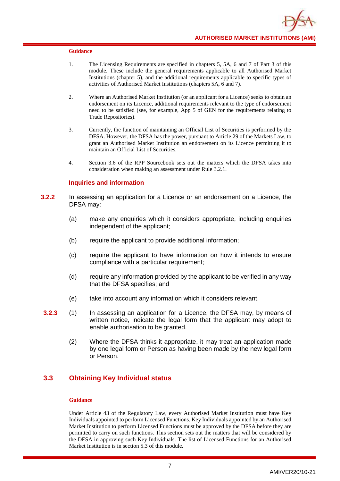- 1. The Licensing Requirements are specified in chapters 5, 5A, 6 and 7 of Part 3 of this module. These include the general requirements applicable to all Authorised Market Institutions (chapter 5), and the additional requirements applicable to specific types of activities of Authorised Market Institutions (chapters 5A, 6 and 7).
- 2. Where an Authorised Market Institution (or an applicant for a Licence) seeks to obtain an endorsement on its Licence, additional requirements relevant to the type of endorsement need to be satisfied (see, for example, App 5 of GEN for the requirements relating to Trade Repositories).
- 3. Currently, the function of maintaining an Official List of Securities is performed by the DFSA. However, the DFSA has the power, pursuant to Article 29 of the Markets Law, to grant an Authorised Market Institution an endorsement on its Licence permitting it to maintain an Official List of Securities.
- 4. Section 3.6 of the RPP Sourcebook sets out the matters which the DFSA takes into consideration when making an assessment under Rule 3.2.1.

#### **Inquiries and information**

- **3.2.2** In assessing an application for a Licence or an endorsement on a Licence, the DFSA may:
	- (a) make any enquiries which it considers appropriate, including enquiries independent of the applicant;
	- (b) require the applicant to provide additional information;
	- (c) require the applicant to have information on how it intends to ensure compliance with a particular requirement;
	- (d) require any information provided by the applicant to be verified in any way that the DFSA specifies; and
	- (e) take into account any information which it considers relevant.
- **3.2.3** (1) In assessing an application for a Licence, the DFSA may, by means of written notice, indicate the legal form that the applicant may adopt to enable authorisation to be granted.
	- (2) Where the DFSA thinks it appropriate, it may treat an application made by one legal form or Person as having been made by the new legal form or Person.

# <span id="page-10-0"></span>**3.3 Obtaining Key Individual status**

#### **Guidance**

Under Article 43 of the Regulatory Law, every Authorised Market Institution must have Key Individuals appointed to perform Licensed Functions. Key Individuals appointed by an Authorised Market Institution to perform Licensed Functions must be approved by the DFSA before they are permitted to carry on such functions. This section sets out the matters that will be considered by the DFSA in approving such Key Individuals. The list of Licensed Functions for an Authorised Market Institution is in section 5.3 of this module.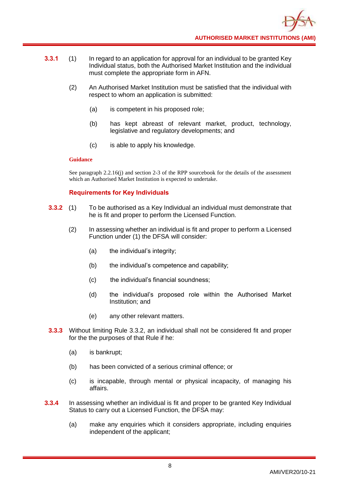- **3.3.1** (1) In regard to an application for approval for an individual to be granted Key Individual status, both the Authorised Market Institution and the individual must complete the appropriate form in AFN.
	- (2) An Authorised Market Institution must be satisfied that the individual with respect to whom an application is submitted:
		- (a) is competent in his proposed role;
		- (b) has kept abreast of relevant market, product, technology, legislative and regulatory developments; and
		- (c) is able to apply his knowledge.

See paragraph 2.2.16(i) and section 2-3 of the RPP sourcebook for the details of the assessment which an Authorised Market Institution is expected to undertake.

# **Requirements for Key Individuals**

- **3.3.2** (1) To be authorised as a Key Individual an individual must demonstrate that he is fit and proper to perform the Licensed Function.
	- (2) In assessing whether an individual is fit and proper to perform a Licensed Function under (1) the DFSA will consider:
		- (a) the individual's integrity;
		- (b) the individual's competence and capability;
		- (c) the individual's financial soundness;
		- (d) the individual's proposed role within the Authorised Market Institution; and
		- (e) any other relevant matters.
- **3.3.3** Without limiting Rule 3.3.2, an individual shall not be considered fit and proper for the the purposes of that Rule if he:
	- (a) is bankrupt;
	- (b) has been convicted of a serious criminal offence; or
	- (c) is incapable, through mental or physical incapacity, of managing his affairs.
- **3.3.4** In assessing whether an individual is fit and proper to be granted Key Individual Status to carry out a Licensed Function, the DFSA may:
	- (a) make any enquiries which it considers appropriate, including enquiries independent of the applicant;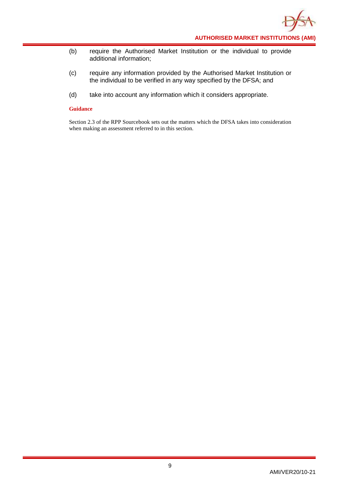

- (b) require the Authorised Market Institution or the individual to provide additional information;
- (c) require any information provided by the Authorised Market Institution or the individual to be verified in any way specified by the DFSA; and
- (d) take into account any information which it considers appropriate.

Section 2.3 of the RPP Sourcebook sets out the matters which the DFSA takes into consideration when making an assessment referred to in this section.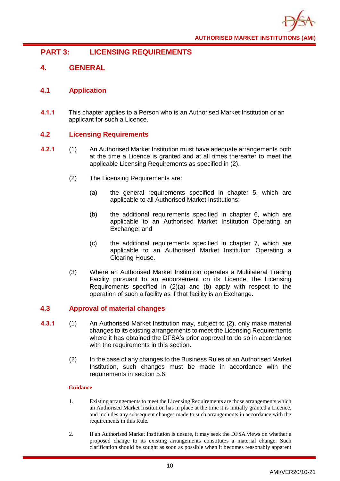

# <span id="page-13-0"></span>**PART 3: LICENSING REQUIREMENTS**

# <span id="page-13-1"></span>**4. GENERAL**

# <span id="page-13-2"></span>**4.1 Application**

**4.1.1** This chapter applies to a Person who is an Authorised Market Institution or an applicant for such a Licence.

# <span id="page-13-3"></span>**4.2 Licensing Requirements**

- **4.2.1** (1) An Authorised Market Institution must have adequate arrangements both at the time a Licence is granted and at all times thereafter to meet the applicable Licensing Requirements as specified in (2).
	- (2) The Licensing Requirements are:
		- (a) the general requirements specified in chapter 5, which are applicable to all Authorised Market Institutions;
		- (b) the additional requirements specified in chapter 6, which are applicable to an Authorised Market Institution Operating an Exchange; and
		- (c) the additional requirements specified in chapter 7, which are applicable to an Authorised Market Institution Operating a Clearing House.
	- (3) Where an Authorised Market Institution operates a Multilateral Trading Facility pursuant to an endorsement on its Licence, the Licensing Requirements specified in (2)(a) and (b) apply with respect to the operation of such a facility as if that facility is an Exchange.

# <span id="page-13-4"></span>**4.3 Approval of material changes**

- **4.3.1** (1) An Authorised Market Institution may, subject to (2), only make material changes to its existing arrangements to meet the Licensing Requirements where it has obtained the DFSA's prior approval to do so in accordance with the requirements in this section.
	- (2) In the case of any changes to the Business Rules of an Authorised Market Institution, such changes must be made in accordance with the requirements in section 5.6.

- 1. Existing arrangements to meet the Licensing Requirements are those arrangements which an Authorised Market Institution has in place at the time it is initially granted a Licence, and includes any subsequent changes made to such arrangements in accordance with the requirements in this Rule.
- 2. If an Authorised Market Institution is unsure, it may seek the DFSA views on whether a proposed change to its existing arrangements constitutes a material change. Such clarification should be sought as soon as possible when it becomes reasonably apparent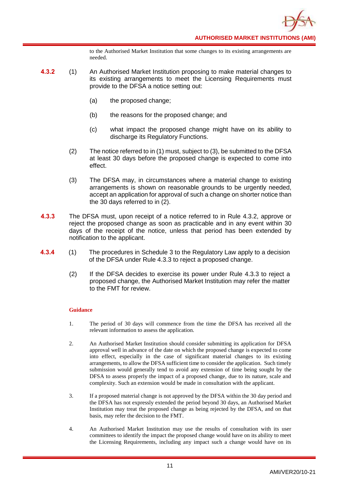to the Authorised Market Institution that some changes to its existing arrangements are needed.

- **4.3.2** (1) An Authorised Market Institution proposing to make material changes to its existing arrangements to meet the Licensing Requirements must provide to the DFSA a notice setting out:
	- (a) the proposed change;
	- (b) the reasons for the proposed change; and
	- (c) what impact the proposed change might have on its ability to discharge its Regulatory Functions.
	- (2) The notice referred to in (1) must, subject to (3), be submitted to the DFSA at least 30 days before the proposed change is expected to come into effect.
	- (3) The DFSA may, in circumstances where a material change to existing arrangements is shown on reasonable grounds to be urgently needed, accept an application for approval of such a change on shorter notice than the 30 days referred to in (2).
- **4.3.3** The DFSA must, upon receipt of a notice referred to in Rule 4.3.2, approve or reject the proposed change as soon as practicable and in any event within 30 days of the receipt of the notice, unless that period has been extended by notification to the applicant.
- **4.3.4** (1) The procedures in Schedule 3 to the Regulatory Law apply to a decision of the DFSA under Rule 4.3.3 to reject a proposed change.
	- (2) If the DFSA decides to exercise its power under Rule 4.3.3 to reject a proposed change, the Authorised Market Institution may refer the matter to the FMT for review.

- 1. The period of 30 days will commence from the time the DFSA has received all the relevant information to assess the application.
- 2. An Authorised Market Institution should consider submitting its application for DFSA approval well in advance of the date on which the proposed change is expected to come into effect, especially in the case of significant material changes to its existing arrangements, to allow the DFSA sufficient time to consider the application. Such timely submission would generally tend to avoid any extension of time being sought by the DFSA to assess properly the impact of a proposed change, due to its nature, scale and complexity. Such an extension would be made in consultation with the applicant.
- 3. If a proposed material change is not approved by the DFSA within the 30 day period and the DFSA has not expressly extended the period beyond 30 days, an Authorised Market Institution may treat the proposed change as being rejected by the DFSA, and on that basis, may refer the decision to the FMT.
- 4. An Authorised Market Institution may use the results of consultation with its user committees to identify the impact the proposed change would have on its ability to meet the Licensing Requirements, including any impact such a change would have on its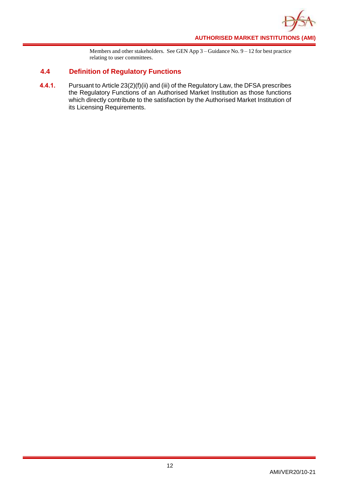

Members and other stakeholders. See GEN App 3 – Guidance No. 9 – 12 for best practice relating to user committees.

# <span id="page-15-0"></span>**4.4 Definition of Regulatory Functions**

**4.4.1.** Pursuant to Article 23(2)(f)(ii) and (iii) of the Regulatory Law, the DFSA prescribes the Regulatory Functions of an Authorised Market Institution as those functions which directly contribute to the satisfaction by the Authorised Market Institution of its Licensing Requirements.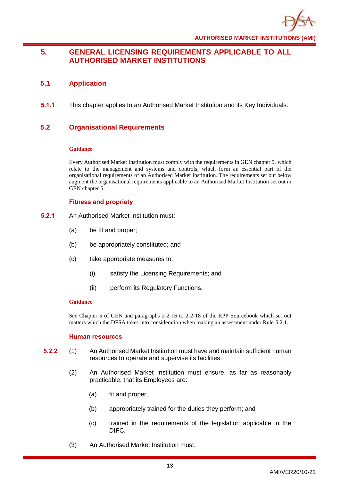

# <span id="page-16-0"></span>**5. GENERAL LICENSING REQUIREMENTS APPLICABLE TO ALL AUTHORISED MARKET INSTITUTIONS**

# <span id="page-16-1"></span>**5.1 Application**

**5.1.1** This chapter applies to an Authorised Market Institution and its Key Individuals.

# <span id="page-16-2"></span>**5.2 Organisational Requirements**

#### **Guidance**

Every Authorised Market Institution must comply with the requirements in GEN chapter 5, which relate to the management and systems and controls, which form an essential part of the organisational requirements of an Authorised Market Institution. The requirements set out below augment the organisational requirements applicable to an Authorised Market Institution set out in GEN chapter 5.

# **Fitness and propriety**

- **5.2.1** An Authorised Market Institution must:
	- (a) be fit and proper;
	- (b) be appropriately constituted; and
	- (c) take appropriate measures to:
		- (i) satisfy the Licensing Requirements; and
		- (ii) perform its Regulatory Functions.

#### **Guidance**

See Chapter 5 of GEN and paragraphs 2-2-16 to 2-2-18 of the RPP Sourcebook which set out matters which the DFSA takes into consideration when making an assessment under Rule 5.2.1.

#### **Human resources**

- **5.2.2** (1) An Authorised Market Institution must have and maintain sufficient human resources to operate and supervise its facilities.
	- (2) An Authorised Market Institution must ensure, as far as reasonably practicable, that its Employees are:
		- (a) fit and proper;
		- (b) appropriately trained for the duties they perform; and
		- (c) trained in the requirements of the legislation applicable in the DIFC.
	- (3) An Authorised Market Institution must: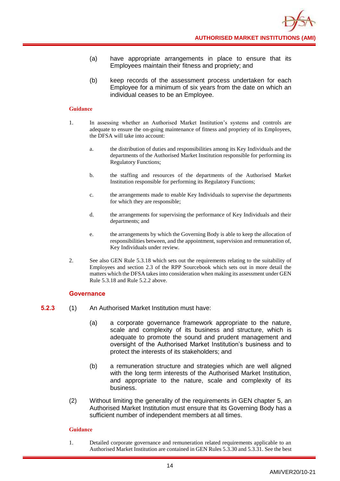- (a) have appropriate arrangements in place to ensure that its Employees maintain their fitness and propriety; and
- (b) keep records of the assessment process undertaken for each Employee for a minimum of six years from the date on which an individual ceases to be an Employee.

- 1. In assessing whether an Authorised Market Institution's systems and controls are adequate to ensure the on-going maintenance of fitness and propriety of its Employees, the DFSA will take into account:
	- a. the distribution of duties and responsibilities among its Key Individuals and the departments of the Authorised Market Institution responsible for performing its Regulatory Functions;
	- b. the staffing and resources of the departments of the Authorised Market Institution responsible for performing its Regulatory Functions;
	- c. the arrangements made to enable Key Individuals to supervise the departments for which they are responsible;
	- d. the arrangements for supervising the performance of Key Individuals and their departments; and
	- e. the arrangements by which the Governing Body is able to keep the allocation of responsibilities between, and the appointment, supervision and remuneration of, Key Individuals under review.
- 2. See also GEN Rule 5.3.18 which sets out the requirements relating to the suitability of Employees and section 2.3 of the RPP Sourcebook which sets out in more detail the matters which the DFSA takes into consideration when making its assessment under GEN Rule 5.3.18 and Rule 5.2.2 above.

#### **Governance**

- **5.2.3** (1) An Authorised Market Institution must have:
	- (a) a corporate governance framework appropriate to the nature, scale and complexity of its business and structure, which is adequate to promote the sound and prudent management and oversight of the Authorised Market Institution's business and to protect the interests of its stakeholders; and
	- (b) a remuneration structure and strategies which are well aligned with the long term interests of the Authorised Market Institution, and appropriate to the nature, scale and complexity of its business.
	- (2) Without limiting the generality of the requirements in GEN chapter 5, an Authorised Market Institution must ensure that its Governing Body has a sufficient number of independent members at all times.

#### **Guidance**

1. Detailed corporate governance and remuneration related requirements applicable to an Authorised Market Institution are contained in GEN Rules 5.3.30 and 5.3.31. See the best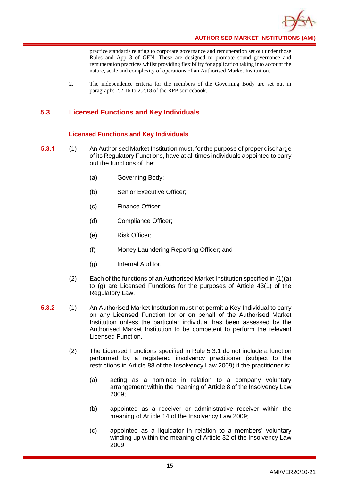

practice standards relating to corporate governance and remuneration set out under those Rules and App 3 of GEN. These are designed to promote sound governance and remuneration practices whilst providing flexibility for application taking into account the nature, scale and complexity of operations of an Authorised Market Institution.

2. The independence criteria for the members of the Governing Body are set out in paragraphs 2.2.16 to 2.2.18 of the RPP sourcebook.

# <span id="page-18-0"></span>**5.3 Licensed Functions and Key Individuals**

# **Licensed Functions and Key Individuals**

- **5.3.1** (1) An Authorised Market Institution must, for the purpose of proper discharge of its Regulatory Functions, have at all times individuals appointed to carry out the functions of the:
	- (a) Governing Body;
	- (b) Senior Executive Officer;
	- (c) Finance Officer;
	- (d) Compliance Officer;
	- (e) Risk Officer;
	- (f) Money Laundering Reporting Officer; and
	- (g) Internal Auditor.
	- (2) Each of the functions of an Authorised Market Institution specified in (1)(a) to (g) are Licensed Functions for the purposes of Article 43(1) of the Regulatory Law.
- **5.3.2** (1) An Authorised Market Institution must not permit a Key Individual to carry on any Licensed Function for or on behalf of the Authorised Market Institution unless the particular individual has been assessed by the Authorised Market Institution to be competent to perform the relevant Licensed Function.
	- (2) The Licensed Functions specified in Rule 5.3.1 do not include a function performed by a registered insolvency practitioner (subject to the restrictions in Article 88 of the Insolvency Law 2009) if the practitioner is:
		- (a) acting as a nominee in relation to a company voluntary arrangement within the meaning of Article 8 of the Insolvency Law 2009;
		- (b) appointed as a receiver or administrative receiver within the meaning of Article 14 of the Insolvency Law 2009;
		- (c) appointed as a liquidator in relation to a members' voluntary winding up within the meaning of Article 32 of the Insolvency Law 2009;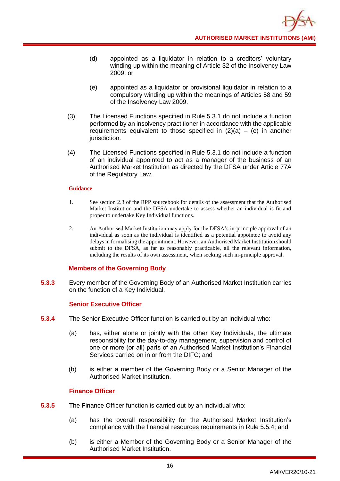- (d) appointed as a liquidator in relation to a creditors' voluntary winding up within the meaning of Article 32 of the Insolvency Law 2009; or
- (e) appointed as a liquidator or provisional liquidator in relation to a compulsory winding up within the meanings of Articles 58 and 59 of the Insolvency Law 2009.
- (3) The Licensed Functions specified in Rule 5.3.1 do not include a function performed by an insolvency practitioner in accordance with the applicable requirements equivalent to those specified in  $(2)(a) - (e)$  in another jurisdiction.
- (4) The Licensed Functions specified in Rule 5.3.1 do not include a function of an individual appointed to act as a manager of the business of an Authorised Market Institution as directed by the DFSA under Article 77A of the Regulatory Law.

- 1. See section 2.3 of the RPP sourcebook for details of the assessment that the Authorised Market Institution and the DFSA undertake to assess whether an individual is fit and proper to undertake Key Individual functions.
- 2. An Authorised Market Institution may apply for the DFSA's in-principle approval of an individual as soon as the individual is identified as a potential appointee to avoid any delays in formalising the appointment. However, an Authorised Market Institution should submit to the DFSA, as far as reasonably practicable, all the relevant information, including the results of its own assessment, when seeking such in-principle approval.

# **Members of the Governing Body**

**5.3.3** Every member of the Governing Body of an Authorised Market Institution carries on the function of a Key Individual.

#### **Senior Executive Officer**

- **5.3.4** The Senior Executive Officer function is carried out by an individual who:
	- (a) has, either alone or jointly with the other Key Individuals, the ultimate responsibility for the day-to-day management, supervision and control of one or more (or all) parts of an Authorised Market Institution's Financial Services carried on in or from the DIFC; and
	- (b) is either a member of the Governing Body or a Senior Manager of the Authorised Market Institution.

# **Finance Officer**

- **5.3.5** The Finance Officer function is carried out by an individual who:
	- (a) has the overall responsibility for the Authorised Market Institution's compliance with the financial resources requirements in Rule 5.5.4; and
	- (b) is either a Member of the Governing Body or a Senior Manager of the Authorised Market Institution.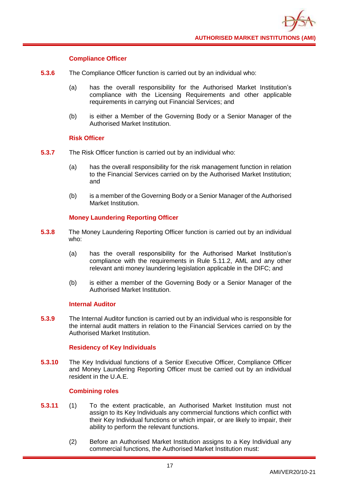

# **Compliance Officer**

- **5.3.6** The Compliance Officer function is carried out by an individual who:
	- (a) has the overall responsibility for the Authorised Market Institution's compliance with the Licensing Requirements and other applicable requirements in carrying out Financial Services; and
	- (b) is either a Member of the Governing Body or a Senior Manager of the Authorised Market Institution.

## **Risk Officer**

- **5.3.7** The Risk Officer function is carried out by an individual who:
	- (a) has the overall responsibility for the risk management function in relation to the Financial Services carried on by the Authorised Market Institution; and
	- (b) is a member of the Governing Body or a Senior Manager of the Authorised Market Institution.

# **Money Laundering Reporting Officer**

- **5.3.8** The Money Laundering Reporting Officer function is carried out by an individual who:
	- (a) has the overall responsibility for the Authorised Market Institution's compliance with the requirements in Rule 5.11.2, AML and any other relevant anti money laundering legislation applicable in the DIFC; and
	- (b) is either a member of the Governing Body or a Senior Manager of the Authorised Market Institution.

# **Internal Auditor**

**5.3.9** The Internal Auditor function is carried out by an individual who is responsible for the internal audit matters in relation to the Financial Services carried on by the Authorised Market Institution.

# **Residency of Key Individuals**

**5.3.10** The Key Individual functions of a Senior Executive Officer, Compliance Officer and Money Laundering Reporting Officer must be carried out by an individual resident in the U.A.E.

#### **Combining roles**

- **5.3.11** (1) To the extent practicable, an Authorised Market Institution must not assign to its Key Individuals any commercial functions which conflict with their Key Individual functions or which impair, or are likely to impair, their ability to perform the relevant functions.
	- (2) Before an Authorised Market Institution assigns to a Key Individual any commercial functions, the Authorised Market Institution must: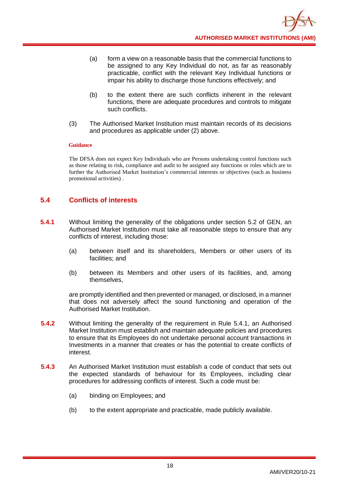- (a) form a view on a reasonable basis that the commercial functions to be assigned to any Key Individual do not, as far as reasonably practicable, conflict with the relevant Key Individual functions or impair his ability to discharge those functions effectively; and
- (b) to the extent there are such conflicts inherent in the relevant functions, there are adequate procedures and controls to mitigate such conflicts.
- (3) The Authorised Market Institution must maintain records of its decisions and procedures as applicable under (2) above.

The DFSA does not expect Key Individuals who are Persons undertaking control functions such as those relating to risk, compliance and audit to be assigned any functions or roles which are to further the Authorised Market Institution's commercial interests or objectives (such as business promotional activities) .

# <span id="page-21-0"></span>**5.4 Conflicts of interests**

- **5.4.1** Without limiting the generality of the obligations under section 5.2 of GEN, an Authorised Market Institution must take all reasonable steps to ensure that any conflicts of interest, including those:
	- (a) between itself and its shareholders, Members or other users of its facilities; and
	- (b) between its Members and other users of its facilities, and, among themselves,

are promptly identified and then prevented or managed, or disclosed, in a manner that does not adversely affect the sound functioning and operation of the Authorised Market Institution.

- **5.4.2** Without limiting the generality of the requirement in Rule 5.4.1, an Authorised Market Institution must establish and maintain adequate policies and procedures to ensure that its Employees do not undertake personal account transactions in Investments in a manner that creates or has the potential to create conflicts of interest.
- **5.4.3** An Authorised Market Institution must establish a code of conduct that sets out the expected standards of behaviour for its Employees, including clear procedures for addressing conflicts of interest. Such a code must be:
	- (a) binding on Employees; and
	- (b) to the extent appropriate and practicable, made publicly available.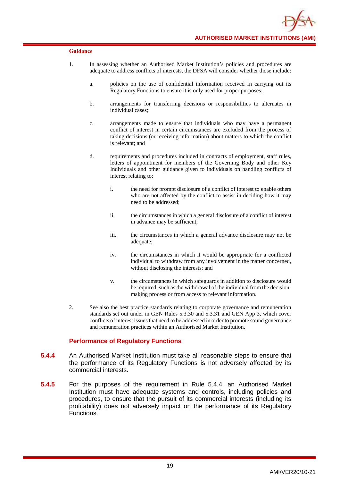- 1. In assessing whether an Authorised Market Institution's policies and procedures are adequate to address conflicts of interests, the DFSA will consider whether those include:
	- a. policies on the use of confidential information received in carrying out its Regulatory Functions to ensure it is only used for proper purposes;
	- b. arrangements for transferring decisions or responsibilities to alternates in individual cases;
	- c. arrangements made to ensure that individuals who may have a permanent conflict of interest in certain circumstances are excluded from the process of taking decisions (or receiving information) about matters to which the conflict is relevant; and
	- d. requirements and procedures included in contracts of employment, staff rules, letters of appointment for members of the Governing Body and other Key Individuals and other guidance given to individuals on handling conflicts of interest relating to:
		- i. the need for prompt disclosure of a conflict of interest to enable others who are not affected by the conflict to assist in deciding how it may need to be addressed;
		- ii. the circumstances in which a general disclosure of a conflict of interest in advance may be sufficient;
		- iii. the circumstances in which a general advance disclosure may not be adequate;
		- iv. the circumstances in which it would be appropriate for a conflicted individual to withdraw from any involvement in the matter concerned, without disclosing the interests; and
		- v. the circumstances in which safeguards in addition to disclosure would be required, such as the withdrawal of the individual from the decisionmaking process or from access to relevant information.
- 2. See also the best practice standards relating to corporate governance and remuneration standards set out under in GEN Rules 5.3.30 and 5.3.31 and GEN App 3, which cover conflicts of interest issues that need to be addressed in order to promote sound governance and remuneration practices within an Authorised Market Institution.

#### **Performance of Regulatory Functions**

- **5.4.4** An Authorised Market Institution must take all reasonable steps to ensure that the performance of its Regulatory Functions is not adversely affected by its commercial interests.
- **5.4.5** For the purposes of the requirement in Rule 5.4.4, an Authorised Market Institution must have adequate systems and controls, including policies and procedures, to ensure that the pursuit of its commercial interests (including its profitability) does not adversely impact on the performance of its Regulatory Functions.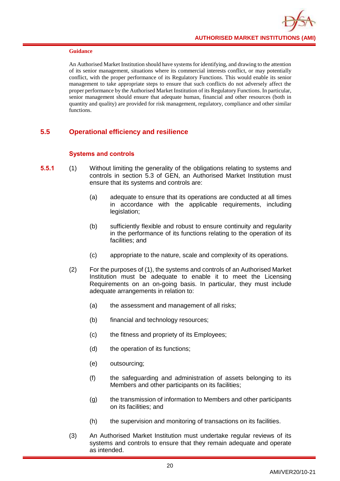An Authorised Market Institution should have systems for identifying, and drawing to the attention of its senior management, situations where its commercial interests conflict, or may potentially conflict, with the proper performance of its Regulatory Functions. This would enable its senior management to take appropriate steps to ensure that such conflicts do not adversely affect the proper performance by the Authorised Market Institution of its Regulatory Functions. In particular, senior management should ensure that adequate human, financial and other resources (both in quantity and quality) are provided for risk management, regulatory, compliance and other similar functions.

# <span id="page-23-0"></span>**5.5 Operational efficiency and resilience**

# **Systems and controls**

- **5.5.1** (1) Without limiting the generality of the obligations relating to systems and controls in section 5.3 of GEN, an Authorised Market Institution must ensure that its systems and controls are:
	- (a) adequate to ensure that its operations are conducted at all times in accordance with the applicable requirements, including legislation:
	- (b) sufficiently flexible and robust to ensure continuity and regularity in the performance of its functions relating to the operation of its facilities; and
	- (c) appropriate to the nature, scale and complexity of its operations.
	- (2) For the purposes of (1), the systems and controls of an Authorised Market Institution must be adequate to enable it to meet the Licensing Requirements on an on-going basis. In particular, they must include adequate arrangements in relation to:
		- (a) the assessment and management of all risks;
		- (b) financial and technology resources;
		- (c) the fitness and propriety of its Employees;
		- (d) the operation of its functions;
		- (e) outsourcing;
		- (f) the safeguarding and administration of assets belonging to its Members and other participants on its facilities;
		- (g) the transmission of information to Members and other participants on its facilities; and
		- (h) the supervision and monitoring of transactions on its facilities.
	- (3) An Authorised Market Institution must undertake regular reviews of its systems and controls to ensure that they remain adequate and operate as intended.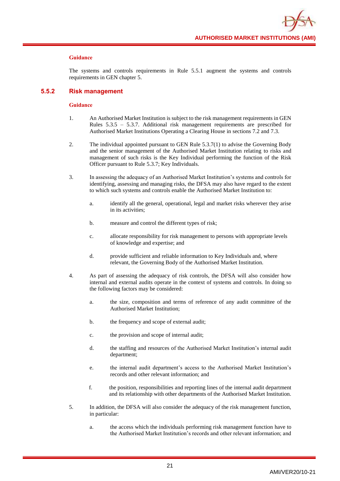

The systems and controls requirements in Rule 5.5.1 augment the systems and controls requirements in GEN chapter 5.

#### **5.5.2 Risk management**

- 1. An Authorised Market Institution is subject to the risk management requirements in GEN Rules 5.3.5 – 5.3.7. Additional risk management requirements are prescribed for Authorised Market Institutions Operating a Clearing House in sections 7.2 and 7.3.
- 2. The individual appointed pursuant to GEN Rule 5.3.7(1) to advise the Governing Body and the senior management of the Authorised Market Institution relating to risks and management of such risks is the Key Individual performing the function of the Risk Officer pursuant to Rule 5.3.7; Key Individuals.
- 3. In assessing the adequacy of an Authorised Market Institution's systems and controls for identifying, assessing and managing risks, the DFSA may also have regard to the extent to which such systems and controls enable the Authorised Market Institution to:
	- a. identify all the general, operational, legal and market risks wherever they arise in its activities;
	- b. measure and control the different types of risk;
	- c. allocate responsibility for risk management to persons with appropriate levels of knowledge and expertise; and
	- d. provide sufficient and reliable information to Key Individuals and, where relevant, the Governing Body of the Authorised Market Institution.
- 4. As part of assessing the adequacy of risk controls, the DFSA will also consider how internal and external audits operate in the context of systems and controls. In doing so the following factors may be considered:
	- a. the size, composition and terms of reference of any audit committee of the Authorised Market Institution;
	- b. the frequency and scope of external audit;
	- c. the provision and scope of internal audit;
	- d. the staffing and resources of the Authorised Market Institution's internal audit department;
	- e. the internal audit department's access to the Authorised Market Institution's records and other relevant information; and
	- f. the position, responsibilities and reporting lines of the internal audit department and its relationship with other departments of the Authorised Market Institution.
- 5. In addition, the DFSA will also consider the adequacy of the risk management function, in particular:
	- a. the access which the individuals performing risk management function have to the Authorised Market Institution's records and other relevant information; and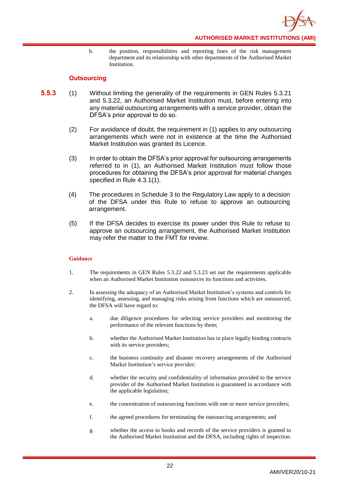

b. the position, responsibilities and reporting lines of the risk management department and its relationship with other departments of the Authorised Market Institution.

# **Outsourcing**

- **5.5.3** (1) Without limiting the generality of the requirements in GEN Rules 5.3.21 and 5.3.22, an Authorised Market Institution must, before entering into any material outsourcing arrangements with a service provider, obtain the DFSA's prior approval to do so.
	- (2) For avoidance of doubt, the requirement in (1) applies to any outsourcing arrangements which were not in existence at the time the Authorised Market Institution was granted its Licence.
	- (3) In order to obtain the DFSA's prior approval for outsourcing arrangements referred to in (1), an Authorised Market Institution must follow those procedures for obtaining the DFSA's prior approval for material changes specified in Rule 4.3.1(1).
	- (4) The procedures in Schedule 3 to the Regulatory Law apply to a decision of the DFSA under this Rule to refuse to approve an outsourcing arrangement.
	- (5) If the DFSA decides to exercise its power under this Rule to refuse to approve an outsourcing arrangement, the Authorised Market Institution may refer the matter to the FMT for review.

- 1. The requirements in GEN Rules 5.3.22 and 5.3.23 set out the requirements applicable when an Authorised Market Institution outsources its functions and activities.
- 2. In assessing the adequacy of an Authorised Market Institution's systems and controls for identifying, assessing, and managing risks arising from functions which are outsourced, the DFSA will have regard to:
	- a. due diligence procedures for selecting service providers and monitoring the performance of the relevant functions by them;
	- b. whether the Authorised Market Institution has in place legally binding contracts with its service providers;
	- c. the business continuity and disaster recovery arrangements of the Authorised Market Institution's service provider;
	- d. whether the security and confidentiality of information provided to the service provider of the Authorised Market Institution is guaranteed in accordance with the applicable legislation;
	- e. the concentration of outsourcing functions with one or more service providers;
	- f. the agreed procedures for terminating the outsourcing arrangements; and
	- g. whether the access to books and records of the service providers is granted to the Authorised Market Institution and the DFSA, including rights of inspection.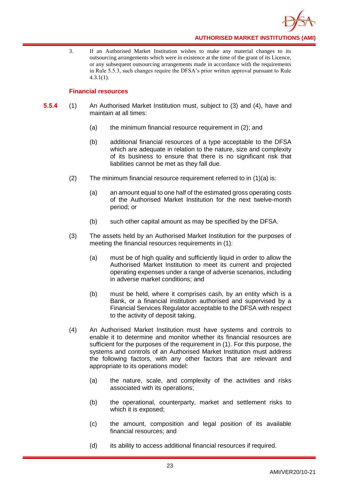

3. If an Authorised Market Institution wishes to make any material changes to its outsourcing arrangements which were in existence at the time of the grant of its Licence, or any subsequent outsourcing arrangements made in accordance with the requirements in Rule 5.5.3, such changes require the DFSA's prior written approval pursuant to Rule 4.3.1(1).

# **Financial resources**

- **5.5.4** (1) An Authorised Market Institution must, subject to (3) and (4), have and maintain at all times:
	- (a) the minimum financial resource requirement in (2); and
	- (b) additional financial resources of a type acceptable to the DFSA which are adequate in relation to the nature, size and complexity of its business to ensure that there is no significant risk that liabilities cannot be met as they fall due.
	- (2) The minimum financial resource requirement referred to in (1)(a) is:
		- (a) an amount equal to one half of the estimated gross operating costs of the Authorised Market Institution for the next twelve-month period; or
		- (b) such other capital amount as may be specified by the DFSA.
	- (3) The assets held by an Authorised Market Institution for the purposes of meeting the financial resources requirements in (1):
		- (a) must be of high quality and sufficiently liquid in order to allow the Authorised Market Institution to meet its current and projected operating expenses under a range of adverse scenarios, including in adverse market conditions; and
		- (b) must be held, where it comprises cash, by an entity which is a Bank, or a financial institution authorised and supervised by a Financial Services Regulator acceptable to the DFSA with respect to the activity of deposit taking.
	- (4) An Authorised Market Institution must have systems and controls to enable it to determine and monitor whether its financial resources are sufficient for the purposes of the requirement in (1). For this purpose, the systems and controls of an Authorised Market Institution must address the following factors, with any other factors that are relevant and appropriate to its operations model:
		- (a) the nature, scale, and complexity of the activities and risks associated with its operations;
		- (b) the operational, counterparty, market and settlement risks to which it is exposed;
		- (c) the amount, composition and legal position of its available financial resources; and
		- (d) its ability to access additional financial resources if required.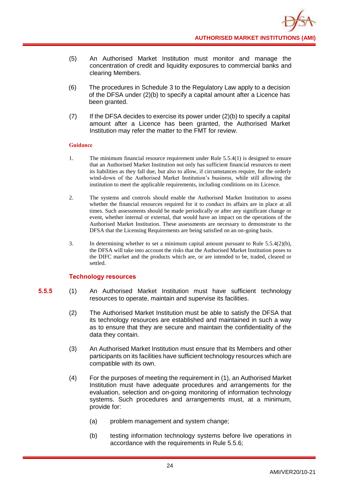- (5) An Authorised Market Institution must monitor and manage the concentration of credit and liquidity exposures to commercial banks and clearing Members.
- (6) The procedures in Schedule 3 to the Regulatory Law apply to a decision of the DFSA under (2)(b) to specify a capital amount after a Licence has been granted.
- $(7)$  If the DFSA decides to exercise its power under  $(2)(b)$  to specify a capital amount after a Licence has been granted, the Authorised Market Institution may refer the matter to the FMT for review.

- 1. The minimum financial resource requirement under Rule 5.5.4(1) is designed to ensure that an Authorised Market Institution not only has sufficient financial resources to meet its liabilities as they fall due, but also to allow, if circumstances require, for the orderly wind-down of the Authorised Market Institution's business, while still allowing the institution to meet the applicable requirements, including conditions on its Licence.
- 2. The systems and controls should enable the Authorised Market Institution to assess whether the financial resources required for it to conduct its affairs are in place at all times. Such assessments should be made periodically or after any significant change or event, whether internal or external, that would have an impact on the operations of the Authorised Market Institution. These assessments are necessary to demonstrate to the DFSA that the Licensing Requirements are being satisfied on an on-going basis.
- 3. In determining whether to set a minimum capital amount pursuant to Rule 5.5.4(2)(b), the DFSA will take into account the risks that the Authorised Market Institution poses to the DIFC market and the products which are, or are intended to be, traded, cleared or settled.

#### **Technology resources**

- **5.5.5** (1) An Authorised Market Institution must have sufficient technology resources to operate, maintain and supervise its facilities.
	- (2) The Authorised Market Institution must be able to satisfy the DFSA that its technology resources are established and maintained in such a way as to ensure that they are secure and maintain the confidentiality of the data they contain.
	- (3) An Authorised Market Institution must ensure that its Members and other participants on its facilities have sufficient technology resources which are compatible with its own.
	- (4) For the purposes of meeting the requirement in (1), an Authorised Market Institution must have adequate procedures and arrangements for the evaluation, selection and on-going monitoring of information technology systems. Such procedures and arrangements must, at a minimum, provide for:
		- (a) problem management and system change;
		- (b) testing information technology systems before live operations in accordance with the requirements in Rule 5.5.6;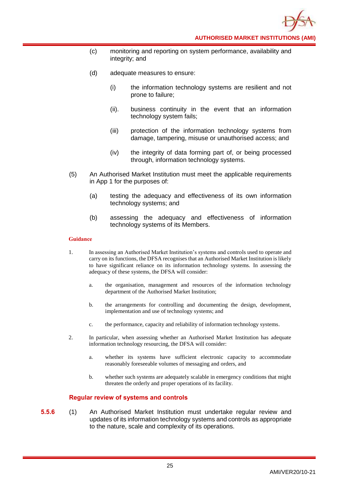- (c) monitoring and reporting on system performance, availability and integrity; and
- (d) adequate measures to ensure:
	- (i) the information technology systems are resilient and not prone to failure;
	- (ii). business continuity in the event that an information technology system fails;
	- (iii) protection of the information technology systems from damage, tampering, misuse or unauthorised access; and
	- (iv) the integrity of data forming part of, or being processed through, information technology systems.
- (5) An Authorised Market Institution must meet the applicable requirements in App 1 for the purposes of:
	- (a) testing the adequacy and effectiveness of its own information technology systems; and
	- (b) assessing the adequacy and effectiveness of information technology systems of its Members.

- 1. In assessing an Authorised Market Institution's systems and controls used to operate and carry on its functions, the DFSA recognises that an Authorised Market Institution is likely to have significant reliance on its information technology systems. In assessing the adequacy of these systems, the DFSA will consider:
	- a. the organisation, management and resources of the information technology department of the Authorised Market Institution;
	- b. the arrangements for controlling and documenting the design, development, implementation and use of technology systems; and
	- c. the performance, capacity and reliability of information technology systems.
- 2. In particular, when assessing whether an Authorised Market Institution has adequate information technology resourcing, the DFSA will consider:
	- a. whether its systems have sufficient electronic capacity to accommodate reasonably foreseeable volumes of messaging and orders, and
	- b. whether such systems are adequately scalable in emergency conditions that might threaten the orderly and proper operations of its facility.

#### **Regular review of systems and controls**

**5.5.6** (1) An Authorised Market Institution must undertake regular review and updates of its information technology systems and controls as appropriate to the nature, scale and complexity of its operations.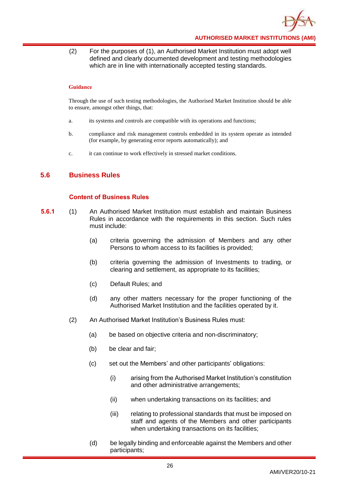

(2) For the purposes of (1), an Authorised Market Institution must adopt well defined and clearly documented development and testing methodologies which are in line with internationally accepted testing standards.

#### **Guidance**

Through the use of such testing methodologies, the Authorised Market Institution should be able to ensure, amongst other things, that:

- a. its systems and controls are compatible with its operations and functions;
- b. compliance and risk management controls embedded in its system operate as intended (for example, by generating error reports automatically); and
- c. it can continue to work effectively in stressed market conditions.

# <span id="page-29-0"></span>**5.6 Business Rules**

# **Content of Business Rules**

- **5.6.1** (1) An Authorised Market Institution must establish and maintain Business Rules in accordance with the requirements in this section. Such rules must include:
	- (a) criteria governing the admission of Members and any other Persons to whom access to its facilities is provided;
	- (b) criteria governing the admission of Investments to trading, or clearing and settlement, as appropriate to its facilities;
	- (c) Default Rules; and
	- (d) any other matters necessary for the proper functioning of the Authorised Market Institution and the facilities operated by it.
	- (2) An Authorised Market Institution's Business Rules must:
		- (a) be based on objective criteria and non-discriminatory;
		- (b) be clear and fair;
		- (c) set out the Members' and other participants' obligations:
			- (i) arising from the Authorised Market Institution's constitution and other administrative arrangements;
			- (ii) when undertaking transactions on its facilities; and
			- (iii) relating to professional standards that must be imposed on staff and agents of the Members and other participants when undertaking transactions on its facilities;
		- (d) be legally binding and enforceable against the Members and other participants;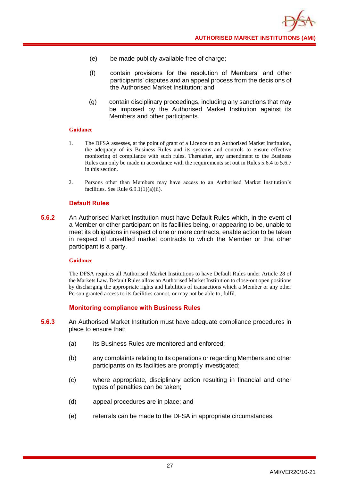- (e) be made publicly available free of charge;
- (f) contain provisions for the resolution of Members' and other participants' disputes and an appeal process from the decisions of the Authorised Market Institution; and
- (g) contain disciplinary proceedings, including any sanctions that may be imposed by the Authorised Market Institution against its Members and other participants.

- 1. The DFSA assesses, at the point of grant of a Licence to an Authorised Market Institution, the adequacy of its Business Rules and its systems and controls to ensure effective monitoring of compliance with such rules. Thereafter, any amendment to the Business Rules can only be made in accordance with the requirements set out in Rules 5.6.4 to 5.6.7 in this section.
- 2. Persons other than Members may have access to an Authorised Market Institution's facilities. See Rule  $6.9.1(1)(a)(ii)$ .

# **Default Rules**

**5.6.2** An Authorised Market Institution must have Default Rules which, in the event of a Member or other participant on its facilities being, or appearing to be, unable to meet its obligations in respect of one or more contracts, enable action to be taken in respect of unsettled market contracts to which the Member or that other participant is a party.

#### **Guidance**

The DFSA requires all Authorised Market Institutions to have Default Rules under Article 28 of the Markets Law. Default Rules allow an Authorised Market Institution to close-out open positions by discharging the appropriate rights and liabilities of transactions which a Member or any other Person granted access to its facilities cannot, or may not be able to, fulfil.

# **Monitoring compliance with Business Rules**

- **5.6.3** An Authorised Market Institution must have adequate compliance procedures in place to ensure that:
	- (a) its Business Rules are monitored and enforced;
	- (b) any complaints relating to its operations or regarding Members and other participants on its facilities are promptly investigated;
	- (c) where appropriate, disciplinary action resulting in financial and other types of penalties can be taken;
	- (d) appeal procedures are in place; and
	- (e) referrals can be made to the DFSA in appropriate circumstances.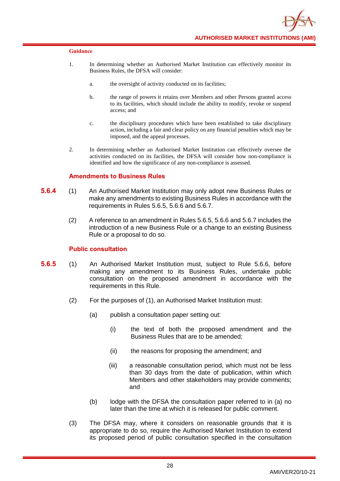

- 1. In determining whether an Authorised Market Institution can effectively monitor its Business Rules, the DFSA will consider:
	- a. the oversight of activity conducted on its facilities;
	- b. the range of powers it retains over Members and other Persons granted access to its facilities, which should include the ability to modify, revoke or suspend access; and
	- c. the disciplinary procedures which have been established to take disciplinary action, including a fair and clear policy on any financial penalties which may be imposed, and the appeal processes.
- 2. In determining whether an Authorised Market Institution can effectively oversee the activities conducted on its facilities, the DFSA will consider how non-compliance is identified and how the significance of any non-compliance is assessed.

# **Amendments to Business Rules**

- **5.6.4** (1) An Authorised Market Institution may only adopt new Business Rules or make any amendments to existing Business Rules in accordance with the requirements in Rules 5.6.5, 5.6.6 and 5.6.7.
	- (2) A reference to an amendment in Rules 5.6.5, 5.6.6 and 5.6.7 includes the introduction of a new Business Rule or a change to an existing Business Rule or a proposal to do so.

#### **Public consultation**

- **5.6.5** (1) An Authorised Market Institution must, subject to Rule 5.6.6, before making any amendment to its Business Rules, undertake public consultation on the proposed amendment in accordance with the requirements in this Rule.
	- (2) For the purposes of (1), an Authorised Market Institution must:
		- (a) publish a consultation paper setting out:
			- (i) the text of both the proposed amendment and the Business Rules that are to be amended;
			- (ii) the reasons for proposing the amendment; and
			- (iii) a reasonable consultation period, which must not be less than 30 days from the date of publication, within which Members and other stakeholders may provide comments; and
		- (b) lodge with the DFSA the consultation paper referred to in (a) no later than the time at which it is released for public comment.
	- (3) The DFSA may, where it considers on reasonable grounds that it is appropriate to do so, require the Authorised Market Institution to extend its proposed period of public consultation specified in the consultation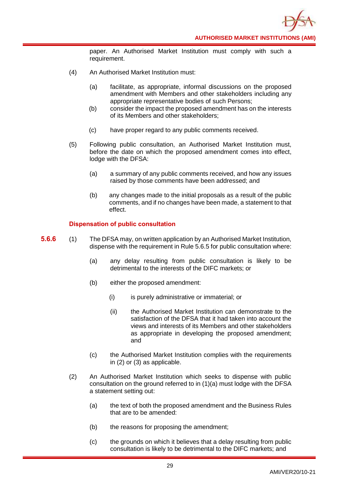paper. An Authorised Market Institution must comply with such a requirement.

- (4) An Authorised Market Institution must:
	- (a) facilitate, as appropriate, informal discussions on the proposed amendment with Members and other stakeholders including any appropriate representative bodies of such Persons;
	- (b) consider the impact the proposed amendment has on the interests of its Members and other stakeholders;
	- (c) have proper regard to any public comments received.
- (5) Following public consultation, an Authorised Market Institution must, before the date on which the proposed amendment comes into effect, lodge with the DFSA:
	- (a) a summary of any public comments received, and how any issues raised by those comments have been addressed; and
	- (b) any changes made to the initial proposals as a result of the public comments, and if no changes have been made, a statement to that effect.

# **Dispensation of public consultation**

- **5.6.6** (1) The DFSA may, on written application by an Authorised Market Institution, dispense with the requirement in Rule 5.6.5 for public consultation where:
	- (a) any delay resulting from public consultation is likely to be detrimental to the interests of the DIFC markets; or
	- (b) either the proposed amendment:
		- (i) is purely administrative or immaterial; or
		- (ii) the Authorised Market Institution can demonstrate to the satisfaction of the DFSA that it had taken into account the views and interests of its Members and other stakeholders as appropriate in developing the proposed amendment; and
	- (c) the Authorised Market Institution complies with the requirements in (2) or (3) as applicable.
	- (2) An Authorised Market Institution which seeks to dispense with public consultation on the ground referred to in (1)(a) must lodge with the DFSA a statement setting out:
		- (a) the text of both the proposed amendment and the Business Rules that are to be amended:
		- (b) the reasons for proposing the amendment;
		- (c) the grounds on which it believes that a delay resulting from public consultation is likely to be detrimental to the DIFC markets; and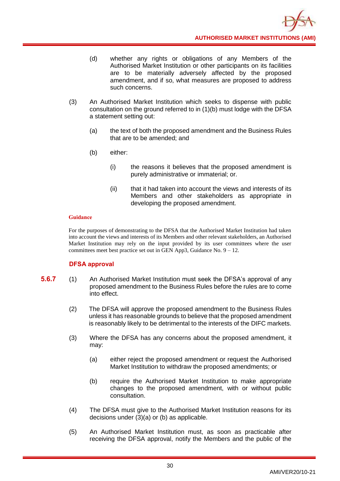- (d) whether any rights or obligations of any Members of the Authorised Market Institution or other participants on its facilities are to be materially adversely affected by the proposed amendment, and if so, what measures are proposed to address such concerns.
- (3) An Authorised Market Institution which seeks to dispense with public consultation on the ground referred to in (1)(b) must lodge with the DFSA a statement setting out:
	- (a) the text of both the proposed amendment and the Business Rules that are to be amended; and
	- (b) either:
		- (i) the reasons it believes that the proposed amendment is purely administrative or immaterial; or.
		- (ii) that it had taken into account the views and interests of its Members and other stakeholders as appropriate in developing the proposed amendment.

For the purposes of demonstrating to the DFSA that the Authorised Market Institution had taken into account the views and interests of its Members and other relevant stakeholders, an Authorised Market Institution may rely on the input provided by its user committees where the user committees meet best practice set out in GEN App3, Guidance No.  $9 - 12$ .

#### **DFSA approval**

- **5.6.7** (1) An Authorised Market Institution must seek the DFSA's approval of any proposed amendment to the Business Rules before the rules are to come into effect.
	- (2) The DFSA will approve the proposed amendment to the Business Rules unless it has reasonable grounds to believe that the proposed amendment is reasonably likely to be detrimental to the interests of the DIFC markets.
	- (3) Where the DFSA has any concerns about the proposed amendment, it may:
		- (a) either reject the proposed amendment or request the Authorised Market Institution to withdraw the proposed amendments; or
		- (b) require the Authorised Market Institution to make appropriate changes to the proposed amendment, with or without public consultation.
	- (4) The DFSA must give to the Authorised Market Institution reasons for its decisions under (3)(a) or (b) as applicable.
	- (5) An Authorised Market Institution must, as soon as practicable after receiving the DFSA approval, notify the Members and the public of the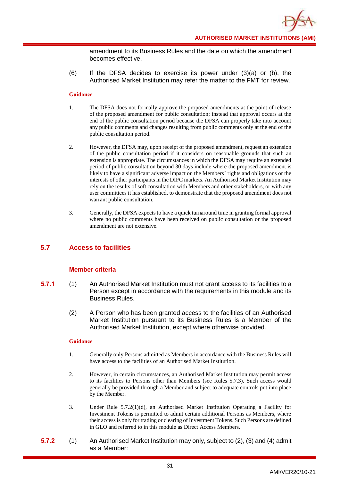amendment to its Business Rules and the date on which the amendment becomes effective.

(6) If the DFSA decides to exercise its power under (3)(a) or (b), the Authorised Market Institution may refer the matter to the FMT for review.

#### **Guidance**

- 1. The DFSA does not formally approve the proposed amendments at the point of release of the proposed amendment for public consultation; instead that approval occurs at the end of the public consultation period because the DFSA can properly take into account any public comments and changes resulting from public comments only at the end of the public consultation period.
- 2. However, the DFSA may, upon receipt of the proposed amendment, request an extension of the public consultation period if it considers on reasonable grounds that such an extension is appropriate. The circumstances in which the DFSA may require an extended period of public consultation beyond 30 days include where the proposed amendment is likely to have a significant adverse impact on the Members' rights and obligations or the interests of other participants in the DIFC markets. An Authorised Market Institution may rely on the results of soft consultation with Members and other stakeholders, or with any user committees it has established, to demonstrate that the proposed amendment does not warrant public consultation.
- 3. Generally, the DFSA expects to have a quick turnaround time in granting formal approval where no public comments have been received on public consultation or the proposed amendment are not extensive.

# <span id="page-34-0"></span>**5.7 Access to facilities**

# **Member criteria**

- **5.7.1** (1) An Authorised Market Institution must not grant access to its facilities to a Person except in accordance with the requirements in this module and its Business Rules.
	- (2) A Person who has been granted access to the facilities of an Authorised Market Institution pursuant to its Business Rules is a Member of the Authorised Market Institution, except where otherwise provided.

- 1. Generally only Persons admitted as Members in accordance with the Business Rules will have access to the facilities of an Authorised Market Institution.
- 2. However, in certain circumstances, an Authorised Market Institution may permit access to its facilities to Persons other than Members (see Rules 5.7.3). Such access would generally be provided through a Member and subject to adequate controls put into place by the Member.
- 3. Under Rule 5.7.2(1)(d), an Authorised Market Institution Operating a Facility for Investment Tokens is permitted to admit certain additional Persons as Members, where their access is only for trading or clearing of Investment Tokens. Such Persons are defined in GLO and referred to in this module as Direct Access Members.
- **5.7.2** (1) An Authorised Market Institution may only, subject to (2), (3) and (4) admit as a Member: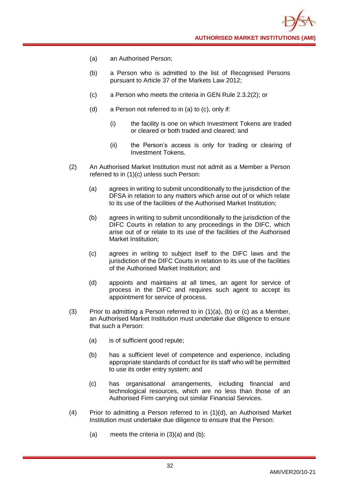- (a) an Authorised Person;
- (b) a Person who is admitted to the list of Recognised Persons pursuant to Article 37 of the Markets Law 2012;
- (c) a Person who meets the criteria in GEN Rule 2.3.2(2); or
- (d) a Person not referred to in (a) to (c), only if:
	- (i) the facility is one on which Investment Tokens are traded or cleared or both traded and cleared; and
	- (ii) the Person's access is only for trading or clearing of Investment Tokens.
- (2) An Authorised Market Institution must not admit as a Member a Person referred to in (1)(c) unless such Person:
	- (a) agrees in writing to submit unconditionally to the jurisdiction of the DFSA in relation to any matters which arise out of or which relate to its use of the facilities of the Authorised Market Institution;
	- (b) agrees in writing to submit unconditionally to the jurisdiction of the DIFC Courts in relation to any proceedings in the DIFC, which arise out of or relate to its use of the facilities of the Authorised Market Institution;
	- (c) agrees in writing to subject itself to the DIFC laws and the jurisdiction of the DIFC Courts in relation to its use of the facilities of the Authorised Market Institution; and
	- (d) appoints and maintains at all times, an agent for service of process in the DIFC and requires such agent to accept its appointment for service of process.
- (3) Prior to admitting a Person referred to in  $(1)(a)$ , (b) or (c) as a Member, an Authorised Market Institution must undertake due diligence to ensure that such a Person:
	- (a) is of sufficient good repute;
	- (b) has a sufficient level of competence and experience, including appropriate standards of conduct for its staff who will be permitted to use its order entry system; and
	- (c) has organisational arrangements, including financial and technological resources, which are no less than those of an Authorised Firm carrying out similar Financial Services.
- (4) Prior to admitting a Person referred to in (1)(d), an Authorised Market Institution must undertake due diligence to ensure that the Person:
	- (a) meets the criteria in  $(3)(a)$  and  $(b)$ ;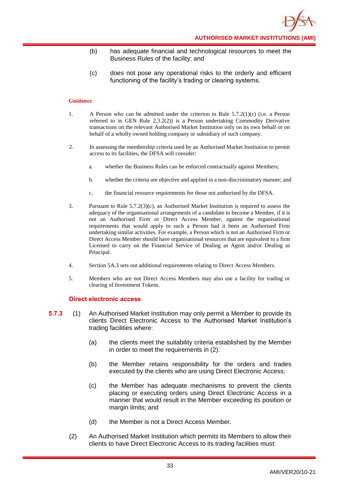- (b) has adequate financial and technological resources to meet the Business Rules of the facility; and
- (c) does not pose any operational risks to the orderly and efficient functioning of the facility's trading or clearing systems.

- 1. A Person who can be admitted under the criterion in Rule 5.7.2(1)(c) (i.e. a Person referred to in GEN Rule 2.3.2(2)) is a Person undertaking Commodity Derivative transactions on the relevant Authorised Market Institution only on its own behalf or on behalf of a wholly owned holding company or subsidiary of such company.
- 2. In assessing the membership criteria used by an Authorised Market Institution to permit access to its facilities, the DFSA will consider:
	- a. whether the Business Rules can be enforced contractually against Members;
	- b. whether the criteria are objective and applied in a non-discriminatory manner; and
	- c. the financial resource requirements for those not authorised by the DFSA.
- 3. Pursuant to Rule 5.7.2(3)(c), an Authorised Market Institution is required to assess the adequacy of the organisational arrangements of a candidate to become a Member, if it is not an Authorised Firm or Direct Access Member, against the organisational requirements that would apply to such a Person had it been an Authorised Firm undertaking similar activities. For example, a Person which is not an Authorised Firm or Direct Access Member should have organisational resources that are equivalent to a firm Licensed to carry on the Financial Service of Dealing as Agent and/or Dealing as Principal.
- 4. Section 5A.3 sets out additional requirements relating to Direct Access Members.
- 5. Members who are not Direct Access Members may also use a facility for trading or clearing of Investment Tokens.

## **Direct electronic access**

- **5.7.3** (1) An Authorised Market Institution may only permit a Member to provide its clients Direct Electronic Access to the Authorised Market Institution's trading facilities where:
	- (a) the clients meet the suitability criteria established by the Member in order to meet the requirements in (2):
	- (b) the Member retains responsibility for the orders and trades executed by the clients who are using Direct Electronic Access;
	- (c) the Member has adequate mechanisms to prevent the clients placing or executing orders using Direct Electronic Access in a manner that would result in the Member exceeding its position or margin limits; and
	- (d) the Member is not a Direct Access Member.
	- (2) An Authorised Market Institution which permits its Members to allow their clients to have Direct Electronic Access to its trading facilities must: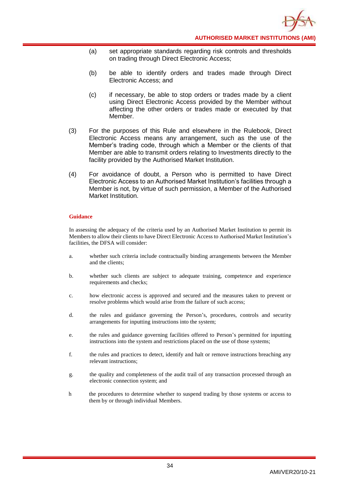- (a) set appropriate standards regarding risk controls and thresholds on trading through Direct Electronic Access;
- (b) be able to identify orders and trades made through Direct Electronic Access; and
- (c) if necessary, be able to stop orders or trades made by a client using Direct Electronic Access provided by the Member without affecting the other orders or trades made or executed by that Member.
- (3) For the purposes of this Rule and elsewhere in the Rulebook, Direct Electronic Access means any arrangement, such as the use of the Member's trading code, through which a Member or the clients of that Member are able to transmit orders relating to Investments directly to the facility provided by the Authorised Market Institution.
- (4) For avoidance of doubt, a Person who is permitted to have Direct Electronic Access to an Authorised Market Institution's facilities through a Member is not, by virtue of such permission, a Member of the Authorised Market Institution.

In assessing the adequacy of the criteria used by an Authorised Market Institution to permit its Members to allow their clients to have Direct Electronic Access to Authorised Market Institution's facilities, the DFSA will consider:

- a. whether such criteria include contractually binding arrangements between the Member and the clients;
- b. whether such clients are subject to adequate training, competence and experience requirements and checks;
- c. how electronic access is approved and secured and the measures taken to prevent or resolve problems which would arise from the failure of such access;
- d. the rules and guidance governing the Person's, procedures, controls and security arrangements for inputting instructions into the system;
- e. the rules and guidance governing facilities offered to Person's permitted for inputting instructions into the system and restrictions placed on the use of those systems;
- f. the rules and practices to detect, identify and halt or remove instructions breaching any relevant instructions;
- g. the quality and completeness of the audit trail of any transaction processed through an electronic connection system; and
- h the procedures to determine whether to suspend trading by those systems or access to them by or through individual Members.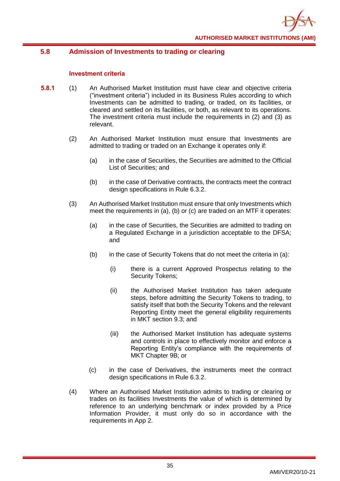# **5.8 Admission of Investments to trading or clearing**

## **Investment criteria**

- **5.8.1** (1) An Authorised Market Institution must have clear and objective criteria ("investment criteria") included in its Business Rules according to which Investments can be admitted to trading, or traded, on its facilities, or cleared and settled on its facilities, or both, as relevant to its operations. The investment criteria must include the requirements in (2) and (3) as relevant.
	- (2) An Authorised Market Institution must ensure that Investments are admitted to trading or traded on an Exchange it operates only if:
		- (a) in the case of Securities, the Securities are admitted to the Official List of Securities; and
		- (b) in the case of Derivative contracts, the contracts meet the contract design specifications in Rule 6.3.2.
	- (3) An Authorised Market Institution must ensure that only Investments which meet the requirements in (a), (b) or (c) are traded on an MTF it operates:
		- (a) in the case of Securities, the Securities are admitted to trading on a Regulated Exchange in a jurisdiction acceptable to the DFSA; and
		- (b) in the case of Security Tokens that do not meet the criteria in (a):
			- (i) there is a current Approved Prospectus relating to the Security Tokens;
			- (ii) the Authorised Market Institution has taken adequate steps, before admitting the Security Tokens to trading, to satisfy itself that both the Security Tokens and the relevant Reporting Entity meet the general eligibility requirements in MKT section 9.3; and
			- (iii) the Authorised Market Institution has adequate systems and controls in place to effectively monitor and enforce a Reporting Entity's compliance with the requirements of MKT Chapter 9B; or
		- (c) in the case of Derivatives, the instruments meet the contract design specifications in Rule 6.3.2.
	- (4) Where an Authorised Market Institution admits to trading or clearing or trades on its facilities Investments the value of which is determined by reference to an underlying benchmark or index provided by a Price Information Provider, it must only do so in accordance with the requirements in App 2.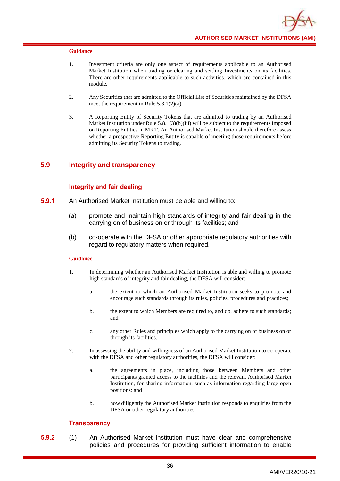- 1. Investment criteria are only one aspect of requirements applicable to an Authorised Market Institution when trading or clearing and settling Investments on its facilities. There are other requirements applicable to such activities, which are contained in this module.
- 2. Any Securities that are admitted to the Official List of Securities maintained by the DFSA meet the requirement in Rule 5.8.1(2)(a).
- 3. A Reporting Entity of Security Tokens that are admitted to trading by an Authorised Market Institution under Rule  $5.8.1(3)(b)(iii)$  will be subject to the requirements imposed on Reporting Entities in MKT. An Authorised Market Institution should therefore assess whether a prospective Reporting Entity is capable of meeting those requirements before admitting its Security Tokens to trading.

# **5.9 Integrity and transparency**

## **Integrity and fair dealing**

- **5.9.1** An Authorised Market Institution must be able and willing to:
	- (a) promote and maintain high standards of integrity and fair dealing in the carrying on of business on or through its facilities; and
	- (b) co-operate with the DFSA or other appropriate regulatory authorities with regard to regulatory matters when required.

### **Guidance**

- 1. In determining whether an Authorised Market Institution is able and willing to promote high standards of integrity and fair dealing, the DFSA will consider:
	- a. the extent to which an Authorised Market Institution seeks to promote and encourage such standards through its rules, policies, procedures and practices;
	- b. the extent to which Members are required to, and do, adhere to such standards; and
	- c. any other Rules and principles which apply to the carrying on of business on or through its facilities.
- 2. In assessing the ability and willingness of an Authorised Market Institution to co-operate with the DFSA and other regulatory authorities, the DFSA will consider:
	- a. the agreements in place, including those between Members and other participants granted access to the facilities and the relevant Authorised Market Institution, for sharing information, such as information regarding large open positions; and
	- b. how diligently the Authorised Market Institution responds to enquiries from the DFSA or other regulatory authorities.

## **Transparency**

**5.9.2** (1) An Authorised Market Institution must have clear and comprehensive policies and procedures for providing sufficient information to enable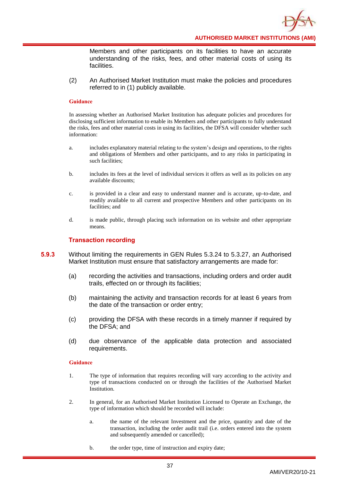

Members and other participants on its facilities to have an accurate understanding of the risks, fees, and other material costs of using its facilities.

(2) An Authorised Market Institution must make the policies and procedures referred to in (1) publicly available.

#### **Guidance**

In assessing whether an Authorised Market Institution has adequate policies and procedures for disclosing sufficient information to enable its Members and other participants to fully understand the risks, fees and other material costs in using its facilities, the DFSA will consider whether such information:

- a. includes explanatory material relating to the system's design and operations, to the rights and obligations of Members and other participants, and to any risks in participating in such facilities;
- b. includes its fees at the level of individual services it offers as well as its policies on any available discounts;
- c. is provided in a clear and easy to understand manner and is accurate, up-to-date, and readily available to all current and prospective Members and other participants on its facilities; and
- d. is made public, through placing such information on its website and other appropriate means.

#### **Transaction recording**

- **5.9.3** Without limiting the requirements in GEN Rules 5.3.24 to 5.3.27, an Authorised Market Institution must ensure that satisfactory arrangements are made for:
	- (a) recording the activities and transactions, including orders and order audit trails, effected on or through its facilities;
	- (b) maintaining the activity and transaction records for at least 6 years from the date of the transaction or order entry;
	- (c) providing the DFSA with these records in a timely manner if required by the DFSA; and
	- (d) due observance of the applicable data protection and associated requirements.

- 1. The type of information that requires recording will vary according to the activity and type of transactions conducted on or through the facilities of the Authorised Market Institution.
- 2. In general, for an Authorised Market Institution Licensed to Operate an Exchange, the type of information which should be recorded will include:
	- a. the name of the relevant Investment and the price, quantity and date of the transaction, including the order audit trail (i.e. orders entered into the system and subsequently amended or cancelled);
	- b. the order type, time of instruction and expiry date;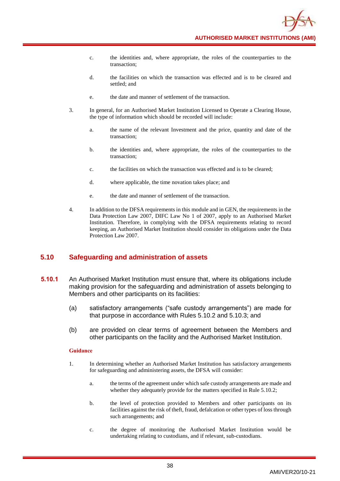- c. the identities and, where appropriate, the roles of the counterparties to the transaction;
- d. the facilities on which the transaction was effected and is to be cleared and settled; and
- e. the date and manner of settlement of the transaction.
- 3. In general, for an Authorised Market Institution Licensed to Operate a Clearing House, the type of information which should be recorded will include:
	- a. the name of the relevant Investment and the price, quantity and date of the transaction;
	- b. the identities and, where appropriate, the roles of the counterparties to the transaction;
	- c. the facilities on which the transaction was effected and is to be cleared;
	- d. where applicable, the time novation takes place; and
	- e. the date and manner of settlement of the transaction.
- 4. In addition to the DFSA requirements in this module and in GEN, the requirements in the Data Protection Law 2007, DIFC Law No 1 of 2007, apply to an Authorised Market Institution. Therefore, in complying with the DFSA requirements relating to record keeping, an Authorised Market Institution should consider its obligations under the Data Protection Law 2007.

# **5.10 Safeguarding and administration of assets**

- **5.10.1** An Authorised Market Institution must ensure that, where its obligations include making provision for the safeguarding and administration of assets belonging to Members and other participants on its facilities:
	- (a) satisfactory arrangements ("safe custody arrangements") are made for that purpose in accordance with Rules 5.10.2 and 5.10.3; and
	- (b) are provided on clear terms of agreement between the Members and other participants on the facility and the Authorised Market Institution.

- 1. In determining whether an Authorised Market Institution has satisfactory arrangements for safeguarding and administering assets, the DFSA will consider:
	- a. the terms of the agreement under which safe custody arrangements are made and whether they adequately provide for the matters specified in Rule 5.10.2;
	- b. the level of protection provided to Members and other participants on its facilities against the risk of theft, fraud, defalcation or other types of loss through such arrangements; and
	- c. the degree of monitoring the Authorised Market Institution would be undertaking relating to custodians, and if relevant, sub-custodians.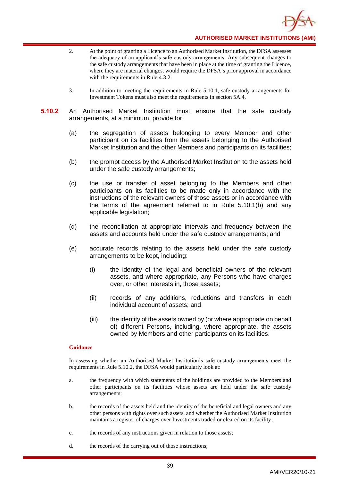

- 2. At the point of granting a Licence to an Authorised Market Institution, the DFSA assesses the adequacy of an applicant's safe custody arrangements. Any subsequent changes to the safe custody arrangements that have been in place at the time of granting the Licence, where they are material changes, would require the DFSA's prior approval in accordance with the requirements in Rule 4.3.2.
- 3. In addition to meeting the requirements in Rule 5.10.1, safe custody arrangements for Investment Tokens must also meet the requirements in section 5A.4.
- **5.10.2** An Authorised Market Institution must ensure that the safe custody arrangements, at a minimum, provide for:
	- (a) the segregation of assets belonging to every Member and other participant on its facilities from the assets belonging to the Authorised Market Institution and the other Members and participants on its facilities;
	- (b) the prompt access by the Authorised Market Institution to the assets held under the safe custody arrangements;
	- (c) the use or transfer of asset belonging to the Members and other participants on its facilities to be made only in accordance with the instructions of the relevant owners of those assets or in accordance with the terms of the agreement referred to in Rule 5.10.1(b) and any applicable legislation;
	- (d) the reconciliation at appropriate intervals and frequency between the assets and accounts held under the safe custody arrangements; and
	- (e) accurate records relating to the assets held under the safe custody arrangements to be kept, including:
		- (i) the identity of the legal and beneficial owners of the relevant assets, and where appropriate, any Persons who have charges over, or other interests in, those assets;
		- (ii) records of any additions, reductions and transfers in each individual account of assets; and
		- (iii) the identity of the assets owned by (or where appropriate on behalf of) different Persons, including, where appropriate, the assets owned by Members and other participants on its facilities.

In assessing whether an Authorised Market Institution's safe custody arrangements meet the requirements in Rule 5.10.2, the DFSA would particularly look at:

- a. the frequency with which statements of the holdings are provided to the Members and other participants on its facilities whose assets are held under the safe custody arrangements;
- b. the records of the assets held and the identity of the beneficial and legal owners and any other persons with rights over such assets, and whether the Authorised Market Institution maintains a register of charges over Investments traded or cleared on its facility;
- c. the records of any instructions given in relation to those assets;
- d. the records of the carrying out of those instructions;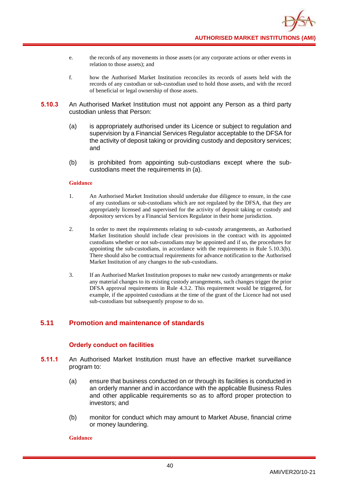

- e. the records of any movements in those assets (or any corporate actions or other events in relation to those assets); and
- f. how the Authorised Market Institution reconciles its records of assets held with the records of any custodian or sub-custodian used to hold those assets, and with the record of beneficial or legal ownership of those assets.
- **5.10.3** An Authorised Market Institution must not appoint any Person as a third party custodian unless that Person:
	- (a) is appropriately authorised under its Licence or subject to regulation and supervision by a Financial Services Regulator acceptable to the DFSA for the activity of deposit taking or providing custody and depository services; and
	- (b) is prohibited from appointing sub-custodians except where the subcustodians meet the requirements in (a).

- 1. An Authorised Market Institution should undertake due diligence to ensure, in the case of any custodians or sub-custodians which are not regulated by the DFSA, that they are appropriately licensed and supervised for the activity of deposit taking or custody and depository services by a Financial Services Regulator in their home jurisdiction.
- 2. In order to meet the requirements relating to sub-custody arrangements, an Authorised Market Institution should include clear provisions in the contract with its appointed custodians whether or not sub-custodians may be appointed and if so, the procedures for appointing the sub-custodians, in accordance with the requirements in Rule 5.10.3(b). There should also be contractual requirements for advance notification to the Authorised Market Institution of any changes to the sub-custodians.
- 3. If an Authorised Market Institution proposes to make new custody arrangements or make any material changes to its existing custody arrangements, such changes trigger the prior DFSA approval requirements in Rule 4.3.2. This requirement would be triggered, for example, if the appointed custodians at the time of the grant of the Licence had not used sub-custodians but subsequently propose to do so.

# **5.11 Promotion and maintenance of standards**

# **Orderly conduct on facilities**

- **5.11.1** An Authorised Market Institution must have an effective market surveillance program to:
	- (a) ensure that business conducted on or through its facilities is conducted in an orderly manner and in accordance with the applicable Business Rules and other applicable requirements so as to afford proper protection to investors; and
	- (b) monitor for conduct which may amount to Market Abuse, financial crime or money laundering.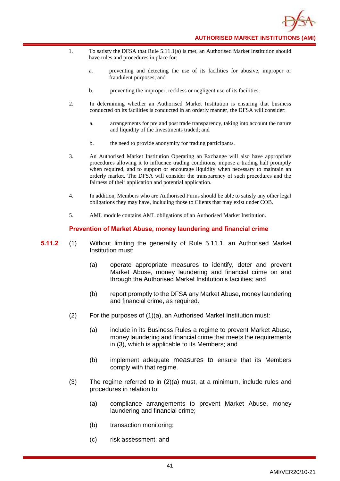

- 1. To satisfy the DFSA that Rule 5.11.1(a) is met, an Authorised Market Institution should have rules and procedures in place for:
	- a. preventing and detecting the use of its facilities for abusive, improper or fraudulent purposes; and
	- b. preventing the improper, reckless or negligent use of its facilities.
- 2. In determining whether an Authorised Market Institution is ensuring that business conducted on its facilities is conducted in an orderly manner, the DFSA will consider:
	- a. arrangements for pre and post trade transparency, taking into account the nature and liquidity of the Investments traded; and
	- b. the need to provide anonymity for trading participants.
- 3. An Authorised Market Institution Operating an Exchange will also have appropriate procedures allowing it to influence trading conditions, impose a trading halt promptly when required, and to support or encourage liquidity when necessary to maintain an orderly market. The DFSA will consider the transparency of such procedures and the fairness of their application and potential application.
- 4. In addition, Members who are Authorised Firms should be able to satisfy any other legal obligations they may have, including those to Clients that may exist under COB.
- 5. AML module contains AML obligations of an Authorised Market Institution.

## **Prevention of Market Abuse, money laundering and financial crime**

- **5.11.2** (1) Without limiting the generality of Rule 5.11.1, an Authorised Market Institution must:
	- (a) operate appropriate measures to identify, deter and prevent Market Abuse, money laundering and financial crime on and through the Authorised Market Institution's facilities; and
	- (b) report promptly to the DFSA any Market Abuse, money laundering and financial crime, as required.
	- (2) For the purposes of (1)(a), an Authorised Market Institution must:
		- (a) include in its Business Rules a regime to prevent Market Abuse, money laundering and financial crime that meets the requirements in (3), which is applicable to its Members; and
		- (b) implement adequate measures to ensure that its Members comply with that regime.
	- (3) The regime referred to in (2)(a) must, at a minimum, include rules and procedures in relation to:
		- (a) compliance arrangements to prevent Market Abuse, money laundering and financial crime;
		- (b) transaction monitoring;
		- (c) risk assessment; and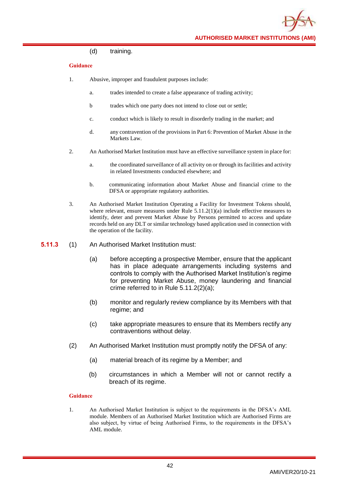### (d) training.

## **Guidance**

- 1. Abusive, improper and fraudulent purposes include:
	- a. trades intended to create a false appearance of trading activity;
	- b trades which one party does not intend to close out or settle;
	- c. conduct which is likely to result in disorderly trading in the market; and
	- d. any contravention of the provisions in Part 6: Prevention of Market Abuse in the Markets Law.
- 2. An Authorised Market Institution must have an effective surveillance system in place for:
	- a. the coordinated surveillance of all activity on or through its facilities and activity in related Investments conducted elsewhere; and
	- b. communicating information about Market Abuse and financial crime to the DFSA or appropriate regulatory authorities.
- 3. An Authorised Market Institution Operating a Facility for Investment Tokens should, where relevant, ensure measures under Rule 5.11.2(1)(a) include effective measures to identify, deter and prevent Market Abuse by Persons permitted to access and update records held on any DLT or similar technology based application used in connection with the operation of the facility.
- **5.11.3** (1) An Authorised Market Institution must:
	- (a) before accepting a prospective Member, ensure that the applicant has in place adequate arrangements including systems and controls to comply with the Authorised Market Institution's regime for preventing Market Abuse, money laundering and financial crime referred to in Rule 5.11.2(2)(a);
	- (b) monitor and regularly review compliance by its Members with that regime; and
	- (c) take appropriate measures to ensure that its Members rectify any contraventions without delay.
	- (2) An Authorised Market Institution must promptly notify the DFSA of any:
		- (a) material breach of its regime by a Member; and
		- (b) circumstances in which a Member will not or cannot rectify a breach of its regime.

#### **Guidance**

1. An Authorised Market Institution is subject to the requirements in the DFSA's AML module. Members of an Authorised Market Institution which are Authorised Firms are also subject, by virtue of being Authorised Firms, to the requirements in the DFSA's AML module.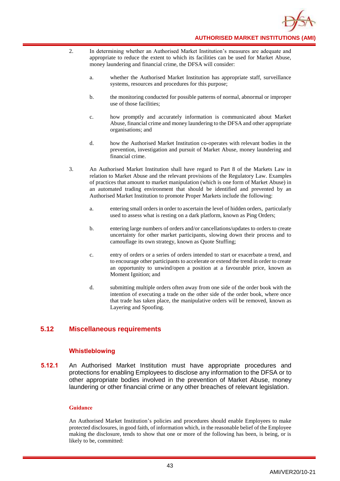

- 2. In determining whether an Authorised Market Institution's measures are adequate and appropriate to reduce the extent to which its facilities can be used for Market Abuse, money laundering and financial crime, the DFSA will consider:
	- a. whether the Authorised Market Institution has appropriate staff, surveillance systems, resources and procedures for this purpose;
	- b. the monitoring conducted for possible patterns of normal, abnormal or improper use of those facilities;
	- c. how promptly and accurately information is communicated about Market Abuse, financial crime and money laundering to the DFSA and other appropriate organisations; and
	- d. how the Authorised Market Institution co-operates with relevant bodies in the prevention, investigation and pursuit of Market Abuse, money laundering and financial crime.
- 3. An Authorised Market Institution shall have regard to Part 8 of the Markets Law in relation to Market Abuse and the relevant provisions of the Regulatory Law. Examples of practices that amount to market manipulation (which is one form of Market Abuse) in an automated trading environment that should be identified and prevented by an Authorised Market Institution to promote Proper Markets include the following:
	- a. entering small orders in order to ascertain the level of hidden orders, particularly used to assess what is resting on a dark platform, known as Ping Orders;
	- b. entering large numbers of orders and/or cancellations/updates to orders to create uncertainty for other market participants, slowing down their process and to camouflage its own strategy, known as Quote Stuffing;
	- c. entry of orders or a series of orders intended to start or exacerbate a trend, and to encourage other participants to accelerate or extend the trend in order to create an opportunity to unwind/open a position at a favourable price, known as Moment Ignition; and
	- d. submitting multiple orders often away from one side of the order book with the intention of executing a trade on the other side of the order book, where once that trade has taken place, the manipulative orders will be removed, known as Layering and Spoofing.

# **5.12 Miscellaneous requirements**

# **Whistleblowing**

**5.12.1** An Authorised Market Institution must have appropriate procedures and protections for enabling Employees to disclose any information to the DFSA or to other appropriate bodies involved in the prevention of Market Abuse, money laundering or other financial crime or any other breaches of relevant legislation.

#### **Guidance**

An Authorised Market Institution's policies and procedures should enable Employees to make protected disclosures, in good faith, of information which, in the reasonable belief of the Employee making the disclosure, tends to show that one or more of the following has been, is being, or is likely to be, committed: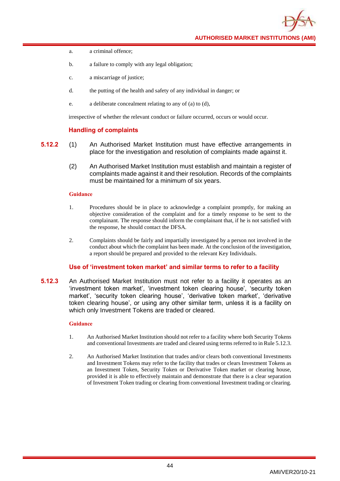**AUTHORISED MARKET INSTITUTIONS (AMI)**

- a. a criminal offence;
- b. a failure to comply with any legal obligation;
- c. a miscarriage of justice;
- d. the putting of the health and safety of any individual in danger; or
- e. a deliberate concealment relating to any of (a) to (d),

irrespective of whether the relevant conduct or failure occurred, occurs or would occur.

## **Handling of complaints**

- **5.12.2** (1) An Authorised Market Institution must have effective arrangements in place for the investigation and resolution of complaints made against it.
	- (2) An Authorised Market Institution must establish and maintain a register of complaints made against it and their resolution. Records of the complaints must be maintained for a minimum of six years.

#### **Guidance**

- 1. Procedures should be in place to acknowledge a complaint promptly, for making an objective consideration of the complaint and for a timely response to be sent to the complainant. The response should inform the complainant that, if he is not satisfied with the response, he should contact the DFSA.
- 2. Complaints should be fairly and impartially investigated by a person not involved in the conduct about which the complaint has been made. At the conclusion of the investigation, a report should be prepared and provided to the relevant Key Individuals.

## **Use of 'investment token market' and similar terms to refer to a facility**

**5.12.3** An Authorised Market Institution must not refer to a facility it operates as an 'investment token market', 'investment token clearing house', 'security token market', 'security token clearing house', 'derivative token market', 'derivative token clearing house', or using any other similar term, unless it is a facility on which only Investment Tokens are traded or cleared.

- 1. An Authorised Market Institution should not refer to a facility where both Security Tokens and conventional Investments are traded and cleared using terms referred to in Rule 5.12.3.
- 2. An Authorised Market Institution that trades and/or clears both conventional Investments and Investment Tokens may refer to the facility that trades or clears Investment Tokens as an Investment Token, Security Token or Derivative Token market or clearing house, provided it is able to effectively maintain and demonstrate that there is a clear separation of Investment Token trading or clearing from conventional Investment trading or clearing.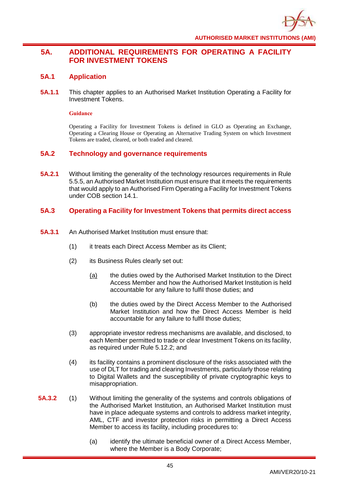

# **5A. ADDITIONAL REQUIREMENTS FOR OPERATING A FACILITY FOR INVESTMENT TOKENS**

# **5A.1 Application**

**5A.1.1** This chapter applies to an Authorised Market Institution Operating a Facility for Investment Tokens.

### **Guidance**

Operating a Facility for Investment Tokens is defined in GLO as Operating an Exchange, Operating a Clearing House or Operating an Alternative Trading System on which Investment Tokens are traded, cleared, or both traded and cleared.

# **5A.2 Technology and governance requirements**

**5A.2.1** Without limiting the generality of the technology resources requirements in Rule 5.5.5, an Authorised Market Institution must ensure that it meets the requirements that would apply to an Authorised Firm Operating a Facility for Investment Tokens under COB section 14.1.

# **5A.3 Operating a Facility for Investment Tokens that permits direct access**

- **5A.3.1** An Authorised Market Institution must ensure that:
	- (1) it treats each Direct Access Member as its Client;
	- (2) its Business Rules clearly set out:
		- (a) the duties owed by the Authorised Market Institution to the Direct Access Member and how the Authorised Market Institution is held accountable for any failure to fulfil those duties; and
		- (b) the duties owed by the Direct Access Member to the Authorised Market Institution and how the Direct Access Member is held accountable for any failure to fulfil those duties;
	- (3) appropriate investor redress mechanisms are available, and disclosed, to each Member permitted to trade or clear Investment Tokens on its facility, as required under Rule 5.12.2; and
	- (4) its facility contains a prominent disclosure of the risks associated with the use of DLT for trading and clearing Investments, particularly those relating to Digital Wallets and the susceptibility of private cryptographic keys to misappropriation.
- **5A.3.2** (1) Without limiting the generality of the systems and controls obligations of the Authorised Market Institution, an Authorised Market Institution must have in place adequate systems and controls to address market integrity, AML, CTF and investor protection risks in permitting a Direct Access Member to access its facility, including procedures to:
	- (a) identify the ultimate beneficial owner of a Direct Access Member, where the Member is a Body Corporate;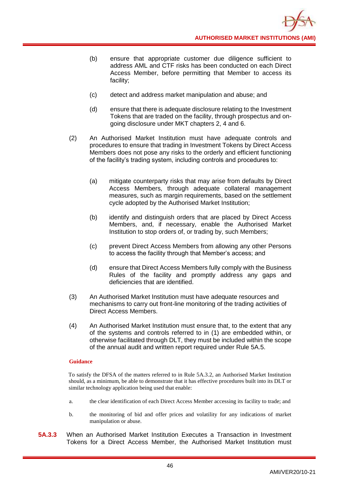- (b) ensure that appropriate customer due diligence sufficient to address AML and CTF risks has been conducted on each Direct Access Member, before permitting that Member to access its facility;
- (c) detect and address market manipulation and abuse; and
- (d) ensure that there is adequate disclosure relating to the Investment Tokens that are traded on the facility, through prospectus and ongoing disclosure under MKT chapters 2, 4 and 6.
- (2) An Authorised Market Institution must have adequate controls and procedures to ensure that trading in Investment Tokens by Direct Access Members does not pose any risks to the orderly and efficient functioning of the facility's trading system, including controls and procedures to:
	- (a) mitigate counterparty risks that may arise from defaults by Direct Access Members, through adequate collateral management measures, such as margin requirements, based on the settlement cycle adopted by the Authorised Market Institution;
	- (b) identify and distinguish orders that are placed by Direct Access Members, and, if necessary, enable the Authorised Market Institution to stop orders of, or trading by, such Members;
	- (c) prevent Direct Access Members from allowing any other Persons to access the facility through that Member's access; and
	- (d) ensure that Direct Access Members fully comply with the Business Rules of the facility and promptly address any gaps and deficiencies that are identified.
- (3) An Authorised Market Institution must have adequate resources and mechanisms to carry out front-line monitoring of the trading activities of Direct Access Members.
- (4) An Authorised Market Institution must ensure that, to the extent that any of the systems and controls referred to in (1) are embedded within, or otherwise facilitated through DLT, they must be included within the scope of the annual audit and written report required under Rule 5A.5.

To satisfy the DFSA of the matters referred to in Rule 5A.3.2, an Authorised Market Institution should, as a minimum, be able to demonstrate that it has effective procedures built into its DLT or similar technology application being used that enable:

- a. the clear identification of each Direct Access Member accessing its facility to trade; and
- b. the monitoring of bid and offer prices and volatility for any indications of market manipulation or abuse.
- **5A.3.3** When an Authorised Market Institution Executes a Transaction in Investment Tokens for a Direct Access Member, the Authorised Market Institution must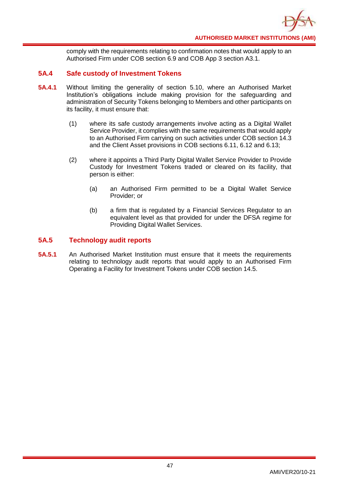

comply with the requirements relating to confirmation notes that would apply to an Authorised Firm under COB section 6.9 and COB App 3 section A3.1.

# **5A.4 Safe custody of Investment Tokens**

- **5A.4.1** Without limiting the generality of section 5.10, where an Authorised Market Institution's obligations include making provision for the safeguarding and administration of Security Tokens belonging to Members and other participants on its facility, it must ensure that:
	- (1) where its safe custody arrangements involve acting as a Digital Wallet Service Provider, it complies with the same requirements that would apply to an Authorised Firm carrying on such activities under COB section 14.3 and the Client Asset provisions in COB sections 6.11, 6.12 and 6.13;
	- (2) where it appoints a Third Party Digital Wallet Service Provider to Provide Custody for Investment Tokens traded or cleared on its facility, that person is either:
		- (a) an Authorised Firm permitted to be a Digital Wallet Service Provider; or
		- (b) a firm that is regulated by a Financial Services Regulator to an equivalent level as that provided for under the DFSA regime for Providing Digital Wallet Services.

# **5A.5 Technology audit reports**

**5A.5.1** An Authorised Market Institution must ensure that it meets the requirements relating to technology audit reports that would apply to an Authorised Firm Operating a Facility for Investment Tokens under COB section 14.5.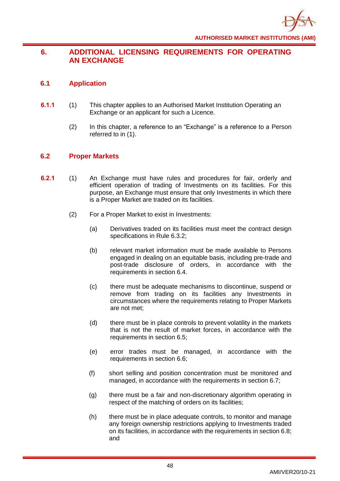# **6. ADDITIONAL LICENSING REQUIREMENTS FOR OPERATING AN EXCHANGE**

# **6.1 Application**

- **6.1.1** (1) This chapter applies to an Authorised Market Institution Operating an Exchange or an applicant for such a Licence.
	- (2) In this chapter, a reference to an "Exchange" is a reference to a Person referred to in (1).

# **6.2 Proper Markets**

- **6.2.1** (1) An Exchange must have rules and procedures for fair, orderly and efficient operation of trading of Investments on its facilities. For this purpose, an Exchange must ensure that only Investments in which there is a Proper Market are traded on its facilities.
	- (2) For a Proper Market to exist in Investments:
		- (a) Derivatives traded on its facilities must meet the contract design specifications in Rule 6.3.2;
		- (b) relevant market information must be made available to Persons engaged in dealing on an equitable basis, including pre-trade and post-trade disclosure of orders, in accordance with the requirements in section 6.4.
		- (c) there must be adequate mechanisms to discontinue, suspend or remove from trading on its facilities any Investments in circumstances where the requirements relating to Proper Markets are not met;
		- (d) there must be in place controls to prevent volatility in the markets that is not the result of market forces, in accordance with the requirements in section 6.5;
		- (e) error trades must be managed, in accordance with the requirements in section 6.6;
		- (f) short selling and position concentration must be monitored and managed, in accordance with the requirements in section 6.7;
		- (g) there must be a fair and non-discretionary algorithm operating in respect of the matching of orders on its facilities;
		- (h) there must be in place adequate controls, to monitor and manage any foreign ownership restrictions applying to Investments traded on its facilities, in accordance with the requirements in section 6.8; and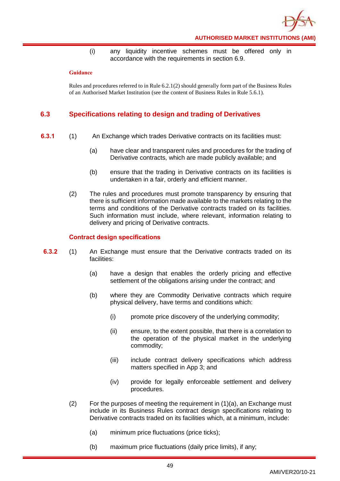

(i) any liquidity incentive schemes must be offered only in accordance with the requirements in section 6.9.

#### **Guidance**

Rules and procedures referred to in Rule 6.2.1(2) should generally form part of the Business Rules of an Authorised Market Institution (see the content of Business Rules in Rule 5.6.1).

# **6.3 Specifications relating to design and trading of Derivatives**

- **6.3.1** (1) An Exchange which trades Derivative contracts on its facilities must:
	- (a) have clear and transparent rules and procedures for the trading of Derivative contracts, which are made publicly available; and
	- (b) ensure that the trading in Derivative contracts on its facilities is undertaken in a fair, orderly and efficient manner.
	- (2) The rules and procedures must promote transparency by ensuring that there is sufficient information made available to the markets relating to the terms and conditions of the Derivative contracts traded on its facilities. Such information must include, where relevant, information relating to delivery and pricing of Derivative contracts.

## **Contract design specifications**

- **6.3.2** (1) An Exchange must ensure that the Derivative contracts traded on its facilities:
	- (a) have a design that enables the orderly pricing and effective settlement of the obligations arising under the contract; and
	- (b) where they are Commodity Derivative contracts which require physical delivery, have terms and conditions which:
		- (i) promote price discovery of the underlying commodity;
		- (ii) ensure, to the extent possible, that there is a correlation to the operation of the physical market in the underlying commodity;
		- (iii) include contract delivery specifications which address matters specified in App 3; and
		- (iv) provide for legally enforceable settlement and delivery procedures.
	- (2) For the purposes of meeting the requirement in  $(1)(a)$ , an Exchange must include in its Business Rules contract design specifications relating to Derivative contracts traded on its facilities which, at a minimum, include:
		- (a) minimum price fluctuations (price ticks);
		- (b) maximum price fluctuations (daily price limits), if any;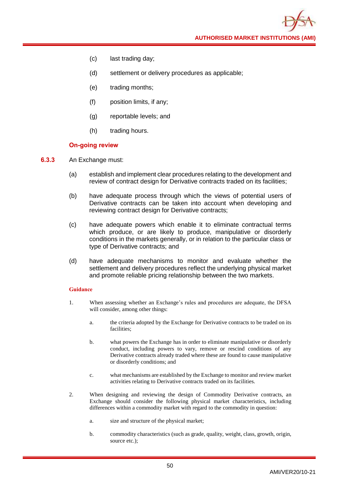**AUTHORISED MARKET INSTITUTIONS (AMI)**

- (c) last trading day;
- (d) settlement or delivery procedures as applicable;
- (e) trading months;
- (f) position limits, if any;
- (g) reportable levels; and
- (h) trading hours.

## **On-going review**

- **6.3.3** An Exchange must:
	- (a) establish and implement clear procedures relating to the development and review of contract design for Derivative contracts traded on its facilities;
	- (b) have adequate process through which the views of potential users of Derivative contracts can be taken into account when developing and reviewing contract design for Derivative contracts;
	- (c) have adequate powers which enable it to eliminate contractual terms which produce, or are likely to produce, manipulative or disorderly conditions in the markets generally, or in relation to the particular class or type of Derivative contracts; and
	- (d) have adequate mechanisms to monitor and evaluate whether the settlement and delivery procedures reflect the underlying physical market and promote reliable pricing relationship between the two markets.

- 1. When assessing whether an Exchange's rules and procedures are adequate, the DFSA will consider, among other things:
	- a. the criteria adopted by the Exchange for Derivative contracts to be traded on its facilities;
	- b. what powers the Exchange has in order to eliminate manipulative or disorderly conduct, including powers to vary, remove or rescind conditions of any Derivative contracts already traded where these are found to cause manipulative or disorderly conditions; and
	- c. what mechanisms are established by the Exchange to monitor and review market activities relating to Derivative contracts traded on its facilities.
- 2. When designing and reviewing the design of Commodity Derivative contracts, an Exchange should consider the following physical market characteristics, including differences within a commodity market with regard to the commodity in question:
	- a. size and structure of the physical market;
	- b. commodity characteristics (such as grade, quality, weight, class, growth, origin, source etc.);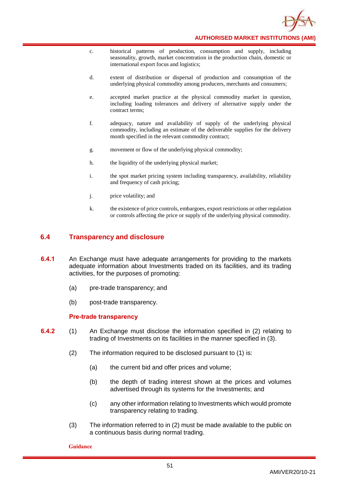

- c. historical patterns of production, consumption and supply, including seasonality, growth, market concentration in the production chain, domestic or international export focus and logistics;
- d. extent of distribution or dispersal of production and consumption of the underlying physical commodity among producers, merchants and consumers;
- e. accepted market practice at the physical commodity market in question, including loading tolerances and delivery of alternative supply under the contract terms;
- f. adequacy, nature and availability of supply of the underlying physical commodity, including an estimate of the deliverable supplies for the delivery month specified in the relevant commodity contract;
- g. movement or flow of the underlying physical commodity;
- h. the liquidity of the underlying physical market;
- i. the spot market pricing system including transparency, availability, reliability and frequency of cash pricing;
- j. price volatility; and
- k. the existence of price controls, embargoes, export restrictions or other regulation or controls affecting the price or supply of the underlying physical commodity.

## **6.4 Transparency and disclosure**

- **6.4.1** An Exchange must have adequate arrangements for providing to the markets adequate information about Investments traded on its facilities, and its trading activities, for the purposes of promoting:
	- (a) pre-trade transparency; and
	- (b) post-trade transparency.

## **Pre-trade transparency**

- **6.4.2** (1) An Exchange must disclose the information specified in (2) relating to trading of Investments on its facilities in the manner specified in (3).
	- (2) The information required to be disclosed pursuant to (1) is:
		- (a) the current bid and offer prices and volume;
		- (b) the depth of trading interest shown at the prices and volumes advertised through its systems for the Investments; and
		- (c) any other information relating to Investments which would promote transparency relating to trading.
	- (3) The information referred to in (2) must be made available to the public on a continuous basis during normal trading.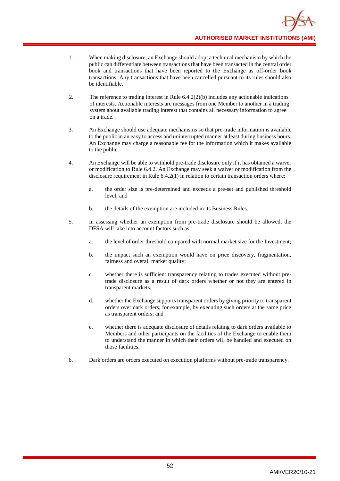- 1. When making disclosure, an Exchange should adopt a technical mechanism by which the public can differentiate between transactions that have been transacted in the central order book and transactions that have been reported to the Exchange as off-order book transactions. Any transactions that have been cancelled pursuant to its rules should also be identifiable.
- 2. The reference to trading interest in Rule 6.4.2(2)(b) includes any actionable indications of interests. Actionable interests are messages from one Member to another in a trading system about available trading interest that contains all necessary information to agree on a trade.
- 3. An Exchange should use adequate mechanisms so that pre-trade information is available to the public in an easy to access and uninterrupted manner at least during business hours. An Exchange may charge a reasonable fee for the information which it makes available to the public.
- 4. An Exchange will be able to withhold pre-trade disclosure only if it has obtained a waiver or modification to Rule 6.4.2. An Exchange may seek a waiver or modification from the disclosure requirement in Rule 6.4.2(1) in relation to certain transaction orders where:
	- a. the order size is pre-determined and exceeds a pre-set and published threshold level; and
	- b. the details of the exemption are included in its Business Rules.
- 5. In assessing whether an exemption from pre-trade disclosure should be allowed, the DFSA will take into account factors such as:
	- a. the level of order threshold compared with normal market size for the Investment;
	- b. the impact such an exemption would have on price discovery, fragmentation, fairness and overall market quality;
	- c. whether there is sufficient transparency relating to trades executed without pretrade disclosure as a result of dark orders whether or not they are entered in transparent markets;
	- d. whether the Exchange supports transparent orders by giving priority to transparent orders over dark orders, for example, by executing such orders at the same price as transparent orders; and
	- e. whether there is adequate disclosure of details relating to dark orders available to Members and other participants on the facilities of the Exchange to enable them to understand the manner in which their orders will be handled and executed on those facilities.
- 6. Dark orders are orders executed on execution platforms without pre-trade transparency.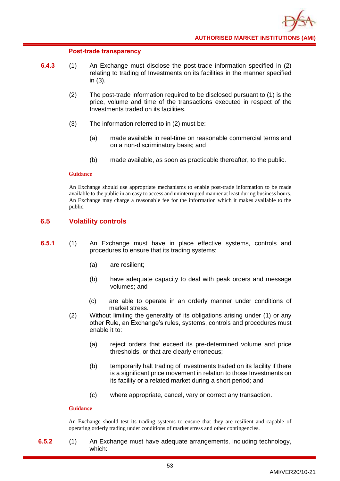### **Post-trade transparency**

- **6.4.3** (1) An Exchange must disclose the post-trade information specified in (2) relating to trading of Investments on its facilities in the manner specified in (3).
	- (2) The post-trade information required to be disclosed pursuant to (1) is the price, volume and time of the transactions executed in respect of the Investments traded on its facilities.
	- (3) The information referred to in (2) must be:
		- (a) made available in real-time on reasonable commercial terms and on a non-discriminatory basis; and
		- (b) made available, as soon as practicable thereafter, to the public.

### **Guidance**

An Exchange should use appropriate mechanisms to enable post-trade information to be made available to the public in an easy to access and uninterrupted manner at least during business hours. An Exchange may charge a reasonable fee for the information which it makes available to the public.

# **6.5 Volatility controls**

- **6.5.1** (1) An Exchange must have in place effective systems, controls and procedures to ensure that its trading systems:
	- (a) are resilient;
	- (b) have adequate capacity to deal with peak orders and message volumes; and
	- (c) are able to operate in an orderly manner under conditions of market stress.
	- (2) Without limiting the generality of its obligations arising under (1) or any other Rule, an Exchange's rules, systems, controls and procedures must enable it to:
		- (a) reject orders that exceed its pre-determined volume and price thresholds, or that are clearly erroneous;
		- (b) temporarily halt trading of Investments traded on its facility if there is a significant price movement in relation to those Investments on its facility or a related market during a short period; and
		- (c) where appropriate, cancel, vary or correct any transaction.

## **Guidance**

An Exchange should test its trading systems to ensure that they are resilient and capable of operating orderly trading under conditions of market stress and other contingencies.

**6.5.2** (1) An Exchange must have adequate arrangements, including technology, which: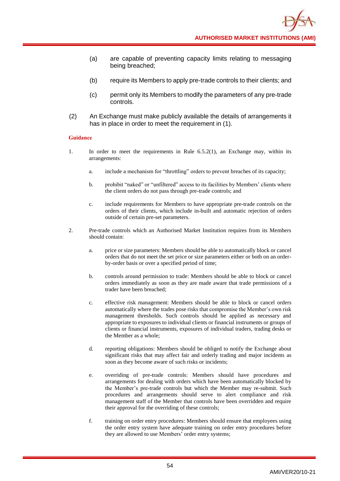- (a) are capable of preventing capacity limits relating to messaging being breached;
- (b) require its Members to apply pre-trade controls to their clients; and
- (c) permit only its Members to modify the parameters of any pre-trade controls.
- (2) An Exchange must make publicly available the details of arrangements it has in place in order to meet the requirement in (1).

- 1. In order to meet the requirements in Rule 6.5.2(1), an Exchange may, within its arrangements:
	- a. include a mechanism for "throttling" orders to prevent breaches of its capacity;
	- b. prohibit "naked" or "unfiltered" access to its facilities by Members' clients where the client orders do not pass through pre-trade controls; and
	- c. include requirements for Members to have appropriate pre-trade controls on the orders of their clients, which include in-built and automatic rejection of orders outside of certain pre-set parameters.
- 2. Pre-trade controls which an Authorised Market Institution requires from its Members should contain:
	- a. price or size parameters: Members should be able to automatically block or cancel orders that do not meet the set price or size parameters either or both on an orderby-order basis or over a specified period of time;
	- b. controls around permission to trade: Members should be able to block or cancel orders immediately as soon as they are made aware that trade permissions of a trader have been breached;
	- c. effective risk management: Members should be able to block or cancel orders automatically where the trades pose risks that compromise the Member's own risk management thresholds. Such controls should be applied as necessary and appropriate to exposures to individual clients or financial instruments or groups of clients or financial instruments, exposures of individual traders, trading desks or the Member as a whole;
	- d. reporting obligations: Members should be obliged to notify the Exchange about significant risks that may affect fair and orderly trading and major incidents as soon as they become aware of such risks or incidents;
	- e. overriding of pre-trade controls: Members should have procedures and arrangements for dealing with orders which have been automatically blocked by the Member's pre-trade controls but which the Member may re-submit. Such procedures and arrangements should serve to alert compliance and risk management staff of the Member that controls have been overridden and require their approval for the overriding of these controls;
	- f. training on order entry procedures: Members should ensure that employees using the order entry system have adequate training on order entry procedures before they are allowed to use Members' order entry systems;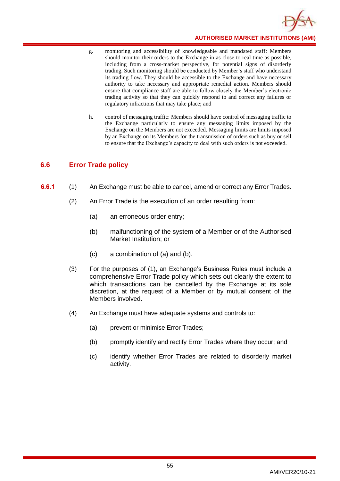

- g. monitoring and accessibility of knowledgeable and mandated staff: Members should monitor their orders to the Exchange in as close to real time as possible, including from a cross-market perspective, for potential signs of disorderly trading. Such monitoring should be conducted by Member's staff who understand its trading flow. They should be accessible to the Exchange and have necessary authority to take necessary and appropriate remedial action. Members should ensure that compliance staff are able to follow closely the Member's electronic trading activity so that they can quickly respond to and correct any failures or regulatory infractions that may take place; and
- h. control of messaging traffic: Members should have control of messaging traffic to the Exchange particularly to ensure any messaging limits imposed by the Exchange on the Members are not exceeded. Messaging limits are limits imposed by an Exchange on its Members for the transmission of orders such as buy or sell to ensure that the Exchange's capacity to deal with such orders is not exceeded.

# **6.6 Error Trade policy**

- **6.6.1** (1) An Exchange must be able to cancel, amend or correct any Error Trades.
	- (2) An Error Trade is the execution of an order resulting from:
		- (a) an erroneous order entry;
		- (b) malfunctioning of the system of a Member or of the Authorised Market Institution; or
		- (c) a combination of (a) and (b).
	- (3) For the purposes of (1), an Exchange's Business Rules must include a comprehensive Error Trade policy which sets out clearly the extent to which transactions can be cancelled by the Exchange at its sole discretion, at the request of a Member or by mutual consent of the Members involved.
	- (4) An Exchange must have adequate systems and controls to:
		- (a) prevent or minimise Error Trades;
		- (b) promptly identify and rectify Error Trades where they occur; and
		- (c) identify whether Error Trades are related to disorderly market activity.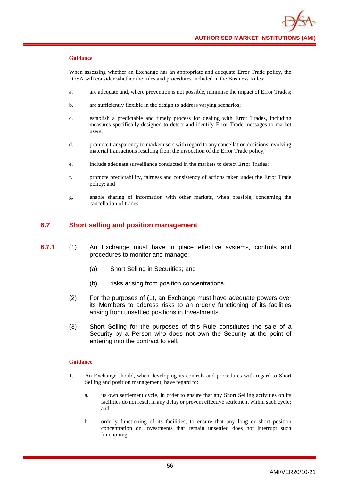When assessing whether an Exchange has an appropriate and adequate Error Trade policy, the DFSA will consider whether the rules and procedures included in the Business Rules:

- a. are adequate and, where prevention is not possible, minimise the impact of Error Trades;
- b. are sufficiently flexible in the design to address varying scenarios;
- c. establish a predictable and timely process for dealing with Error Trades, including measures specifically designed to detect and identify Error Trade messages to market users;
- d. promote transparency to market users with regard to any cancellation decisions involving material transactions resulting from the invocation of the Error Trade policy;
- e. include adequate surveillance conducted in the markets to detect Error Trades;
- f. promote predictability, fairness and consistency of actions taken under the Error Trade policy; and
- g. enable sharing of information with other markets, when possible, concerning the cancellation of trades.

# **6.7 Short selling and position management**

- **6.7.1** (1) An Exchange must have in place effective systems, controls and procedures to monitor and manage:
	- (a) Short Selling in Securities; and
	- (b) risks arising from position concentrations.
	- (2) For the purposes of (1), an Exchange must have adequate powers over its Members to address risks to an orderly functioning of its facilities arising from unsettled positions in Investments.
	- (3) Short Selling for the purposes of this Rule constitutes the sale of a Security by a Person who does not own the Security at the point of entering into the contract to sell.

- 1. An Exchange should, when developing its controls and procedures with regard to Short Selling and position management, have regard to:
	- a. its own settlement cycle, in order to ensure that any Short Selling activities on its facilities do not result in any delay or prevent effective settlement within such cycle; and
	- b. orderly functioning of its facilities, to ensure that any long or short position concentration on Investments that remain unsettled does not interrupt such functioning.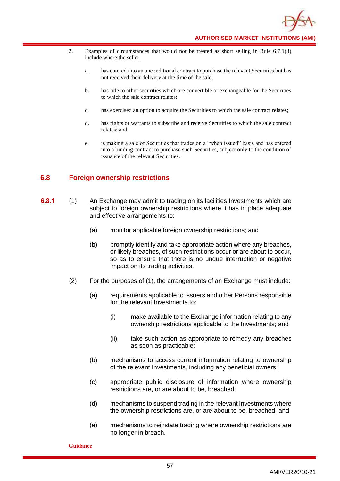- 2. Examples of circumstances that would not be treated as short selling in Rule 6.7.1(3) include where the seller:
	- a. has entered into an unconditional contract to purchase the relevant Securities but has not received their delivery at the time of the sale;
	- b. has title to other securities which are convertible or exchangeable for the Securities to which the sale contract relates;
	- c. has exercised an option to acquire the Securities to which the sale contract relates;
	- d. has rights or warrants to subscribe and receive Securities to which the sale contract relates; and
	- e. is making a sale of Securities that trades on a "when issued" basis and has entered into a binding contract to purchase such Securities, subject only to the condition of issuance of the relevant Securities.

# **6.8 Foreign ownership restrictions**

- **6.8.1** (1) An Exchange may admit to trading on its facilities Investments which are subject to foreign ownership restrictions where it has in place adequate and effective arrangements to:
	- (a) monitor applicable foreign ownership restrictions; and
	- (b) promptly identify and take appropriate action where any breaches, or likely breaches, of such restrictions occur or are about to occur, so as to ensure that there is no undue interruption or negative impact on its trading activities.
	- (2) For the purposes of (1), the arrangements of an Exchange must include:
		- (a) requirements applicable to issuers and other Persons responsible for the relevant Investments to:
			- (i) make available to the Exchange information relating to any ownership restrictions applicable to the Investments; and
			- (ii) take such action as appropriate to remedy any breaches as soon as practicable;
		- (b) mechanisms to access current information relating to ownership of the relevant Investments, including any beneficial owners;
		- (c) appropriate public disclosure of information where ownership restrictions are, or are about to be, breached;
		- (d) mechanisms to suspend trading in the relevant Investments where the ownership restrictions are, or are about to be, breached; and
		- (e) mechanisms to reinstate trading where ownership restrictions are no longer in breach.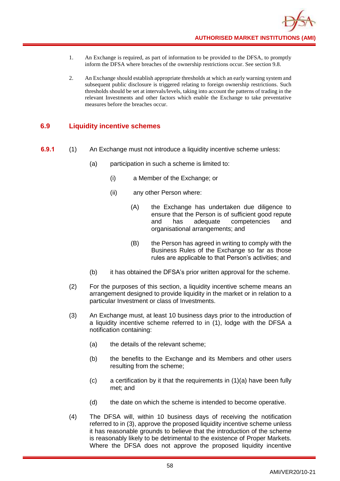- 1. An Exchange is required, as part of information to be provided to the DFSA, to promptly inform the DFSA where breaches of the ownership restrictions occur. See section 9.8.
- 2. An Exchange should establish appropriate thresholds at which an early warning system and subsequent public disclosure is triggered relating to foreign ownership restrictions. Such thresholds should be set at intervals/levels, taking into account the patterns of trading in the relevant Investments and other factors which enable the Exchange to take preventative measures before the breaches occur.

# **6.9 Liquidity incentive schemes**

- **6.9.1** (1) An Exchange must not introduce a liquidity incentive scheme unless:
	- (a) participation in such a scheme is limited to:
		- (i) a Member of the Exchange; or
		- (ii) any other Person where:
			- (A) the Exchange has undertaken due diligence to ensure that the Person is of sufficient good repute and has adequate competencies and organisational arrangements; and
			- (B) the Person has agreed in writing to comply with the Business Rules of the Exchange so far as those rules are applicable to that Person's activities; and
	- (b) it has obtained the DFSA's prior written approval for the scheme.
	- (2) For the purposes of this section, a liquidity incentive scheme means an arrangement designed to provide liquidity in the market or in relation to a particular Investment or class of Investments.
	- (3) An Exchange must, at least 10 business days prior to the introduction of a liquidity incentive scheme referred to in (1), lodge with the DFSA a notification containing:
		- (a) the details of the relevant scheme;
		- (b) the benefits to the Exchange and its Members and other users resulting from the scheme;
		- $(c)$  a certification by it that the requirements in  $(1)(a)$  have been fully met; and
		- (d) the date on which the scheme is intended to become operative.
	- (4) The DFSA will, within 10 business days of receiving the notification referred to in (3), approve the proposed liquidity incentive scheme unless it has reasonable grounds to believe that the introduction of the scheme is reasonably likely to be detrimental to the existence of Proper Markets. Where the DFSA does not approve the proposed liquidity incentive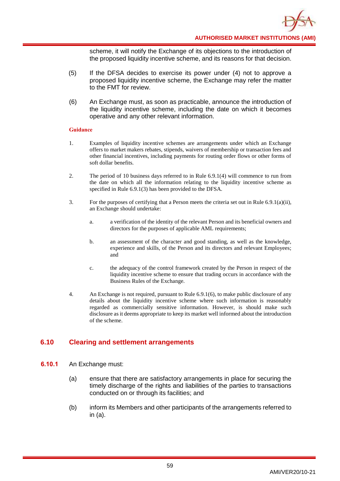

scheme, it will notify the Exchange of its objections to the introduction of the proposed liquidity incentive scheme, and its reasons for that decision.

- (5) If the DFSA decides to exercise its power under (4) not to approve a proposed liquidity incentive scheme, the Exchange may refer the matter to the FMT for review.
- (6) An Exchange must, as soon as practicable, announce the introduction of the liquidity incentive scheme, including the date on which it becomes operative and any other relevant information.

#### **Guidance**

- 1. Examples of liquidity incentive schemes are arrangements under which an Exchange offers to market makers rebates, stipends, waivers of membership or transaction fees and other financial incentives, including payments for routing order flows or other forms of soft dollar benefits.
- 2. The period of 10 business days referred to in Rule 6.9.1(4) will commence to run from the date on which all the information relating to the liquidity incentive scheme as specified in Rule 6.9.1(3) has been provided to the DFSA.
- 3. For the purposes of certifying that a Person meets the criteria set out in Rule 6.9.1(a)(ii), an Exchange should undertake:
	- a. a verification of the identity of the relevant Person and its beneficial owners and directors for the purposes of applicable AML requirements;
	- b. an assessment of the character and good standing, as well as the knowledge, experience and skills, of the Person and its directors and relevant Employees; and
	- c. the adequacy of the control framework created by the Person in respect of the liquidity incentive scheme to ensure that trading occurs in accordance with the Business Rules of the Exchange.
- 4. An Exchange is not required, pursuant to Rule 6.9.1(6), to make public disclosure of any details about the liquidity incentive scheme where such information is reasonably regarded as commercially sensitive information. However, is should make such disclosure as it deems appropriate to keep its market well informed about the introduction of the scheme.

# **6.10 Clearing and settlement arrangements**

- **6.10.1** An Exchange must:
	- (a) ensure that there are satisfactory arrangements in place for securing the timely discharge of the rights and liabilities of the parties to transactions conducted on or through its facilities; and
	- (b) inform its Members and other participants of the arrangements referred to in (a).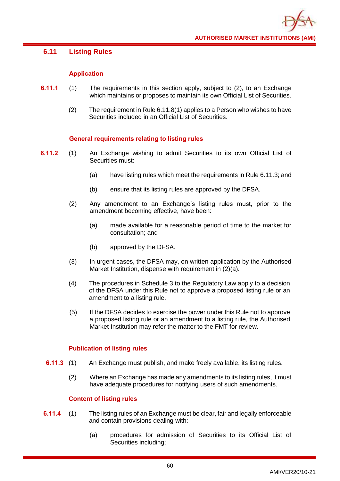# **6.11 Listing Rules**

# **Application**

- **6.11.1** (1) The requirements in this section apply, subject to (2), to an Exchange which maintains or proposes to maintain its own Official List of Securities.
	- (2) The requirement in Rule 6.11.8(1) applies to a Person who wishes to have Securities included in an Official List of Securities.

# **General requirements relating to listing rules**

- **6.11.2** (1) An Exchange wishing to admit Securities to its own Official List of Securities must:
	- (a) have listing rules which meet the requirements in Rule 6.11.3; and
	- (b) ensure that its listing rules are approved by the DFSA.
	- (2) Any amendment to an Exchange's listing rules must, prior to the amendment becoming effective, have been:
		- (a) made available for a reasonable period of time to the market for consultation; and
		- (b) approved by the DFSA.
	- (3) In urgent cases, the DFSA may, on written application by the Authorised Market Institution, dispense with requirement in (2)(a).
	- (4) The procedures in Schedule 3 to the Regulatory Law apply to a decision of the DFSA under this Rule not to approve a proposed listing rule or an amendment to a listing rule.
	- (5) If the DFSA decides to exercise the power under this Rule not to approve a proposed listing rule or an amendment to a listing rule, the Authorised Market Institution may refer the matter to the FMT for review.

## **Publication of listing rules**

- **6.11.3** (1) An Exchange must publish, and make freely available, its listing rules.
	- (2) Where an Exchange has made any amendments to its listing rules, it must have adequate procedures for notifying users of such amendments.

# **Content of listing rules**

- **6.11.4** (1) The listing rules of an Exchange must be clear, fair and legally enforceable and contain provisions dealing with:
	- (a) procedures for admission of Securities to its Official List of Securities including;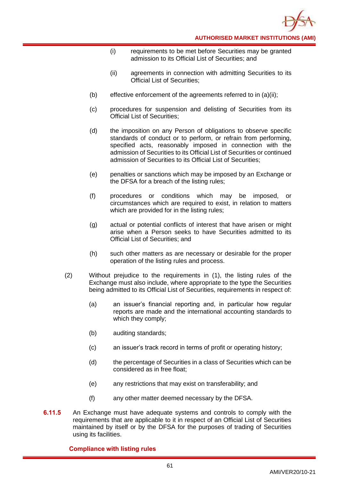

- (i) requirements to be met before Securities may be granted admission to its Official List of Securities; and
- (ii) agreements in connection with admitting Securities to its Official List of Securities;
- (b) effective enforcement of the agreements referred to in  $(a)(ii)$ ;
- (c) procedures for suspension and delisting of Securities from its Official List of Securities;
- (d) the imposition on any Person of obligations to observe specific standards of conduct or to perform, or refrain from performing, specified acts, reasonably imposed in connection with the admission of Securities to its Official List of Securities or continued admission of Securities to its Official List of Securities;
- (e) penalties or sanctions which may be imposed by an Exchange or the DFSA for a breach of the listing rules;
- (f) procedures or conditions which may be imposed, or circumstances which are required to exist, in relation to matters which are provided for in the listing rules:
- (g) actual or potential conflicts of interest that have arisen or might arise when a Person seeks to have Securities admitted to its Official List of Securities; and
- (h) such other matters as are necessary or desirable for the proper operation of the listing rules and process.
- (2) Without prejudice to the requirements in (1), the listing rules of the Exchange must also include, where appropriate to the type the Securities being admitted to its Official List of Securities, requirements in respect of:
	- (a) an issuer's financial reporting and, in particular how regular reports are made and the international accounting standards to which they comply;
	- (b) auditing standards;
	- (c) an issuer's track record in terms of profit or operating history;
	- (d) the percentage of Securities in a class of Securities which can be considered as in free float;
	- (e) any restrictions that may exist on transferability; and
	- (f) any other matter deemed necessary by the DFSA.
- **6.11.5** An Exchange must have adequate systems and controls to comply with the requirements that are applicable to it in respect of an Official List of Securities maintained by itself or by the DFSA for the purposes of trading of Securities using its facilities.

# **Compliance with listing rules**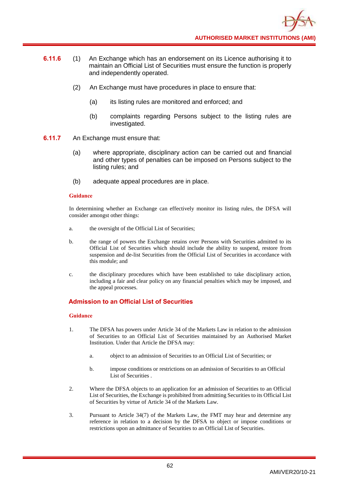- **6.11.6** (1) An Exchange which has an endorsement on its Licence authorising it to maintain an Official List of Securities must ensure the function is properly and independently operated.
	- (2) An Exchange must have procedures in place to ensure that:
		- (a) its listing rules are monitored and enforced; and
		- (b) complaints regarding Persons subject to the listing rules are investigated.
- **6.11.7** An Exchange must ensure that:
	- (a) where appropriate, disciplinary action can be carried out and financial and other types of penalties can be imposed on Persons subject to the listing rules; and
	- (b) adequate appeal procedures are in place.

In determining whether an Exchange can effectively monitor its listing rules, the DFSA will consider amongst other things:

- a. the oversight of the Official List of Securities;
- b. the range of powers the Exchange retains over Persons with Securities admitted to its Official List of Securities which should include the ability to suspend, restore from suspension and de-list Securities from the Official List of Securities in accordance with this module; and
- c. the disciplinary procedures which have been established to take disciplinary action, including a fair and clear policy on any financial penalties which may be imposed, and the appeal processes.

# **Admission to an Official List of Securities**

- 1. The DFSA has powers under Article 34 of the Markets Law in relation to the admission of Securities to an Official List of Securities maintained by an Authorised Market Institution. Under that Article the DFSA may:
	- a. object to an admission of Securities to an Official List of Securities; or
	- b. impose conditions or restrictions on an admission of Securities to an Official List of Securities .
- 2. Where the DFSA objects to an application for an admission of Securities to an Official List of Securities, the Exchange is prohibited from admitting Securities to its Official List of Securities by virtue of Article 34 of the Markets Law.
- 3. Pursuant to Article 34(7) of the Markets Law, the FMT may hear and determine any reference in relation to a decision by the DFSA to object or impose conditions or restrictions upon an admittance of Securities to an Official List of Securities.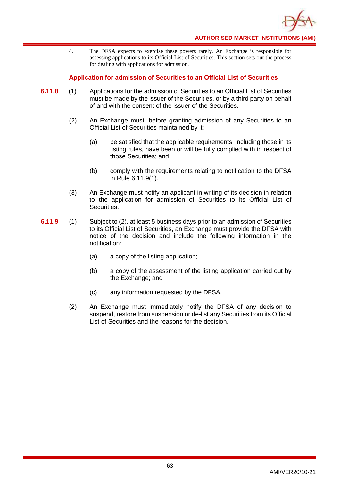

4. The DFSA expects to exercise these powers rarely. An Exchange is responsible for assessing applications to its Official List of Securities. This section sets out the process for dealing with applications for admission.

## **Application for admission of Securities to an Official List of Securities**

- **6.11.8** (1) Applications for the admission of Securities to an Official List of Securities must be made by the issuer of the Securities, or by a third party on behalf of and with the consent of the issuer of the Securities.
	- (2) An Exchange must, before granting admission of any Securities to an Official List of Securities maintained by it:
		- (a) be satisfied that the applicable requirements, including those in its listing rules, have been or will be fully complied with in respect of those Securities; and
		- (b) comply with the requirements relating to notification to the DFSA in Rule 6.11.9(1).
	- (3) An Exchange must notify an applicant in writing of its decision in relation to the application for admission of Securities to its Official List of Securities.
- **6.11.9** (1) Subject to (2), at least 5 business days prior to an admission of Securities to its Official List of Securities, an Exchange must provide the DFSA with notice of the decision and include the following information in the notification:
	- (a) a copy of the listing application;
	- (b) a copy of the assessment of the listing application carried out by the Exchange; and
	- (c) any information requested by the DFSA.
	- (2) An Exchange must immediately notify the DFSA of any decision to suspend, restore from suspension or de-list any Securities from its Official List of Securities and the reasons for the decision.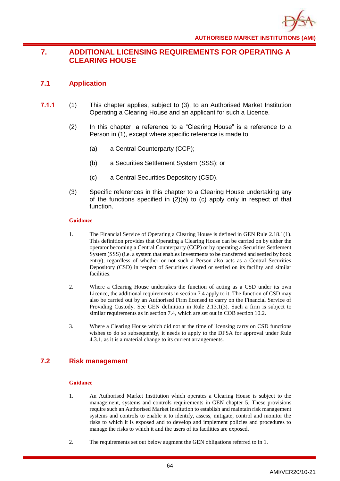# **7. ADDITIONAL LICENSING REQUIREMENTS FOR OPERATING A CLEARING HOUSE**

# **7.1 Application**

- **7.1.1** (1) This chapter applies, subject to (3), to an Authorised Market Institution Operating a Clearing House and an applicant for such a Licence.
	- (2) In this chapter, a reference to a "Clearing House" is a reference to a Person in (1), except where specific reference is made to:
		- (a) a Central Counterparty (CCP);
		- (b) a Securities Settlement System (SSS); or
		- (c) a Central Securities Depository (CSD).
	- (3) Specific references in this chapter to a Clearing House undertaking any of the functions specified in (2)(a) to (c) apply only in respect of that function.

## **Guidance**

- 1. The Financial Service of Operating a Clearing House is defined in GEN Rule 2.18.1(1). This definition provides that Operating a Clearing House can be carried on by either the operator becoming a Central Counterparty (CCP) or by operating a Securities Settlement System (SSS) (i.e. a system that enables Investments to be transferred and settled by book entry), regardless of whether or not such a Person also acts as a Central Securities Depository (CSD) in respect of Securities cleared or settled on its facility and similar facilities.
- 2. Where a Clearing House undertakes the function of acting as a CSD under its own Licence, the additional requirements in section 7.4 apply to it. The function of CSD may also be carried out by an Authorised Firm licensed to carry on the Financial Service of Providing Custody. See GEN definition in Rule 2.13.1(3). Such a firm is subject to similar requirements as in section 7.4, which are set out in COB section 10.2.
- 3. Where a Clearing House which did not at the time of licensing carry on CSD functions wishes to do so subsequently, it needs to apply to the DFSA for approval under Rule 4.3.1, as it is a material change to its current arrangements.

# **7.2 Risk management**

- 1. An Authorised Market Institution which operates a Clearing House is subject to the management, systems and controls requirements in GEN chapter 5. These provisions require such an Authorised Market Institution to establish and maintain risk management systems and controls to enable it to identify, assess, mitigate, control and monitor the risks to which it is exposed and to develop and implement policies and procedures to manage the risks to which it and the users of its facilities are exposed.
- 2. The requirements set out below augment the GEN obligations referred to in 1.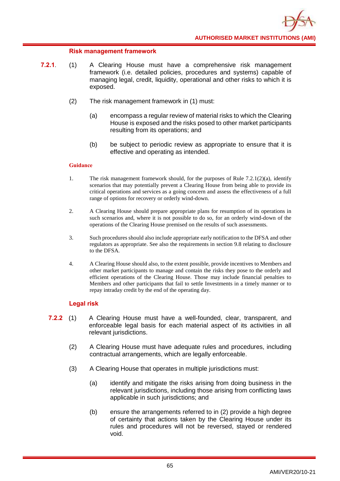## **Risk management framework**

- **7.2.1**. (1) A Clearing House must have a comprehensive risk management framework (i.e. detailed policies, procedures and systems) capable of managing legal, credit, liquidity, operational and other risks to which it is exposed.
	- (2) The risk management framework in (1) must:
		- (a) encompass a regular review of material risks to which the Clearing House is exposed and the risks posed to other market participants resulting from its operations; and
		- (b) be subject to periodic review as appropriate to ensure that it is effective and operating as intended.

### **Guidance**

- 1. The risk management framework should, for the purposes of Rule  $7.2.1(2)(a)$ , identify scenarios that may potentially prevent a Clearing House from being able to provide its critical operations and services as a going concern and assess the effectiveness of a full range of options for recovery or orderly wind-down.
- 2. A Clearing House should prepare appropriate plans for resumption of its operations in such scenarios and, where it is not possible to do so, for an orderly wind-down of the operations of the Clearing House premised on the results of such assessments.
- 3. Such procedures should also include appropriate early notification to the DFSA and other regulators as appropriate. See also the requirements in section 9.8 relating to disclosure to the DFSA.
- 4. A Clearing House should also, to the extent possible, provide incentives to Members and other market participants to manage and contain the risks they pose to the orderly and efficient operations of the Clearing House. Those may include financial penalties to Members and other participants that fail to settle Investments in a timely manner or to repay intraday credit by the end of the operating day.

## **Legal risk**

- **7.2.2** (1) A Clearing House must have a well-founded, clear, transparent, and enforceable legal basis for each material aspect of its activities in all relevant jurisdictions.
	- (2) A Clearing House must have adequate rules and procedures, including contractual arrangements, which are legally enforceable.
	- (3) A Clearing House that operates in multiple jurisdictions must:
		- (a) identify and mitigate the risks arising from doing business in the relevant jurisdictions, including those arising from conflicting laws applicable in such jurisdictions; and
		- (b) ensure the arrangements referred to in (2) provide a high degree of certainty that actions taken by the Clearing House under its rules and procedures will not be reversed, stayed or rendered void.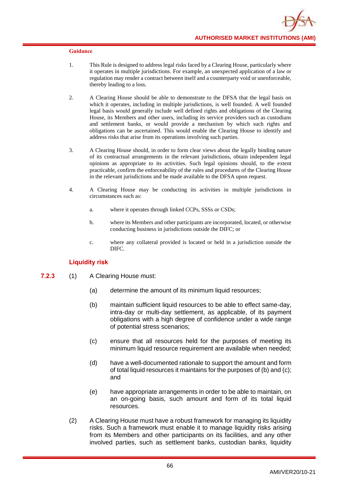- 1. This Rule is designed to address legal risks faced by a Clearing House, particularly where it operates in multiple jurisdictions. For example, an unexpected application of a law or regulation may render a contract between itself and a counterparty void or unenforceable, thereby leading to a loss.
- 2. A Clearing House should be able to demonstrate to the DFSA that the legal basis on which it operates, including in multiple jurisdictions, is well founded. A well founded legal basis would generally include well defined rights and obligations of the Clearing House, its Members and other users, including its service providers such as custodians and settlement banks, or would provide a mechanism by which such rights and obligations can be ascertained. This would enable the Clearing House to identify and address risks that arise from its operations involving such parties.
- 3. A Clearing House should, in order to form clear views about the legally binding nature of its contractual arrangements in the relevant jurisdictions, obtain independent legal opinions as appropriate to its activities. Such legal opinions should, to the extent practicable, confirm the enforceability of the rules and procedures of the Clearing House in the relevant jurisdictions and be made available to the DFSA upon request.
- 4. A Clearing House may be conducting its activities in multiple jurisdictions in circumstances such as:
	- a. where it operates through linked CCPs, SSSs or CSDs;
	- b. where its Members and other participants are incorporated, located, or otherwise conducting business in jurisdictions outside the DIFC; or
	- c. where any collateral provided is located or held in a jurisdiction outside the DIFC.

## **Liquidity risk**

- **7.2.3** (1) A Clearing House must:
	- (a) determine the amount of its minimum liquid resources;
	- (b) maintain sufficient liquid resources to be able to effect same-day, intra-day or multi-day settlement, as applicable, of its payment obligations with a high degree of confidence under a wide range of potential stress scenarios;
	- (c) ensure that all resources held for the purposes of meeting its minimum liquid resource requirement are available when needed;
	- (d) have a well-documented rationale to support the amount and form of total liquid resources it maintains for the purposes of (b) and (c); and
	- (e) have appropriate arrangements in order to be able to maintain, on an on-going basis, such amount and form of its total liquid resources.
	- (2) A Clearing House must have a robust framework for managing its liquidity risks. Such a framework must enable it to manage liquidity risks arising from its Members and other participants on its facilities, and any other involved parties, such as settlement banks, custodian banks, liquidity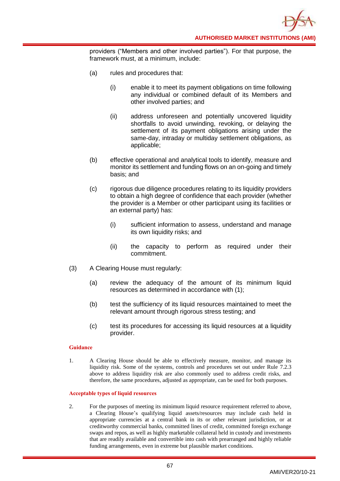providers ("Members and other involved parties"). For that purpose, the framework must, at a minimum, include:

- (a) rules and procedures that:
	- (i) enable it to meet its payment obligations on time following any individual or combined default of its Members and other involved parties; and
	- (ii) address unforeseen and potentially uncovered liquidity shortfalls to avoid unwinding, revoking, or delaying the settlement of its payment obligations arising under the same-day, intraday or multiday settlement obligations, as applicable;
- (b) effective operational and analytical tools to identify, measure and monitor its settlement and funding flows on an on-going and timely basis; and
- (c) rigorous due diligence procedures relating to its liquidity providers to obtain a high degree of confidence that each provider (whether the provider is a Member or other participant using its facilities or an external party) has:
	- (i) sufficient information to assess, understand and manage its own liquidity risks; and
	- (ii) the capacity to perform as required under their commitment.
- (3) A Clearing House must regularly:
	- (a) review the adequacy of the amount of its minimum liquid resources as determined in accordance with (1);
	- (b) test the sufficiency of its liquid resources maintained to meet the relevant amount through rigorous stress testing; and
	- (c) test its procedures for accessing its liquid resources at a liquidity provider.

### **Guidance**

1. A Clearing House should be able to effectively measure, monitor, and manage its liquidity risk. Some of the systems, controls and procedures set out under Rule 7.2.3 above to address liquidity risk are also commonly used to address credit risks, and therefore, the same procedures, adjusted as appropriate, can be used for both purposes.

#### **Acceptable types of liquid resources**

2. For the purposes of meeting its minimum liquid resource requirement referred to above, a Clearing House's qualifying liquid assets/resources may include cash held in appropriate currencies at a central bank in its or other relevant jurisdiction, or at creditworthy commercial banks, committed lines of credit, committed foreign exchange swaps and repos, as well as highly marketable collateral held in custody and investments that are readily available and convertible into cash with prearranged and highly reliable funding arrangements, even in extreme but plausible market conditions.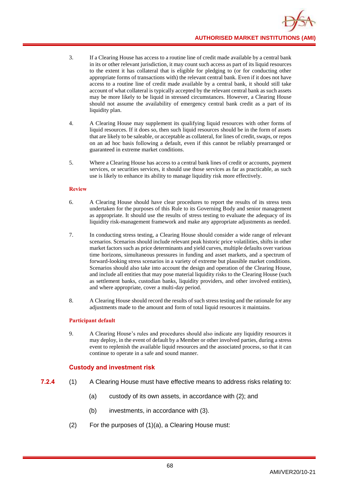- 3. If a Clearing House has access to a routine line of credit made available by a central bank in its or other relevant jurisdiction, it may count such access as part of its liquid resources to the extent it has collateral that is eligible for pledging to (or for conducting other appropriate forms of transactions with) the relevant central bank. Even if it does not have access to a routine line of credit made available by a central bank, it should still take account of what collateral is typically accepted by the relevant central bank as such assets may be more likely to be liquid in stressed circumstances. However, a Clearing House should not assume the availability of emergency central bank credit as a part of its liquidity plan.
- 4. A Clearing House may supplement its qualifying liquid resources with other forms of liquid resources. If it does so, then such liquid resources should be in the form of assets that are likely to be saleable, or acceptable as collateral, for lines of credit, swaps, or repos on an ad hoc basis following a default, even if this cannot be reliably prearranged or guaranteed in extreme market conditions.
- 5. Where a Clearing House has access to a central bank lines of credit or accounts, payment services, or securities services, it should use those services as far as practicable, as such use is likely to enhance its ability to manage liquidity risk more effectively.

### **Review**

- 6. A Clearing House should have clear procedures to report the results of its stress tests undertaken for the purposes of this Rule to its Governing Body and senior management as appropriate. It should use the results of stress testing to evaluate the adequacy of its liquidity risk-management framework and make any appropriate adjustments as needed.
- 7. In conducting stress testing, a Clearing House should consider a wide range of relevant scenarios. Scenarios should include relevant peak historic price volatilities, shifts in other market factors such as price determinants and yield curves, multiple defaults over various time horizons, simultaneous pressures in funding and asset markets, and a spectrum of forward-looking stress scenarios in a variety of extreme but plausible market conditions. Scenarios should also take into account the design and operation of the Clearing House, and include all entities that may pose material liquidity risks to the Clearing House (such as settlement banks, custodian banks, liquidity providers, and other involved entities), and where appropriate, cover a multi-day period.
- 8. A Clearing House should record the results of such stress testing and the rationale for any adjustments made to the amount and form of total liquid resources it maintains.

## **Participant default**

9. A Clearing House's rules and procedures should also indicate any liquidity resources it may deploy, in the event of default by a Member or other involved parties, during a stress event to replenish the available liquid resources and the associated process, so that it can continue to operate in a safe and sound manner.

# **Custody and investment risk**

- **7.2.4** (1) A Clearing House must have effective means to address risks relating to:
	- (a) custody of its own assets, in accordance with (2); and
	- (b) investments, in accordance with (3).
	- (2) For the purposes of (1)(a), a Clearing House must: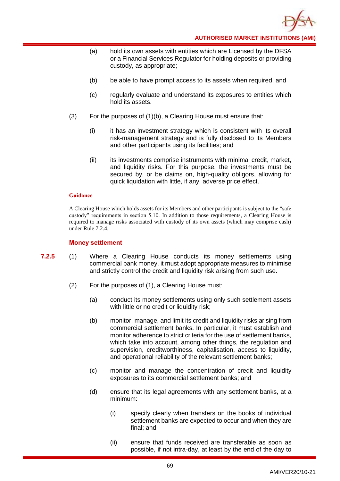

- (a) hold its own assets with entities which are Licensed by the DFSA or a Financial Services Regulator for holding deposits or providing custody, as appropriate;
- (b) be able to have prompt access to its assets when required; and
- (c) regularly evaluate and understand its exposures to entities which hold its assets.
- (3) For the purposes of (1)(b), a Clearing House must ensure that:
	- (i) it has an investment strategy which is consistent with its overall risk-management strategy and is fully disclosed to its Members and other participants using its facilities; and
	- (ii) its investments comprise instruments with minimal credit, market, and liquidity risks. For this purpose, the investments must be secured by, or be claims on, high-quality obligors, allowing for quick liquidation with little, if any, adverse price effect.

A Clearing House which holds assets for its Members and other participants is subject to the "safe custody" requirements in section 5.10. In addition to those requirements, a Clearing House is required to manage risks associated with custody of its own assets (which may comprise cash) under Rule 7.2.4.

#### **Money settlement**

- **7.2.5** (1) Where a Clearing House conducts its money settlements using commercial bank money, it must adopt appropriate measures to minimise and strictly control the credit and liquidity risk arising from such use.
	- (2) For the purposes of (1), a Clearing House must:
		- (a) conduct its money settlements using only such settlement assets with little or no credit or liquidity risk;
		- (b) monitor, manage, and limit its credit and liquidity risks arising from commercial settlement banks. In particular, it must establish and monitor adherence to strict criteria for the use of settlement banks, which take into account, among other things, the regulation and supervision, creditworthiness, capitalisation, access to liquidity, and operational reliability of the relevant settlement banks;
		- (c) monitor and manage the concentration of credit and liquidity exposures to its commercial settlement banks; and
		- (d) ensure that its legal agreements with any settlement banks, at a minimum:
			- (i) specify clearly when transfers on the books of individual settlement banks are expected to occur and when they are final; and
			- (ii) ensure that funds received are transferable as soon as possible, if not intra-day, at least by the end of the day to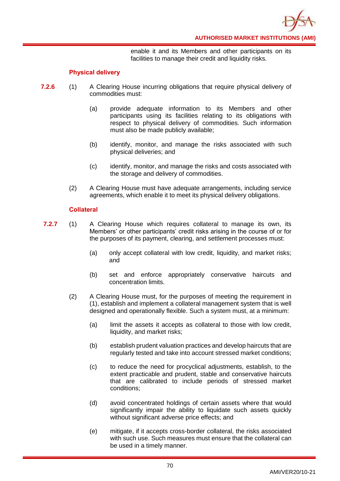

enable it and its Members and other participants on its facilities to manage their credit and liquidity risks.

## **Physical delivery**

- **7.2.6** (1) A Clearing House incurring obligations that require physical delivery of commodities must:
	- (a) provide adequate information to its Members and other participants using its facilities relating to its obligations with respect to physical delivery of commodities. Such information must also be made publicly available;
	- (b) identify, monitor, and manage the risks associated with such physical deliveries; and
	- (c) identify, monitor, and manage the risks and costs associated with the storage and delivery of commodities.
	- (2) A Clearing House must have adequate arrangements, including service agreements, which enable it to meet its physical delivery obligations.

## **Collateral**

- **7.2.7** (1) A Clearing House which requires collateral to manage its own, its Members' or other participants' credit risks arising in the course of or for the purposes of its payment, clearing, and settlement processes must:
	- (a) only accept collateral with low credit, liquidity, and market risks; and
	- (b) set and enforce appropriately conservative haircuts and concentration limits.
	- (2) A Clearing House must, for the purposes of meeting the requirement in (1), establish and implement a collateral management system that is well designed and operationally flexible. Such a system must, at a minimum:
		- (a) limit the assets it accepts as collateral to those with low credit, liquidity, and market risks;
		- (b) establish prudent valuation practices and develop haircuts that are regularly tested and take into account stressed market conditions;
		- (c) to reduce the need for procyclical adjustments, establish, to the extent practicable and prudent, stable and conservative haircuts that are calibrated to include periods of stressed market conditions;
		- (d) avoid concentrated holdings of certain assets where that would significantly impair the ability to liquidate such assets quickly without significant adverse price effects; and
		- (e) mitigate, if it accepts cross-border collateral, the risks associated with such use. Such measures must ensure that the collateral can be used in a timely manner.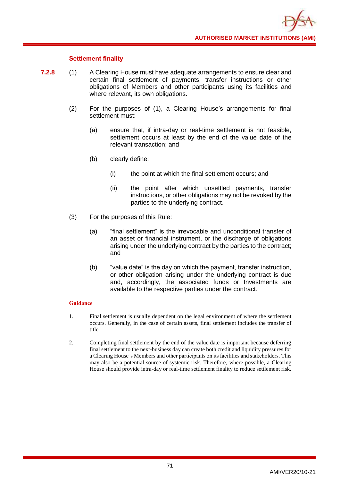## **Settlement finality**

- **7.2.8** (1) A Clearing House must have adequate arrangements to ensure clear and certain final settlement of payments, transfer instructions or other obligations of Members and other participants using its facilities and where relevant, its own obligations.
	- (2) For the purposes of (1), a Clearing House's arrangements for final settlement must:
		- (a) ensure that, if intra-day or real-time settlement is not feasible, settlement occurs at least by the end of the value date of the relevant transaction; and
		- (b) clearly define:
			- (i) the point at which the final settlement occurs; and
			- (ii) the point after which unsettled payments, transfer instructions, or other obligations may not be revoked by the parties to the underlying contract.
	- (3) For the purposes of this Rule:
		- (a) "final settlement" is the irrevocable and unconditional transfer of an asset or financial instrument, or the discharge of obligations arising under the underlying contract by the parties to the contract; and
		- (b) "value date" is the day on which the payment, transfer instruction, or other obligation arising under the underlying contract is due and, accordingly, the associated funds or Investments are available to the respective parties under the contract.

- 1. Final settlement is usually dependent on the legal environment of where the settlement occurs. Generally, in the case of certain assets, final settlement includes the transfer of title.
- 2. Completing final settlement by the end of the value date is important because deferring final settlement to the next-business day can create both credit and liquidity pressures for a Clearing House's Members and other participants on its facilities and stakeholders. This may also be a potential source of systemic risk. Therefore, where possible, a Clearing House should provide intra-day or real-time settlement finality to reduce settlement risk.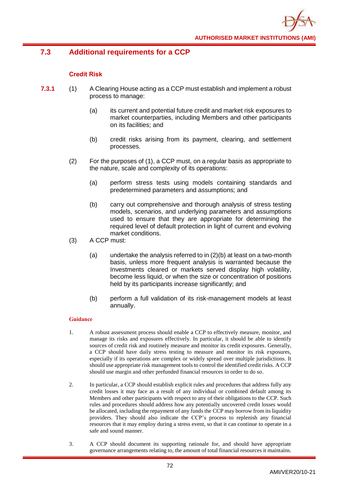

# **7.3 Additional requirements for a CCP**

## **Credit Risk**

- **7.3.1** (1) A Clearing House acting as a CCP must establish and implement a robust process to manage:
	- (a) its current and potential future credit and market risk exposures to market counterparties, including Members and other participants on its facilities; and
	- (b) credit risks arising from its payment, clearing, and settlement processes.
	- (2) For the purposes of (1), a CCP must, on a regular basis as appropriate to the nature, scale and complexity of its operations:
		- (a) perform stress tests using models containing standards and predetermined parameters and assumptions; and
		- (b) carry out comprehensive and thorough analysis of stress testing models, scenarios, and underlying parameters and assumptions used to ensure that they are appropriate for determining the required level of default protection in light of current and evolving market conditions.
	- (3) A CCP must:
		- (a) undertake the analysis referred to in (2)(b) at least on a two-month basis, unless more frequent analysis is warranted because the Investments cleared or markets served display high volatility, become less liquid, or when the size or concentration of positions held by its participants increase significantly; and
		- (b) perform a full validation of its risk-management models at least annually.

- 1. A robust assessment process should enable a CCP to effectively measure, monitor, and manage its risks and exposures effectively. In particular, it should be able to identify sources of credit risk and routinely measure and monitor its credit exposures. Generally, a CCP should have daily stress testing to measure and monitor its risk exposures, especially if its operations are complex or widely spread over multiple jurisdictions. It should use appropriate risk management tools to control the identified credit risks. A CCP should use margin and other prefunded financial resources in order to do so.
- 2. In particular, a CCP should establish explicit rules and procedures that address fully any credit losses it may face as a result of any individual or combined default among its Members and other participants with respect to any of their obligations to the CCP. Such rules and procedures should address how any potentially uncovered credit losses would be allocated, including the repayment of any funds the CCP may borrow from its liquidity providers. They should also indicate the CCP's process to replenish any financial resources that it may employ during a stress event, so that it can continue to operate in a safe and sound manner.
- 3. A CCP should document its supporting rationale for, and should have appropriate governance arrangements relating to, the amount of total financial resources it maintains.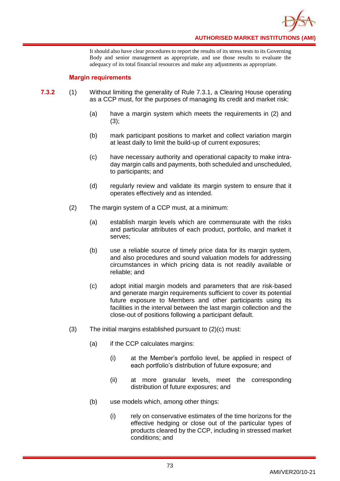

It should also have clear procedures to report the results of its stress tests to its Governing Body and senior management as appropriate, and use those results to evaluate the adequacy of its total financial resources and make any adjustments as appropriate.

## **Margin requirements**

- **7.3.2** (1) Without limiting the generality of Rule 7.3.1, a Clearing House operating as a CCP must, for the purposes of managing its credit and market risk:
	- (a) have a margin system which meets the requirements in (2) and  $(3);$
	- (b) mark participant positions to market and collect variation margin at least daily to limit the build-up of current exposures;
	- (c) have necessary authority and operational capacity to make intraday margin calls and payments, both scheduled and unscheduled, to participants; and
	- (d) regularly review and validate its margin system to ensure that it operates effectively and as intended.
	- (2) The margin system of a CCP must, at a minimum:
		- (a) establish margin levels which are commensurate with the risks and particular attributes of each product, portfolio, and market it serves;
		- (b) use a reliable source of timely price data for its margin system, and also procedures and sound valuation models for addressing circumstances in which pricing data is not readily available or reliable; and
		- (c) adopt initial margin models and parameters that are risk-based and generate margin requirements sufficient to cover its potential future exposure to Members and other participants using its facilities in the interval between the last margin collection and the close-out of positions following a participant default.
	- (3) The initial margins established pursuant to (2)(c) must:
		- (a) if the CCP calculates margins:
			- (i) at the Member's portfolio level, be applied in respect of each portfolio's distribution of future exposure; and
			- (ii) at more granular levels, meet the corresponding distribution of future exposures; and
		- (b) use models which, among other things:
			- (i) rely on conservative estimates of the time horizons for the effective hedging or close out of the particular types of products cleared by the CCP, including in stressed market conditions; and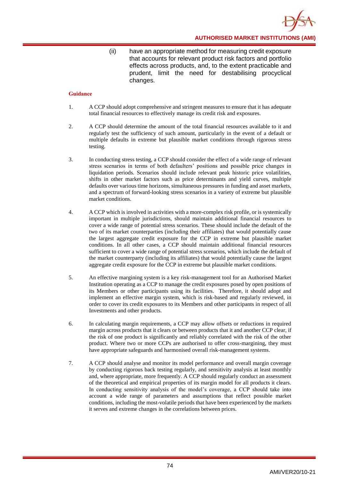**AUTHORISED MARKET INSTITUTIONS (AMI)**

(ii) have an appropriate method for measuring credit exposure that accounts for relevant product risk factors and portfolio effects across products, and, to the extent practicable and prudent, limit the need for destabilising procyclical changes.

- 1. A CCP should adopt comprehensive and stringent measures to ensure that it has adequate total financial resources to effectively manage its credit risk and exposures.
- 2. A CCP should determine the amount of the total financial resources available to it and regularly test the sufficiency of such amount, particularly in the event of a default or multiple defaults in extreme but plausible market conditions through rigorous stress testing.
- 3. In conducting stress testing, a CCP should consider the effect of a wide range of relevant stress scenarios in terms of both defaulters' positions and possible price changes in liquidation periods. Scenarios should include relevant peak historic price volatilities, shifts in other market factors such as price determinants and yield curves, multiple defaults over various time horizons, simultaneous pressures in funding and asset markets, and a spectrum of forward-looking stress scenarios in a variety of extreme but plausible market conditions.
- 4. A CCP which is involved in activities with a more-complex risk profile, or is systemically important in multiple jurisdictions, should maintain additional financial resources to cover a wide range of potential stress scenarios. These should include the default of the two of its market counterparties (including their affiliates) that would potentially cause the largest aggregate credit exposure for the CCP in extreme but plausible market conditions. In all other cases, a CCP should maintain additional financial resources sufficient to cover a wide range of potential stress scenarios, which include the default of the market counterparty (including its affiliates) that would potentially cause the largest aggregate credit exposure for the CCP in extreme but plausible market conditions.
- 5. An effective margining system is a key risk-management tool for an Authorised Market Institution operating as a CCP to manage the credit exposures posed by open positions of its Members or other participants using its facilities. Therefore, it should adopt and implement an effective margin system, which is risk-based and regularly reviewed, in order to cover its credit exposures to its Members and other participants in respect of all Investments and other products.
- 6. In calculating margin requirements, a CCP may allow offsets or reductions in required margin across products that it clears or between products that it and another CCP clear, if the risk of one product is significantly and reliably correlated with the risk of the other product. Where two or more CCPs are authorised to offer cross-margining, they must have appropriate safeguards and harmonised overall risk-management systems.
- 7. A CCP should analyse and monitor its model performance and overall margin coverage by conducting rigorous back testing regularly, and sensitivity analysis at least monthly and, where appropriate, more frequently. A CCP should regularly conduct an assessment of the theoretical and empirical properties of its margin model for all products it clears. In conducting sensitivity analysis of the model's coverage, a CCP should take into account a wide range of parameters and assumptions that reflect possible market conditions, including the most-volatile periods that have been experienced by the markets it serves and extreme changes in the correlations between prices.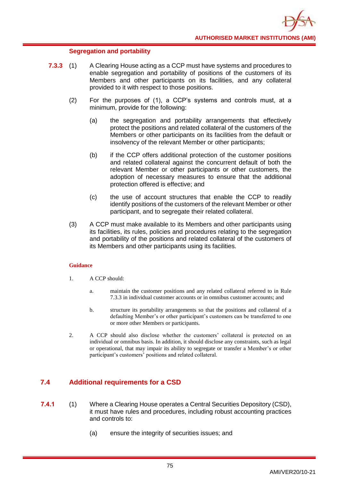## **Segregation and portability**

- **7.3.3** (1) A Clearing House acting as a CCP must have systems and procedures to enable segregation and portability of positions of the customers of its Members and other participants on its facilities, and any collateral provided to it with respect to those positions.
	- (2) For the purposes of (1), a CCP's systems and controls must, at a minimum, provide for the following:
		- (a) the segregation and portability arrangements that effectively protect the positions and related collateral of the customers of the Members or other participants on its facilities from the default or insolvency of the relevant Member or other participants;
		- (b) if the CCP offers additional protection of the customer positions and related collateral against the concurrent default of both the relevant Member or other participants or other customers, the adoption of necessary measures to ensure that the additional protection offered is effective; and
		- (c) the use of account structures that enable the CCP to readily identify positions of the customers of the relevant Member or other participant, and to segregate their related collateral.
	- (3) A CCP must make available to its Members and other participants using its facilities, its rules, policies and procedures relating to the segregation and portability of the positions and related collateral of the customers of its Members and other participants using its facilities.

### **Guidance**

- 1. A CCP should:
	- a. maintain the customer positions and any related collateral referred to in Rule 7.3.3 in individual customer accounts or in omnibus customer accounts; and
	- b. structure its portability arrangements so that the positions and collateral of a defaulting Member's or other participant's customers can be transferred to one or more other Members or participants.
- 2. A CCP should also disclose whether the customers' collateral is protected on an individual or omnibus basis. In addition, it should disclose any constraints, such as legal or operational, that may impair its ability to segregate or transfer a Member's or other participant's customers' positions and related collateral.

# **7.4 Additional requirements for a CSD**

- **7.4.1** (1) Where a Clearing House operates a Central Securities Depository (CSD), it must have rules and procedures, including robust accounting practices and controls to:
	- (a) ensure the integrity of securities issues; and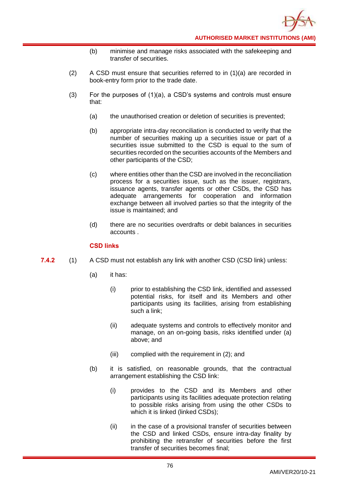- (b) minimise and manage risks associated with the safekeeping and transfer of securities.
- (2) A CSD must ensure that securities referred to in  $(1)(a)$  are recorded in book-entry form prior to the trade date.
- (3) For the purposes of  $(1)(a)$ , a CSD's systems and controls must ensure that:
	- (a) the unauthorised creation or deletion of securities is prevented;
	- (b) appropriate intra-day reconciliation is conducted to verify that the number of securities making up a securities issue or part of a securities issue submitted to the CSD is equal to the sum of securities recorded on the securities accounts of the Members and other participants of the CSD;
	- (c) where entities other than the CSD are involved in the reconciliation process for a securities issue, such as the issuer, registrars, issuance agents, transfer agents or other CSDs, the CSD has adequate arrangements for cooperation and information exchange between all involved parties so that the integrity of the issue is maintained; and
	- (d) there are no securities overdrafts or debit balances in securities accounts .

## **CSD links**

- **7.4.2** (1) A CSD must not establish any link with another CSD (CSD link) unless:
	- (a) it has:
		- (i) prior to establishing the CSD link, identified and assessed potential risks, for itself and its Members and other participants using its facilities, arising from establishing such a link;
		- (ii) adequate systems and controls to effectively monitor and manage, on an on-going basis, risks identified under (a) above; and
		- (iii) complied with the requirement in (2); and
	- (b) it is satisfied, on reasonable grounds, that the contractual arrangement establishing the CSD link:
		- (i) provides to the CSD and its Members and other participants using its facilities adequate protection relating to possible risks arising from using the other CSDs to which it is linked (linked CSDs);
		- (ii) in the case of a provisional transfer of securities between the CSD and linked CSDs, ensure intra-day finality by prohibiting the retransfer of securities before the first transfer of securities becomes final;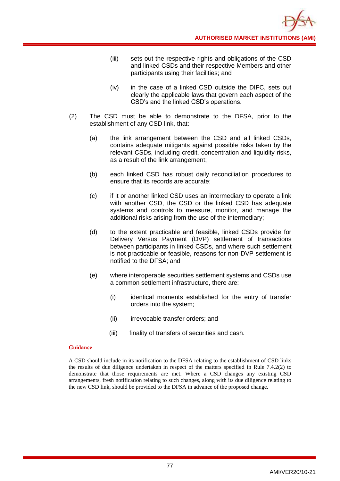- (iii) sets out the respective rights and obligations of the CSD and linked CSDs and their respective Members and other participants using their facilities; and
- (iv) in the case of a linked CSD outside the DIFC, sets out clearly the applicable laws that govern each aspect of the CSD's and the linked CSD's operations.
- (2) The CSD must be able to demonstrate to the DFSA, prior to the establishment of any CSD link, that:
	- (a) the link arrangement between the CSD and all linked CSDs, contains adequate mitigants against possible risks taken by the relevant CSDs, including credit, concentration and liquidity risks, as a result of the link arrangement;
	- (b) each linked CSD has robust daily reconciliation procedures to ensure that its records are accurate;
	- (c) if it or another linked CSD uses an intermediary to operate a link with another CSD, the CSD or the linked CSD has adequate systems and controls to measure, monitor, and manage the additional risks arising from the use of the intermediary;
	- (d) to the extent practicable and feasible, linked CSDs provide for Delivery Versus Payment (DVP) settlement of transactions between participants in linked CSDs, and where such settlement is not practicable or feasible, reasons for non-DVP settlement is notified to the DFSA; and
	- (e) where interoperable securities settlement systems and CSDs use a common settlement infrastructure, there are:
		- (i) identical moments established for the entry of transfer orders into the system;
		- (ii) irrevocable transfer orders; and
		- (iii) finality of transfers of securities and cash.

A CSD should include in its notification to the DFSA relating to the establishment of CSD links the results of due diligence undertaken in respect of the matters specified in Rule 7.4.2(2) to demonstrate that those requirements are met. Where a CSD changes any existing CSD arrangements, fresh notification relating to such changes, along with its due diligence relating to the new CSD link, should be provided to the DFSA in advance of the proposed change.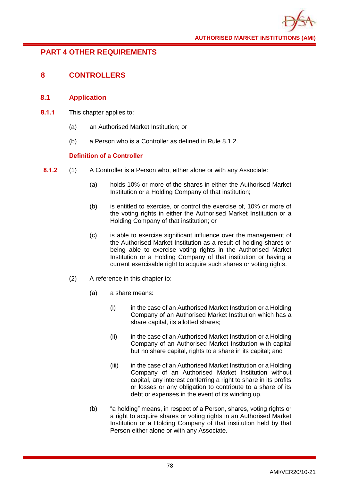# **PART 4 OTHER REQUIREMENTS**

# **8 CONTROLLERS**

## **8.1 Application**

- **8.1.1** This chapter applies to:
	- (a) an Authorised Market Institution; or
	- (b) a Person who is a Controller as defined in Rule 8.1.2.

## **Definition of a Controller**

- **8.1.2** (1) A Controller is a Person who, either alone or with any Associate:
	- (a) holds 10% or more of the shares in either the Authorised Market Institution or a Holding Company of that institution;
	- (b) is entitled to exercise, or control the exercise of, 10% or more of the voting rights in either the Authorised Market Institution or a Holding Company of that institution; or
	- (c) is able to exercise significant influence over the management of the Authorised Market Institution as a result of holding shares or being able to exercise voting rights in the Authorised Market Institution or a Holding Company of that institution or having a current exercisable right to acquire such shares or voting rights.
	- (2) A reference in this chapter to:
		- (a) a share means:
			- (i) in the case of an Authorised Market Institution or a Holding Company of an Authorised Market Institution which has a share capital, its allotted shares;
			- (ii) in the case of an Authorised Market Institution or a Holding Company of an Authorised Market Institution with capital but no share capital, rights to a share in its capital; and
			- (iii) in the case of an Authorised Market Institution or a Holding Company of an Authorised Market Institution without capital, any interest conferring a right to share in its profits or losses or any obligation to contribute to a share of its debt or expenses in the event of its winding up.
		- (b) "a holding" means, in respect of a Person, shares, voting rights or a right to acquire shares or voting rights in an Authorised Market Institution or a Holding Company of that institution held by that Person either alone or with any Associate.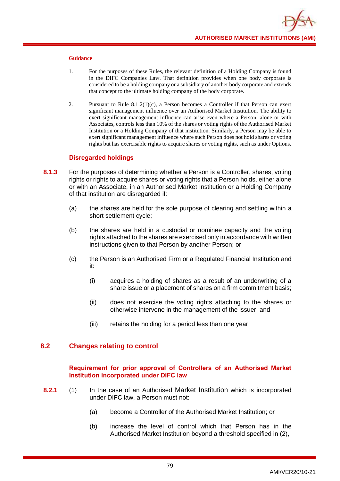

- 1. For the purposes of these Rules, the relevant definition of a Holding Company is found in the DIFC Companies Law. That definition provides when one body corporate is considered to be a holding company or a subsidiary of another body corporate and extends that concept to the ultimate holding company of the body corporate.
- 2. Pursuant to Rule  $8.1.2(1)(c)$ , a Person becomes a Controller if that Person can exert significant management influence over an Authorised Market Institution. The ability to exert significant management influence can arise even where a Person, alone or with Associates, controls less than 10% of the shares or voting rights of the Authorised Market Institution or a Holding Company of that institution. Similarly, a Person may be able to exert significant management influence where such Person does not hold shares or voting rights but has exercisable rights to acquire shares or voting rights, such as under Options.

### **Disregarded holdings**

- **8.1.3** For the purposes of determining whether a Person is a Controller, shares, voting rights or rights to acquire shares or voting rights that a Person holds, either alone or with an Associate, in an Authorised Market Institution or a Holding Company of that institution are disregarded if:
	- (a) the shares are held for the sole purpose of clearing and settling within a short settlement cycle;
	- (b) the shares are held in a custodial or nominee capacity and the voting rights attached to the shares are exercised only in accordance with written instructions given to that Person by another Person; or
	- (c) the Person is an Authorised Firm or a Regulated Financial Institution and it:
		- (i) acquires a holding of shares as a result of an underwriting of a share issue or a placement of shares on a firm commitment basis;
		- (ii) does not exercise the voting rights attaching to the shares or otherwise intervene in the management of the issuer; and
		- (iii) retains the holding for a period less than one year.

## **8.2 Changes relating to control**

### **Requirement for prior approval of Controllers of an Authorised Market Institution incorporated under DIFC law**

- **8.2.1** (1) In the case of an Authorised Market Institution which is incorporated under DIFC law, a Person must not:
	- (a) become a Controller of the Authorised Market Institution; or
	- (b) increase the level of control which that Person has in the Authorised Market Institution beyond a threshold specified in (2),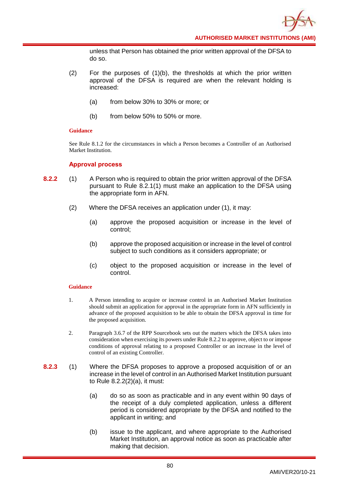unless that Person has obtained the prior written approval of the DFSA to do so.

- $(2)$  For the purposes of  $(1)(b)$ , the thresholds at which the prior written approval of the DFSA is required are when the relevant holding is increased:
	- (a) from below 30% to 30% or more; or
	- (b) from below 50% to 50% or more.

### **Guidance**

See Rule 8.1.2 for the circumstances in which a Person becomes a Controller of an Authorised Market Institution.

### **Approval process**

- **8.2.2** (1) A Person who is required to obtain the prior written approval of the DFSA pursuant to Rule 8.2.1(1) must make an application to the DFSA using the appropriate form in AFN.
	- (2) Where the DFSA receives an application under (1), it may:
		- (a) approve the proposed acquisition or increase in the level of control;
		- (b) approve the proposed acquisition or increase in the level of control subject to such conditions as it considers appropriate; or
		- (c) object to the proposed acquisition or increase in the level of control.

- 1. A Person intending to acquire or increase control in an Authorised Market Institution should submit an application for approval in the appropriate form in AFN sufficiently in advance of the proposed acquisition to be able to obtain the DFSA approval in time for the proposed acquisition.
- 2. Paragraph 3.6.7 of the RPP Sourcebook sets out the matters which the DFSA takes into consideration when exercising its powers under Rule 8.2.2 to approve, object to or impose conditions of approval relating to a proposed Controller or an increase in the level of control of an existing Controller.
- **8.2.3** (1) Where the DFSA proposes to approve a proposed acquisition of or an increase in the level of control in an Authorised Market Institution pursuant to Rule 8.2.2(2)(a), it must:
	- (a) do so as soon as practicable and in any event within 90 days of the receipt of a duly completed application, unless a different period is considered appropriate by the DFSA and notified to the applicant in writing; and
	- (b) issue to the applicant, and where appropriate to the Authorised Market Institution, an approval notice as soon as practicable after making that decision.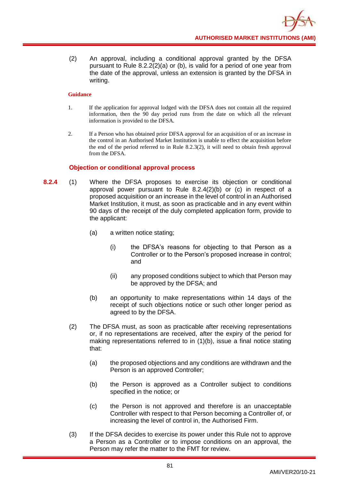(2) An approval, including a conditional approval granted by the DFSA pursuant to Rule 8.2.2(2)(a) or (b), is valid for a period of one year from the date of the approval, unless an extension is granted by the DFSA in writing.

### **Guidance**

- 1. If the application for approval lodged with the DFSA does not contain all the required information, then the 90 day period runs from the date on which all the relevant information is provided to the DFSA.
- 2. If a Person who has obtained prior DFSA approval for an acquisition of or an increase in the control in an Authorised Market Institution is unable to effect the acquisition before the end of the period referred to in Rule 8.2.3(2), it will need to obtain fresh approval from the DFSA.

## **Objection or conditional approval process**

- **8.2.4** (1) Where the DFSA proposes to exercise its objection or conditional approval power pursuant to Rule 8.2.4(2)(b) or (c) in respect of a proposed acquisition or an increase in the level of control in an Authorised Market Institution, it must, as soon as practicable and in any event within 90 days of the receipt of the duly completed application form, provide to the applicant:
	- (a) a written notice stating;
		- (i) the DFSA's reasons for objecting to that Person as a Controller or to the Person's proposed increase in control; and
		- (ii) any proposed conditions subject to which that Person may be approved by the DFSA; and
	- (b) an opportunity to make representations within 14 days of the receipt of such objections notice or such other longer period as agreed to by the DFSA.
	- (2) The DFSA must, as soon as practicable after receiving representations or, if no representations are received, after the expiry of the period for making representations referred to in (1)(b), issue a final notice stating that:
		- (a) the proposed objections and any conditions are withdrawn and the Person is an approved Controller;
		- (b) the Person is approved as a Controller subject to conditions specified in the notice; or
		- (c) the Person is not approved and therefore is an unacceptable Controller with respect to that Person becoming a Controller of, or increasing the level of control in, the Authorised Firm.
	- (3) If the DFSA decides to exercise its power under this Rule not to approve a Person as a Controller or to impose conditions on an approval, the Person may refer the matter to the FMT for review.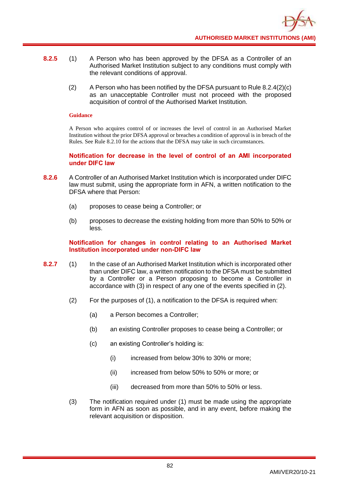- **8.2.5** (1) A Person who has been approved by the DFSA as a Controller of an Authorised Market Institution subject to any conditions must comply with the relevant conditions of approval.
	- $(2)$  A Person who has been notified by the DFSA pursuant to Rule 8.2.4(2)(c) as an unacceptable Controller must not proceed with the proposed acquisition of control of the Authorised Market Institution.

A Person who acquires control of or increases the level of control in an Authorised Market Institution without the prior DFSA approval or breaches a condition of approval is in breach of the Rules. See Rule 8.2.10 for the actions that the DFSA may take in such circumstances.

**Notification for decrease in the level of control of an AMI incorporated under DIFC law**

- **8.2.6** A Controller of an Authorised Market Institution which is incorporated under DIFC law must submit, using the appropriate form in AFN, a written notification to the DFSA where that Person:
	- (a) proposes to cease being a Controller; or
	- (b) proposes to decrease the existing holding from more than 50% to 50% or less.

## **Notification for changes in control relating to an Authorised Market Institution incorporated under non-DIFC law**

- **8.2.7** (1) In the case of an Authorised Market Institution which is incorporated other than under DIFC law, a written notification to the DFSA must be submitted by a Controller or a Person proposing to become a Controller in accordance with (3) in respect of any one of the events specified in (2).
	- (2) For the purposes of (1), a notification to the DFSA is required when:
		- (a) a Person becomes a Controller;
		- (b) an existing Controller proposes to cease being a Controller; or
		- (c) an existing Controller's holding is:
			- (i) increased from below 30% to 30% or more;
			- (ii) increased from below 50% to 50% or more; or
			- (iii) decreased from more than 50% to 50% or less.
	- (3) The notification required under (1) must be made using the appropriate form in AFN as soon as possible, and in any event, before making the relevant acquisition or disposition.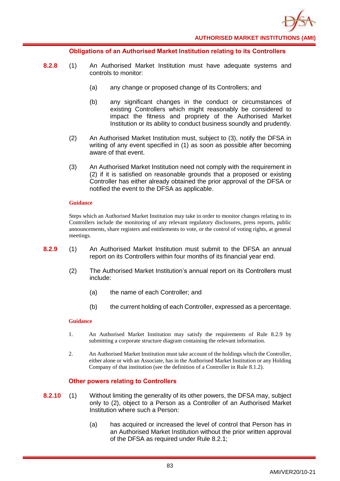

### **Obligations of an Authorised Market Institution relating to its Controllers**

- **8.2.8** (1) An Authorised Market Institution must have adequate systems and controls to monitor:
	- (a) any change or proposed change of its Controllers; and
	- (b) any significant changes in the conduct or circumstances of existing Controllers which might reasonably be considered to impact the fitness and propriety of the Authorised Market Institution or its ability to conduct business soundly and prudently.
	- (2) An Authorised Market Institution must, subject to (3), notify the DFSA in writing of any event specified in (1) as soon as possible after becoming aware of that event.
	- (3) An Authorised Market Institution need not comply with the requirement in (2) if it is satisfied on reasonable grounds that a proposed or existing Controller has either already obtained the prior approval of the DFSA or notified the event to the DFSA as applicable.

#### **Guidance**

Steps which an Authorised Market Institution may take in order to monitor changes relating to its Controllers include the monitoring of any relevant regulatory disclosures, press reports, public announcements, share registers and entitlements to vote, or the control of voting rights, at general meetings.

- **8.2.9** (1) An Authorised Market Institution must submit to the DFSA an annual report on its Controllers within four months of its financial year end.
	- (2) The Authorised Market Institution's annual report on its Controllers must include:
		- (a) the name of each Controller; and
		- (b) the current holding of each Controller, expressed as a percentage.

#### **Guidance**

- 1. An Authorised Market Institution may satisfy the requirements of Rule 8.2.9 by submitting a corporate structure diagram containing the relevant information.
- 2. An Authorised Market Institution must take account of the holdings which the Controller, either alone or with an Associate, has in the Authorised Market Institution or any Holding Company of that institution (see the definition of a Controller in Rule 8.1.2).

### **Other powers relating to Controllers**

- **8.2.10** (1) Without limiting the generality of its other powers, the DFSA may, subject only to (2), object to a Person as a Controller of an Authorised Market Institution where such a Person:
	- (a) has acquired or increased the level of control that Person has in an Authorised Market Institution without the prior written approval of the DFSA as required under Rule 8.2.1;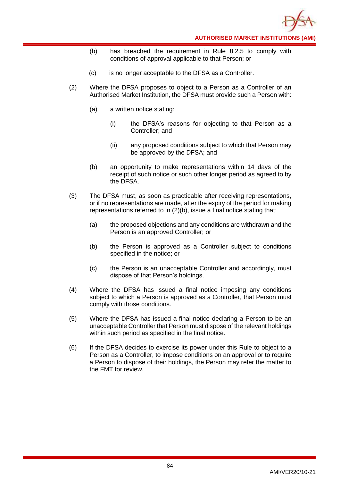

- (b) has breached the requirement in Rule 8.2.5 to comply with conditions of approval applicable to that Person; or
- (c) is no longer acceptable to the DFSA as a Controller.
- (2) Where the DFSA proposes to object to a Person as a Controller of an Authorised Market Institution, the DFSA must provide such a Person with:
	- (a) a written notice stating:
		- (i) the DFSA's reasons for objecting to that Person as a Controller; and
		- (ii) any proposed conditions subject to which that Person may be approved by the DFSA; and
	- (b) an opportunity to make representations within 14 days of the receipt of such notice or such other longer period as agreed to by the DFSA.
- (3) The DFSA must, as soon as practicable after receiving representations, or if no representations are made, after the expiry of the period for making representations referred to in (2)(b), issue a final notice stating that:
	- (a) the proposed objections and any conditions are withdrawn and the Person is an approved Controller; or
	- (b) the Person is approved as a Controller subject to conditions specified in the notice; or
	- (c) the Person is an unacceptable Controller and accordingly, must dispose of that Person's holdings.
- (4) Where the DFSA has issued a final notice imposing any conditions subject to which a Person is approved as a Controller, that Person must comply with those conditions.
- (5) Where the DFSA has issued a final notice declaring a Person to be an unacceptable Controller that Person must dispose of the relevant holdings within such period as specified in the final notice.
- (6) If the DFSA decides to exercise its power under this Rule to object to a Person as a Controller, to impose conditions on an approval or to require a Person to dispose of their holdings, the Person may refer the matter to the FMT for review.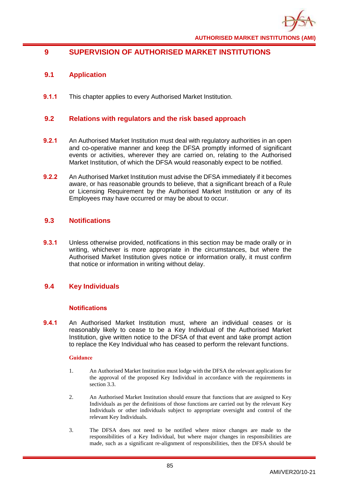

# **9 SUPERVISION OF AUTHORISED MARKET INSTITUTIONS**

# **9.1 Application**

**9.1.1** This chapter applies to every Authorised Market Institution.

## **9.2 Relations with regulators and the risk based approach**

- **9.2.1** An Authorised Market Institution must deal with regulatory authorities in an open and co-operative manner and keep the DFSA promptly informed of significant events or activities, wherever they are carried on, relating to the Authorised Market Institution, of which the DFSA would reasonably expect to be notified.
- **9.2.2** An Authorised Market Institution must advise the DFSA immediately if it becomes aware, or has reasonable grounds to believe, that a significant breach of a Rule or Licensing Requirement by the Authorised Market Institution or any of its Employees may have occurred or may be about to occur.

## **9.3 Notifications**

**9.3.1** Unless otherwise provided, notifications in this section may be made orally or in writing, whichever is more appropriate in the circumstances, but where the Authorised Market Institution gives notice or information orally, it must confirm that notice or information in writing without delay.

# **9.4 Key Individuals**

### **Notifications**

**9.4.1** An Authorised Market Institution must, where an individual ceases or is reasonably likely to cease to be a Key Individual of the Authorised Market Institution, give written notice to the DFSA of that event and take prompt action to replace the Key Individual who has ceased to perform the relevant functions.

- 1. An Authorised Market Institution must lodge with the DFSA the relevant applications for the approval of the proposed Key Individual in accordance with the requirements in section 3.3.
- 2. An Authorised Market Institution should ensure that functions that are assigned to Key Individuals as per the definitions of those functions are carried out by the relevant Key Individuals or other individuals subject to appropriate oversight and control of the relevant Key Individuals.
- 3. The DFSA does not need to be notified where minor changes are made to the responsibilities of a Key Individual, but where major changes in responsibilities are made, such as a significant re-alignment of responsibilities, then the DFSA should be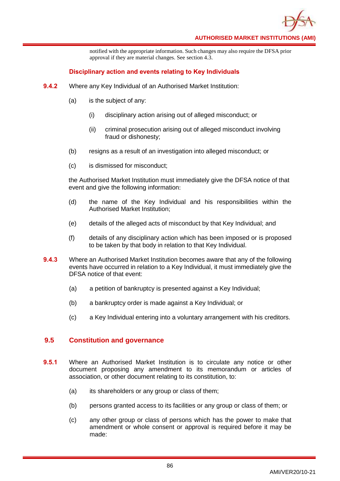

notified with the appropriate information. Such changes may also require the DFSA prior approval if they are material changes. See section 4.3.

## **Disciplinary action and events relating to Key Individuals**

- **9.4.2** Where any Key Individual of an Authorised Market Institution:
	- (a) is the subject of any:
		- (i) disciplinary action arising out of alleged misconduct; or
		- (ii) criminal prosecution arising out of alleged misconduct involving fraud or dishonesty;
	- (b) resigns as a result of an investigation into alleged misconduct; or
	- (c) is dismissed for misconduct;

the Authorised Market Institution must immediately give the DFSA notice of that event and give the following information:

- (d) the name of the Key Individual and his responsibilities within the Authorised Market Institution;
- (e) details of the alleged acts of misconduct by that Key Individual; and
- (f) details of any disciplinary action which has been imposed or is proposed to be taken by that body in relation to that Key Individual.
- **9.4.3** Where an Authorised Market Institution becomes aware that any of the following events have occurred in relation to a Key Individual, it must immediately give the DFSA notice of that event:
	- (a) a petition of bankruptcy is presented against a Key Individual;
	- (b) a bankruptcy order is made against a Key Individual; or
	- (c) a Key Individual entering into a voluntary arrangement with his creditors.

## **9.5 Constitution and governance**

- **9.5.1** Where an Authorised Market Institution is to circulate any notice or other document proposing any amendment to its memorandum or articles of association, or other document relating to its constitution, to:
	- (a) its shareholders or any group or class of them;
	- (b) persons granted access to its facilities or any group or class of them; or
	- (c) any other group or class of persons which has the power to make that amendment or whole consent or approval is required before it may be made: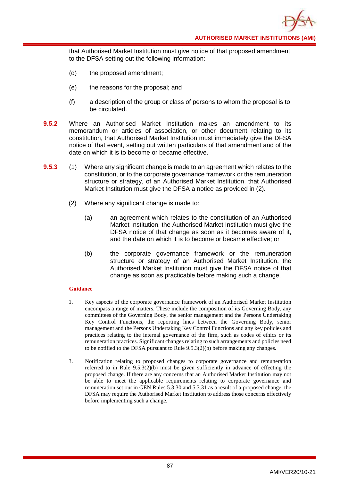**AUTHORISED MARKET INSTITUTIONS (AMI)**

that Authorised Market Institution must give notice of that proposed amendment to the DFSA setting out the following information:

- (d) the proposed amendment;
- (e) the reasons for the proposal; and
- (f) a description of the group or class of persons to whom the proposal is to be circulated.
- **9.5.2** Where an Authorised Market Institution makes an amendment to its memorandum or articles of association, or other document relating to its constitution, that Authorised Market Institution must immediately give the DFSA notice of that event, setting out written particulars of that amendment and of the date on which it is to become or became effective.
- **9.5.3** (1) Where any significant change is made to an agreement which relates to the constitution, or to the corporate governance framework or the remuneration structure or strategy, of an Authorised Market Institution, that Authorised Market Institution must give the DFSA a notice as provided in (2).
	- (2) Where any significant change is made to:
		- (a) an agreement which relates to the constitution of an Authorised Market Institution, the Authorised Market Institution must give the DFSA notice of that change as soon as it becomes aware of it, and the date on which it is to become or became effective; or
		- (b) the corporate governance framework or the remuneration structure or strategy of an Authorised Market Institution, the Authorised Market Institution must give the DFSA notice of that change as soon as practicable before making such a change.

- 1. Key aspects of the corporate governance framework of an Authorised Market Institution encompass a range of matters. These include the composition of its Governing Body, any committees of the Governing Body, the senior management and the Persons Undertaking Key Control Functions, the reporting lines between the Governing Body, senior management and the Persons Undertaking Key Control Functions and any key policies and practices relating to the internal governance of the firm, such as codes of ethics or its remuneration practices. Significant changes relating to such arrangements and policies need to be notified to the DFSA pursuant to Rule 9.5.3(2)(b) before making any changes.
- 3. Notification relating to proposed changes to corporate governance and remuneration referred to in Rule  $9.5.3(2)(b)$  must be given sufficiently in advance of effecting the proposed change. If there are any concerns that an Authorised Market Institution may not be able to meet the applicable requirements relating to corporate governance and remuneration set out in GEN Rules 5.3.30 and 5.3.31 as a result of a proposed change, the DFSA may require the Authorised Market Institution to address those concerns effectively before implementing such a change.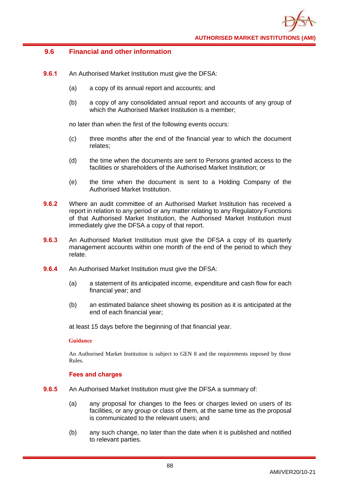## **9.6 Financial and other information**

- **9.6.1** An Authorised Market Institution must give the DFSA:
	- (a) a copy of its annual report and accounts; and
	- (b) a copy of any consolidated annual report and accounts of any group of which the Authorised Market Institution is a member;

no later than when the first of the following events occurs:

- (c) three months after the end of the financial year to which the document relates;
- (d) the time when the documents are sent to Persons granted access to the facilities or shareholders of the Authorised Market Institution; or
- (e) the time when the document is sent to a Holding Company of the Authorised Market Institution.
- **9.6.2** Where an audit committee of an Authorised Market Institution has received a report in relation to any period or any matter relating to any Regulatory Functions of that Authorised Market Institution, the Authorised Market Institution must immediately give the DFSA a copy of that report.
- **9.6.3** An Authorised Market Institution must give the DFSA a copy of its quarterly management accounts within one month of the end of the period to which they relate.
- **9.6.4** An Authorised Market Institution must give the DFSA:
	- (a) a statement of its anticipated income, expenditure and cash flow for each financial year; and
	- (b) an estimated balance sheet showing its position as it is anticipated at the end of each financial year;

at least 15 days before the beginning of that financial year.

### **Guidance**

An Authorised Market Institution is subject to GEN 8 and the requirements imposed by those Rules.

### **Fees and charges**

- **9.6.5** An Authorised Market Institution must give the DFSA a summary of:
	- (a) any proposal for changes to the fees or charges levied on users of its facilities, or any group or class of them, at the same time as the proposal is communicated to the relevant users; and
	- (b) any such change, no later than the date when it is published and notified to relevant parties.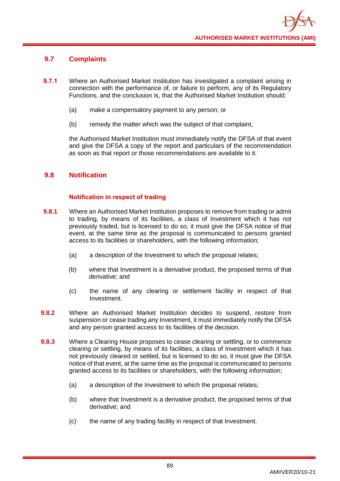# **9.7 Complaints**

- **9.7.1** Where an Authorised Market Institution has investigated a complaint arising in connection with the performance of, or failure to perform, any of its Regulatory Functions, and the conclusion is, that the Authorised Market Institution should:
	- (a) make a compensatory payment to any person; or
	- (b) remedy the matter which was the subject of that complaint,

the Authorised Market Institution must immediately notify the DFSA of that event and give the DFSA a copy of the report and particulars of the recommendation as soon as that report or those recommendations are available to it.

# **9.8 Notification**

## **Notification in respect of trading**

- **9.8.1** Where an Authorised Market Institution proposes to remove from trading or admit to trading, by means of its facilities, a class of Investment which it has not previously traded, but is licensed to do so, it must give the DFSA notice of that event, at the same time as the proposal is communicated to persons granted access to its facilities or shareholders, with the following information;
	- (a) a description of the Investment to which the proposal relates;
	- (b) where that Investment is a derivative product, the proposed terms of that derivative; and
	- (c) the name of any clearing or settlement facility in respect of that Investment.
- **9.8.2** Where an Authorised Market Institution decides to suspend, restore from suspension or cease trading any Investment, it must immediately notify the DFSA and any person granted access to its facilities of the decision.
- **9.8.3** Where a Clearing House proposes to cease clearing or settling, or to commence clearing or settling, by means of its facilities, a class of Investment which it has not previously cleared or settled, but is licensed to do so, it must give the DFSA notice of that event, at the same time as the proposal is communicated to persons granted access to its facilities or shareholders, with the following information;
	- (a) a description of the Investment to which the proposal relates;
	- (b) where that Investment is a derivative product, the proposed terms of that derivative; and
	- (c) the name of any trading facility in respect of that Investment.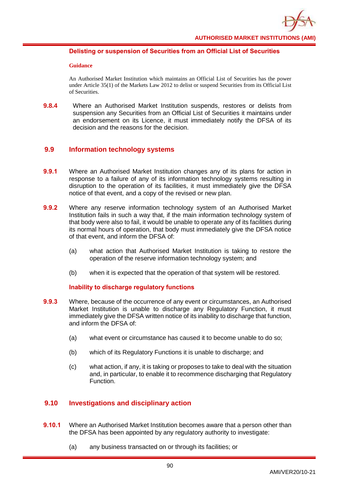

## **Delisting or suspension of Securities from an Official List of Securities**

#### **Guidance**

An Authorised Market Institution which maintains an Official List of Securities has the power under Article 35(1) of the Markets Law 2012 to delist or suspend Securities from its Official List of Securities.

**9.8.4** Where an Authorised Market Institution suspends, restores or delists from suspension any Securities from an Official List of Securities it maintains under an endorsement on its Licence, it must immediately notify the DFSA of its decision and the reasons for the decision.

## **9.9 Information technology systems**

- **9.9.1** Where an Authorised Market Institution changes any of its plans for action in response to a failure of any of its information technology systems resulting in disruption to the operation of its facilities, it must immediately give the DFSA notice of that event, and a copy of the revised or new plan.
- **9.9.2** Where any reserve information technology system of an Authorised Market Institution fails in such a way that, if the main information technology system of that body were also to fail, it would be unable to operate any of its facilities during its normal hours of operation, that body must immediately give the DFSA notice of that event, and inform the DFSA of:
	- (a) what action that Authorised Market Institution is taking to restore the operation of the reserve information technology system; and
	- (b) when it is expected that the operation of that system will be restored.

### **Inability to discharge regulatory functions**

- **9.9.3** Where, because of the occurrence of any event or circumstances, an Authorised Market Institution is unable to discharge any Regulatory Function, it must immediately give the DFSA written notice of its inability to discharge that function, and inform the DFSA of:
	- (a) what event or circumstance has caused it to become unable to do so;
	- (b) which of its Regulatory Functions it is unable to discharge; and
	- (c) what action, if any, it is taking or proposes to take to deal with the situation and, in particular, to enable it to recommence discharging that Regulatory Function.

## **9.10 Investigations and disciplinary action**

- **9.10.1** Where an Authorised Market Institution becomes aware that a person other than the DFSA has been appointed by any regulatory authority to investigate:
	- (a) any business transacted on or through its facilities; or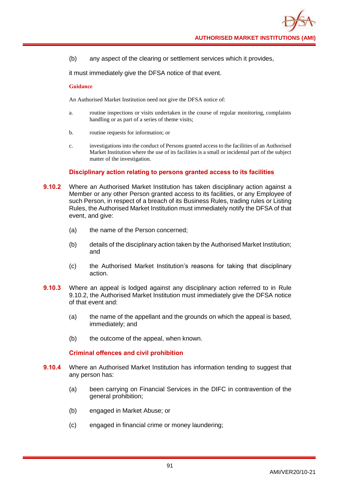(b) any aspect of the clearing or settlement services which it provides,

it must immediately give the DFSA notice of that event.

#### **Guidance**

An Authorised Market Institution need not give the DFSA notice of:

- a. routine inspections or visits undertaken in the course of regular monitoring, complaints handling or as part of a series of theme visits;
- b. routine requests for information; or
- c. investigations into the conduct of Persons granted access to the facilities of an Authorised Market Institution where the use of its facilities is a small or incidental part of the subject matter of the investigation.

### **Disciplinary action relating to persons granted access to its facilities**

- **9.10.2** Where an Authorised Market Institution has taken disciplinary action against a Member or any other Person granted access to its facilities, or any Employee of such Person, in respect of a breach of its Business Rules, trading rules or Listing Rules, the Authorised Market Institution must immediately notify the DFSA of that event, and give:
	- (a) the name of the Person concerned;
	- (b) details of the disciplinary action taken by the Authorised Market Institution; and
	- (c) the Authorised Market Institution's reasons for taking that disciplinary action.
- **9.10.3** Where an appeal is lodged against any disciplinary action referred to in Rule 9.10.2, the Authorised Market Institution must immediately give the DFSA notice of that event and:
	- (a) the name of the appellant and the grounds on which the appeal is based, immediately; and
	- (b) the outcome of the appeal, when known.

### **Criminal offences and civil prohibition**

- **9.10.4** Where an Authorised Market Institution has information tending to suggest that any person has:
	- (a) been carrying on Financial Services in the DIFC in contravention of the general prohibition;
	- (b) engaged in Market Abuse; or
	- (c) engaged in financial crime or money laundering;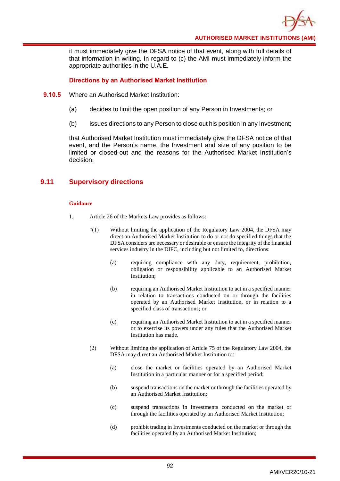

it must immediately give the DFSA notice of that event, along with full details of that information in writing. In regard to (c) the AMI must immediately inform the appropriate authorities in the U.A.E.

## **Directions by an Authorised Market Institution**

- **9.10.5** Where an Authorised Market Institution:
	- (a) decides to limit the open position of any Person in Investments; or
	- (b) issues directions to any Person to close out his position in any Investment;

that Authorised Market Institution must immediately give the DFSA notice of that event, and the Person's name, the Investment and size of any position to be limited or closed-out and the reasons for the Authorised Market Institution's decision.

## **9.11 Supervisory directions**

- 1. Article 26 of the Markets Law provides as follows:
	- "(1) Without limiting the application of the Regulatory Law 2004, the DFSA may direct an Authorised Market Institution to do or not do specified things that the DFSA considers are necessary or desirable or ensure the integrity of the financial services industry in the DIFC, including but not limited to, directions:
		- (a) requiring compliance with any duty, requirement, prohibition, obligation or responsibility applicable to an Authorised Market Institution;
		- (b) requiring an Authorised Market Institution to act in a specified manner in relation to transactions conducted on or through the facilities operated by an Authorised Market Institution, or in relation to a specified class of transactions; or
		- (c) requiring an Authorised Market Institution to act in a specified manner or to exercise its powers under any rules that the Authorised Market Institution has made.
	- (2) Without limiting the application of Article 75 of the Regulatory Law 2004, the DFSA may direct an Authorised Market Institution to:
		- (a) close the market or facilities operated by an Authorised Market Institution in a particular manner or for a specified period;
		- (b) suspend transactions on the market or through the facilities operated by an Authorised Market Institution;
		- (c) suspend transactions in Investments conducted on the market or through the facilities operated by an Authorised Market Institution;
		- (d) prohibit trading in Investments conducted on the market or through the facilities operated by an Authorised Market Institution;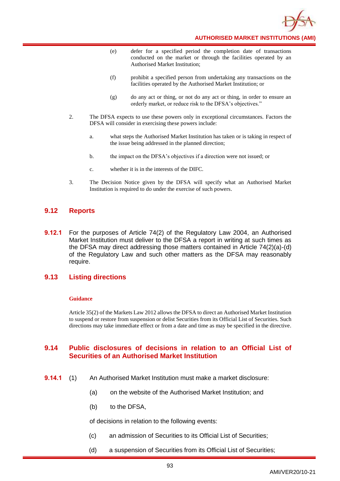

**AUTHORISED MARKET INSTITUTIONS (AMI)**

- (e) defer for a specified period the completion date of transactions conducted on the market or through the facilities operated by an Authorised Market Institution;
- (f) prohibit a specified person from undertaking any transactions on the facilities operated by the Authorised Market Institution; or
- (g) do any act or thing, or not do any act or thing, in order to ensure an orderly market, or reduce risk to the DFSA's objectives."
- 2. The DFSA expects to use these powers only in exceptional circumstances. Factors the DFSA will consider in exercising these powers include:
	- a. what steps the Authorised Market Institution has taken or is taking in respect of the issue being addressed in the planned direction;
	- b. the impact on the DFSA's objectives if a direction were not issued; or
	- c. whether it is in the interests of the DIFC.
- 3. The Decision Notice given by the DFSA will specify what an Authorised Market Institution is required to do under the exercise of such powers.

## **9.12 Reports**

**9.12.1** For the purposes of Article 74(2) of the Regulatory Law 2004, an Authorised Market Institution must deliver to the DFSA a report in writing at such times as the DFSA may direct addressing those matters contained in Article 74(2)(a)-(d) of the Regulatory Law and such other matters as the DFSA may reasonably require.

### **9.13 Listing directions**

#### **Guidance**

Article 35(2) of the Markets Law 2012 allows the DFSA to direct an Authorised Market Institution to suspend or restore from suspension or delist Securities from its Official List of Securities. Such directions may take immediate effect or from a date and time as may be specified in the directive.

## **9.14 Public disclosures of decisions in relation to an Official List of Securities of an Authorised Market Institution**

- **9.14.1** (1) An Authorised Market Institution must make a market disclosure:
	- (a) on the website of the Authorised Market Institution; and
	- (b) to the DFSA,

of decisions in relation to the following events:

- (c) an admission of Securities to its Official List of Securities;
- (d) a suspension of Securities from its Official List of Securities;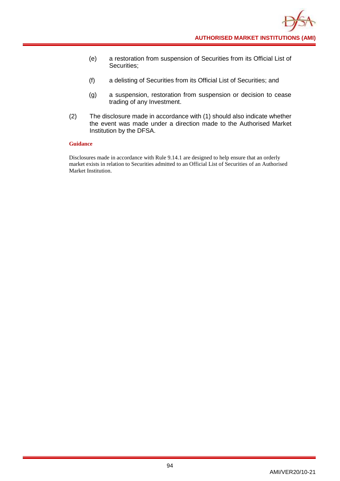- (e) a restoration from suspension of Securities from its Official List of Securities;
- (f) a delisting of Securities from its Official List of Securities; and
- (g) a suspension, restoration from suspension or decision to cease trading of any Investment.
- (2) The disclosure made in accordance with (1) should also indicate whether the event was made under a direction made to the Authorised Market Institution by the DFSA.

Disclosures made in accordance with Rule 9.14.1 are designed to help ensure that an orderly market exists in relation to Securities admitted to an Official List of Securities of an Authorised Market Institution.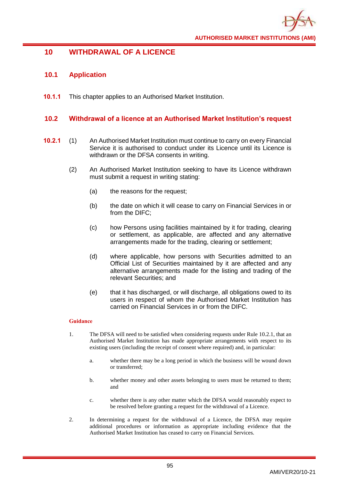

# **10 WITHDRAWAL OF A LICENCE**

## **10.1 Application**

**10.1.1** This chapter applies to an Authorised Market Institution.

## **10.2 Withdrawal of a licence at an Authorised Market Institution's request**

- **10.2.1** (1) An Authorised Market Institution must continue to carry on every Financial Service it is authorised to conduct under its Licence until its Licence is withdrawn or the DFSA consents in writing.
	- (2) An Authorised Market Institution seeking to have its Licence withdrawn must submit a request in writing stating:
		- (a) the reasons for the request;
		- (b) the date on which it will cease to carry on Financial Services in or from the DIFC;
		- (c) how Persons using facilities maintained by it for trading, clearing or settlement, as applicable, are affected and any alternative arrangements made for the trading, clearing or settlement;
		- (d) where applicable, how persons with Securities admitted to an Official List of Securities maintained by it are affected and any alternative arrangements made for the listing and trading of the relevant Securities; and
		- (e) that it has discharged, or will discharge, all obligations owed to its users in respect of whom the Authorised Market Institution has carried on Financial Services in or from the DIFC.

- 1. The DFSA will need to be satisfied when considering requests under Rule 10.2.1, that an Authorised Market Institution has made appropriate arrangements with respect to its existing users (including the receipt of consent where required) and, in particular:
	- a. whether there may be a long period in which the business will be wound down or transferred;
	- b. whether money and other assets belonging to users must be returned to them; and
	- c. whether there is any other matter which the DFSA would reasonably expect to be resolved before granting a request for the withdrawal of a Licence.
- 2. In determining a request for the withdrawal of a Licence, the DFSA may require additional procedures or information as appropriate including evidence that the Authorised Market Institution has ceased to carry on Financial Services.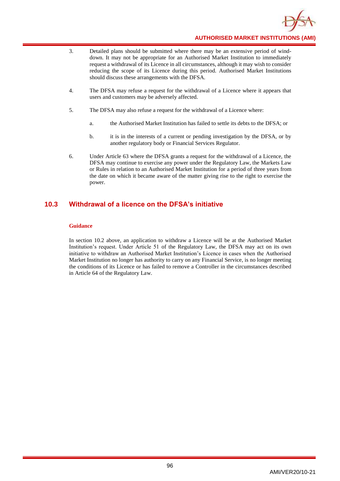

- 3. Detailed plans should be submitted where there may be an extensive period of winddown. It may not be appropriate for an Authorised Market Institution to immediately request a withdrawal of its Licence in all circumstances, although it may wish to consider reducing the scope of its Licence during this period. Authorised Market Institutions should discuss these arrangements with the DFSA.
- 4. The DFSA may refuse a request for the withdrawal of a Licence where it appears that users and customers may be adversely affected.
- 5. The DFSA may also refuse a request for the withdrawal of a Licence where:
	- a. the Authorised Market Institution has failed to settle its debts to the DFSA; or
	- b. it is in the interests of a current or pending investigation by the DFSA, or by another regulatory body or Financial Services Regulator.
- 6. Under Article 63 where the DFSA grants a request for the withdrawal of a Licence, the DFSA may continue to exercise any power under the Regulatory Law, the Markets Law or Rules in relation to an Authorised Market Institution for a period of three years from the date on which it became aware of the matter giving rise to the right to exercise the power.

## **10.3 Withdrawal of a licence on the DFSA's initiative**

#### **Guidance**

In section 10.2 above, an application to withdraw a Licence will be at the Authorised Market Institution's request. Under Article 51 of the Regulatory Law, the DFSA may act on its own initiative to withdraw an Authorised Market Institution's Licence in cases when the Authorised Market Institution no longer has authority to carry on any Financial Service, is no longer meeting the conditions of its Licence or has failed to remove a Controller in the circumstances described in Article 64 of the Regulatory Law.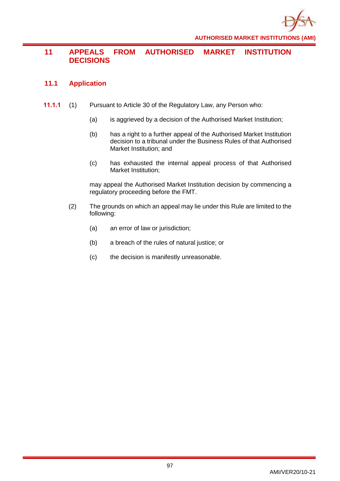

# **11 APPEALS FROM AUTHORISED MARKET INSTITUTION DECISIONS**

# **11.1 Application**

- **11.1.1** (1) Pursuant to Article 30 of the Regulatory Law, any Person who:
	- (a) is aggrieved by a decision of the Authorised Market Institution;
	- (b) has a right to a further appeal of the Authorised Market Institution decision to a tribunal under the Business Rules of that Authorised Market Institution; and
	- (c) has exhausted the internal appeal process of that Authorised Market Institution;

may appeal the Authorised Market Institution decision by commencing a regulatory proceeding before the FMT.

- (2) The grounds on which an appeal may lie under this Rule are limited to the following:
	- (a) an error of law or jurisdiction;
	- (b) a breach of the rules of natural justice; or
	- (c) the decision is manifestly unreasonable.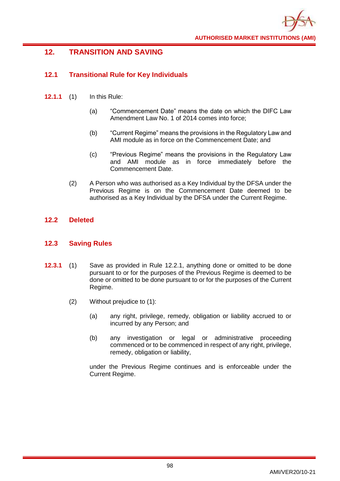

# **12. TRANSITION AND SAVING**

# **12.1 Transitional Rule for Key Individuals**

- **12.1.1** (1) In this Rule:
	- (a) "Commencement Date" means the date on which the DIFC Law Amendment Law No. 1 of 2014 comes into force;
	- (b) "Current Regime" means the provisions in the Regulatory Law and AMI module as in force on the Commencement Date; and
	- (c) "Previous Regime" means the provisions in the Regulatory Law and AMI module as in force immediately before the Commencement Date.
	- (2) A Person who was authorised as a Key Individual by the DFSA under the Previous Regime is on the Commencement Date deemed to be authorised as a Key Individual by the DFSA under the Current Regime.

## **12.2 Deleted**

## **12.3 Saving Rules**

- **12.3.1** (1) Save as provided in Rule 12.2.1, anything done or omitted to be done pursuant to or for the purposes of the Previous Regime is deemed to be done or omitted to be done pursuant to or for the purposes of the Current Regime.
	- (2) Without prejudice to (1):
		- (a) any right, privilege, remedy, obligation or liability accrued to or incurred by any Person; and
		- (b) any investigation or legal or administrative proceeding commenced or to be commenced in respect of any right, privilege, remedy, obligation or liability,

under the Previous Regime continues and is enforceable under the Current Regime.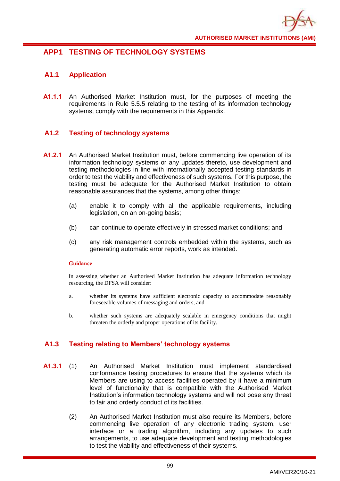

# **APP1 TESTING OF TECHNOLOGY SYSTEMS**

## **A1.1 Application**

**A1.1.1** An Authorised Market Institution must, for the purposes of meeting the requirements in Rule 5.5.5 relating to the testing of its information technology systems, comply with the requirements in this Appendix.

## **A1.2 Testing of technology systems**

- **A1.2.1** An Authorised Market Institution must, before commencing live operation of its information technology systems or any updates thereto, use development and testing methodologies in line with internationally accepted testing standards in order to test the viability and effectiveness of such systems. For this purpose, the testing must be adequate for the Authorised Market Institution to obtain reasonable assurances that the systems, among other things:
	- (a) enable it to comply with all the applicable requirements, including legislation, on an on-going basis;
	- (b) can continue to operate effectively in stressed market conditions; and
	- (c) any risk management controls embedded within the systems, such as generating automatic error reports, work as intended.

#### **Guidance**

In assessing whether an Authorised Market Institution has adequate information technology resourcing, the DFSA will consider:

- a. whether its systems have sufficient electronic capacity to accommodate reasonably foreseeable volumes of messaging and orders, and
- b. whether such systems are adequately scalable in emergency conditions that might threaten the orderly and proper operations of its facility.

# **A1.3 Testing relating to Members' technology systems**

- **A1.3.1** (1) An Authorised Market Institution must implement standardised conformance testing procedures to ensure that the systems which its Members are using to access facilities operated by it have a minimum level of functionality that is compatible with the Authorised Market Institution's information technology systems and will not pose any threat to fair and orderly conduct of its facilities.
	- (2) An Authorised Market Institution must also require its Members, before commencing live operation of any electronic trading system, user interface or a trading algorithm, including any updates to such arrangements, to use adequate development and testing methodologies to test the viability and effectiveness of their systems.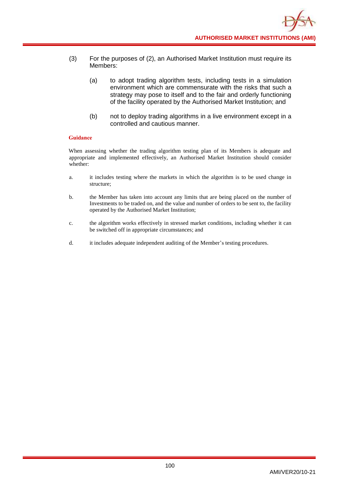- (3) For the purposes of (2), an Authorised Market Institution must require its Members:
	- (a) to adopt trading algorithm tests, including tests in a simulation environment which are commensurate with the risks that such a strategy may pose to itself and to the fair and orderly functioning of the facility operated by the Authorised Market Institution; and
	- (b) not to deploy trading algorithms in a live environment except in a controlled and cautious manner.

When assessing whether the trading algorithm testing plan of its Members is adequate and appropriate and implemented effectively, an Authorised Market Institution should consider whether:

- a. it includes testing where the markets in which the algorithm is to be used change in structure;
- b. the Member has taken into account any limits that are being placed on the number of Investments to be traded on, and the value and number of orders to be sent to, the facility operated by the Authorised Market Institution;
- c. the algorithm works effectively in stressed market conditions, including whether it can be switched off in appropriate circumstances; and
- d. it includes adequate independent auditing of the Member's testing procedures.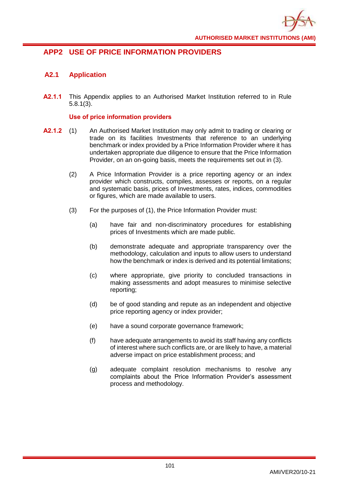

# **APP2 USE OF PRICE INFORMATION PROVIDERS**

# **A2.1 Application**

**A2.1.1** This Appendix applies to an Authorised Market Institution referred to in Rule 5.8.1(3).

## **Use of price information providers**

- **A2.1.2** (1) An Authorised Market Institution may only admit to trading or clearing or trade on its facilities Investments that reference to an underlying benchmark or index provided by a Price Information Provider where it has undertaken appropriate due diligence to ensure that the Price Information Provider, on an on-going basis, meets the requirements set out in (3).
	- (2) A Price Information Provider is a price reporting agency or an index provider which constructs, compiles, assesses or reports, on a regular and systematic basis, prices of Investments, rates, indices, commodities or figures, which are made available to users.
	- (3) For the purposes of (1), the Price Information Provider must:
		- (a) have fair and non-discriminatory procedures for establishing prices of Investments which are made public.
		- (b) demonstrate adequate and appropriate transparency over the methodology, calculation and inputs to allow users to understand how the benchmark or index is derived and its potential limitations;
		- (c) where appropriate, give priority to concluded transactions in making assessments and adopt measures to minimise selective reporting;
		- (d) be of good standing and repute as an independent and objective price reporting agency or index provider;
		- (e) have a sound corporate governance framework;
		- (f) have adequate arrangements to avoid its staff having any conflicts of interest where such conflicts are, or are likely to have, a material adverse impact on price establishment process; and
		- (g) adequate complaint resolution mechanisms to resolve any complaints about the Price Information Provider's assessment process and methodology.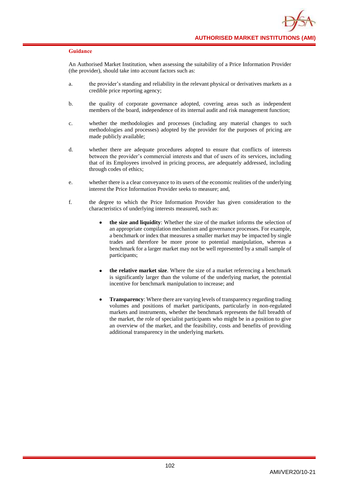An Authorised Market Institution, when assessing the suitability of a Price Information Provider (the provider), should take into account factors such as:

- a. the provider's standing and reliability in the relevant physical or derivatives markets as a credible price reporting agency;
- b. the quality of corporate governance adopted, covering areas such as independent members of the board, independence of its internal audit and risk management function;
- c. whether the methodologies and processes (including any material changes to such methodologies and processes) adopted by the provider for the purposes of pricing are made publicly available;
- d. whether there are adequate procedures adopted to ensure that conflicts of interests between the provider's commercial interests and that of users of its services, including that of its Employees involved in pricing process, are adequately addressed, including through codes of ethics;
- e. whether there is a clear conveyance to its users of the economic realities of the underlying interest the Price Information Provider seeks to measure; and,
- f. the degree to which the Price Information Provider has given consideration to the characteristics of underlying interests measured, such as:
	- **the size and liquidity**: Whether the size of the market informs the selection of an appropriate compilation mechanism and governance processes. For example, a benchmark or index that measures a smaller market may be impacted by single trades and therefore be more prone to potential manipulation, whereas a benchmark for a larger market may not be well represented by a small sample of participants;
	- **the relative market size**. Where the size of a market referencing a benchmark is significantly larger than the volume of the underlying market, the potential incentive for benchmark manipulation to increase; and
	- **Transparency**: Where there are varying levels of transparency regarding trading volumes and positions of market participants, particularly in non-regulated markets and instruments, whether the benchmark represents the full breadth of the market, the role of specialist participants who might be in a position to give an overview of the market, and the feasibility, costs and benefits of providing additional transparency in the underlying markets.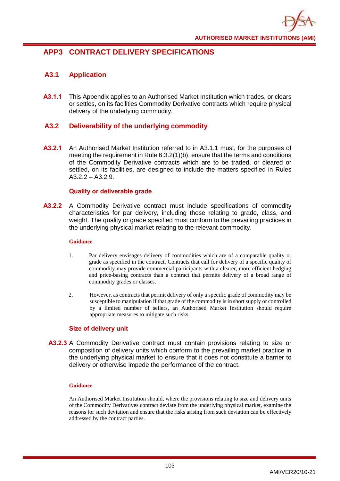

# **APP3 CONTRACT DELIVERY SPECIFICATIONS**

# **A3.1 Application**

**A3.1.1** This Appendix applies to an Authorised Market Institution which trades, or clears or settles, on its facilities Commodity Derivative contracts which require physical delivery of the underlying commodity.

## **A3.2 Deliverability of the underlying commodity**

**A3.2.1** An Authorised Market Institution referred to in A3.1.1 must, for the purposes of meeting the requirement in Rule 6.3.2(1)(b), ensure that the terms and conditions of the Commodity Derivative contracts which are to be traded, or cleared or settled, on its facilities, are designed to include the matters specified in Rules  $A3.2.2 - A3.2.9.$ 

## **Quality or deliverable grade**

**A3.2.2** A Commodity Derivative contract must include specifications of commodity characteristics for par delivery, including those relating to grade, class, and weight. The quality or grade specified must conform to the prevailing practices in the underlying physical market relating to the relevant commodity.

#### **Guidance**

- 1. Par delivery envisages delivery of commodities which are of a comparable quality or grade as specified in the contract. Contracts that call for delivery of a specific quality of commodity may provide commercial participants with a clearer, more efficient hedging and price-basing contracts than a contract that permits delivery of a broad range of commodity grades or classes.
- 2. However, as contracts that permit delivery of only a specific grade of commodity may be susceptible to manipulation if that grade of the commodity is in short supply or controlled by a limited number of sellers, an Authorised Market Institution should require appropriate measures to mitigate such risks.

### **Size of delivery unit**

**A3.2.3** A Commodity Derivative contract must contain provisions relating to size or composition of delivery units which conform to the prevailing market practice in the underlying physical market to ensure that it does not constitute a barrier to delivery or otherwise impede the performance of the contract.

#### **Guidance**

An Authorised Market Institution should, where the provisions relating to size and delivery units of the Commodity Derivatives contract deviate from the underlying physical market, examine the reasons for such deviation and ensure that the risks arising from such deviation can be effectively addressed by the contract parties.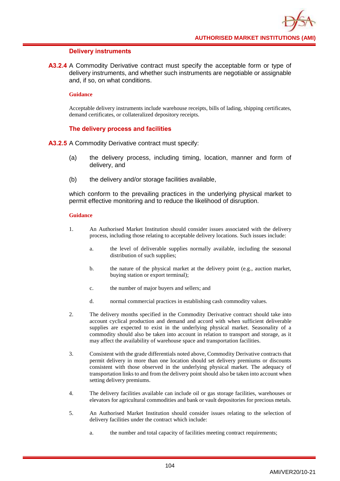#### **Delivery instruments**

**A3.2.4** A Commodity Derivative contract must specify the acceptable form or type of delivery instruments, and whether such instruments are negotiable or assignable and, if so, on what conditions.

#### **Guidance**

Acceptable delivery instruments include warehouse receipts, bills of lading, shipping certificates, demand certificates, or collateralized depository receipts.

### **The delivery process and facilities**

**A3.2.5** A Commodity Derivative contract must specify:

- (a) the delivery process, including timing, location, manner and form of delivery, and
- (b) the delivery and/or storage facilities available,

which conform to the prevailing practices in the underlying physical market to permit effective monitoring and to reduce the likelihood of disruption.

- 1. An Authorised Market Institution should consider issues associated with the delivery process, including those relating to acceptable delivery locations. Such issues include:
	- a. the level of deliverable supplies normally available, including the seasonal distribution of such supplies;
	- b. the nature of the physical market at the delivery point (e.g., auction market, buying station or export terminal);
	- c. the number of major buyers and sellers; and
	- d. normal commercial practices in establishing cash commodity values.
- 2. The delivery months specified in the Commodity Derivative contract should take into account cyclical production and demand and accord with when sufficient deliverable supplies are expected to exist in the underlying physical market. Seasonality of a commodity should also be taken into account in relation to transport and storage, as it may affect the availability of warehouse space and transportation facilities.
- 3. Consistent with the grade differentials noted above, Commodity Derivative contracts that permit delivery in more than one location should set delivery premiums or discounts consistent with those observed in the underlying physical market. The adequacy of transportation links to and from the delivery point should also be taken into account when setting delivery premiums.
- 4. The delivery facilities available can include oil or gas storage facilities, warehouses or elevators for agricultural commodities and bank or vault depositories for precious metals.
- 5. An Authorised Market Institution should consider issues relating to the selection of delivery facilities under the contract which include:
	- a. the number and total capacity of facilities meeting contract requirements;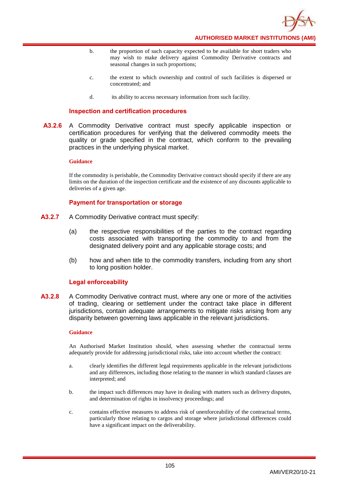

- b. the proportion of such capacity expected to be available for short traders who may wish to make delivery against Commodity Derivative contracts and seasonal changes in such proportions;
- c. the extent to which ownership and control of such facilities is dispersed or concentrated; and
- d. its ability to access necessary information from such facility.

## **Inspection and certification procedures**

**A3.2.6** A Commodity Derivative contract must specify applicable inspection or certification procedures for verifying that the delivered commodity meets the quality or grade specified in the contract, which conform to the prevailing practices in the underlying physical market.

#### **Guidance**

If the commodity is perishable, the Commodity Derivative contract should specify if there are any limits on the duration of the inspection certificate and the existence of any discounts applicable to deliveries of a given age.

# **Payment for transportation or storage**

- **A3.2.7** A Commodity Derivative contract must specify:
	- (a) the respective responsibilities of the parties to the contract regarding costs associated with transporting the commodity to and from the designated delivery point and any applicable storage costs; and
	- (b) how and when title to the commodity transfers, including from any short to long position holder.

#### **Legal enforceability**

**A3.2.8** A Commodity Derivative contract must, where any one or more of the activities of trading, clearing or settlement under the contract take place in different jurisdictions, contain adequate arrangements to mitigate risks arising from any disparity between governing laws applicable in the relevant jurisdictions.

#### **Guidance**

An Authorised Market Institution should, when assessing whether the contractual terms adequately provide for addressing jurisdictional risks, take into account whether the contract:

- a. clearly identifies the different legal requirements applicable in the relevant jurisdictions and any differences, including those relating to the manner in which standard clauses are interpreted; and
- b. the impact such differences may have in dealing with matters such as delivery disputes, and determination of rights in insolvency proceedings; and
- c. contains effective measures to address risk of unenforceability of the contractual terms, particularly those relating to cargos and storage where jurisdictional differences could have a significant impact on the deliverability.